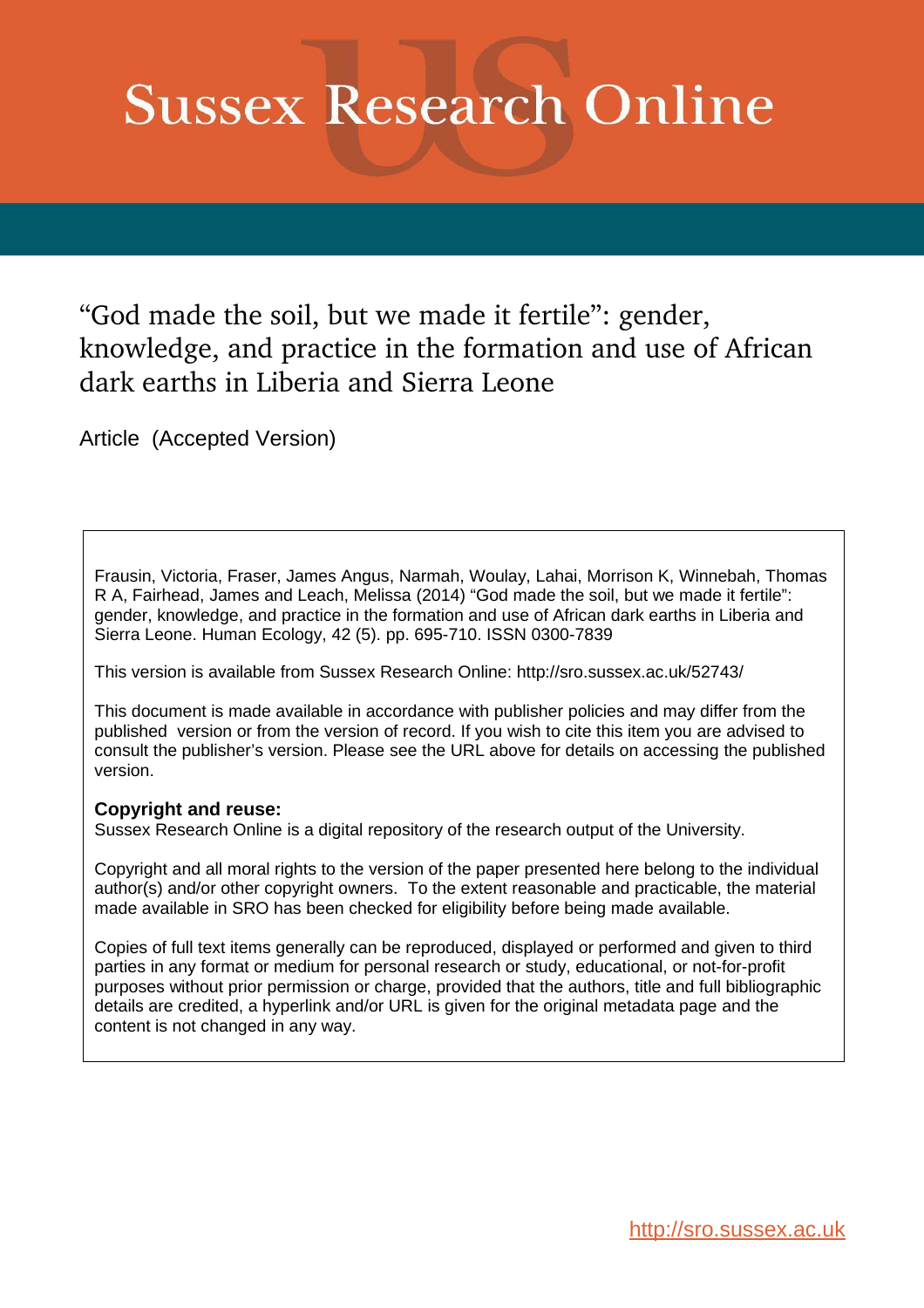# **Sussex Research Online**

"God made the soil, but we made it fertile": gender, knowledge, and practice in the formation and use of African dark earths in Liberia and Sierra Leone

Article (Accepted Version)

Frausin, Victoria, Fraser, James Angus, Narmah, Woulay, Lahai, Morrison K, Winnebah, Thomas R A, Fairhead, James and Leach, Melissa (2014) "God made the soil, but we made it fertile": gender, knowledge, and practice in the formation and use of African dark earths in Liberia and Sierra Leone. Human Ecology, 42 (5). pp. 695-710. ISSN 0300-7839

This version is available from Sussex Research Online: http://sro.sussex.ac.uk/52743/

This document is made available in accordance with publisher policies and may differ from the published version or from the version of record. If you wish to cite this item you are advised to consult the publisher's version. Please see the URL above for details on accessing the published version.

# **Copyright and reuse:**

Sussex Research Online is a digital repository of the research output of the University.

Copyright and all moral rights to the version of the paper presented here belong to the individual author(s) and/or other copyright owners. To the extent reasonable and practicable, the material made available in SRO has been checked for eligibility before being made available.

Copies of full text items generally can be reproduced, displayed or performed and given to third parties in any format or medium for personal research or study, educational, or not-for-profit purposes without prior permission or charge, provided that the authors, title and full bibliographic details are credited, a hyperlink and/or URL is given for the original metadata page and the content is not changed in any way.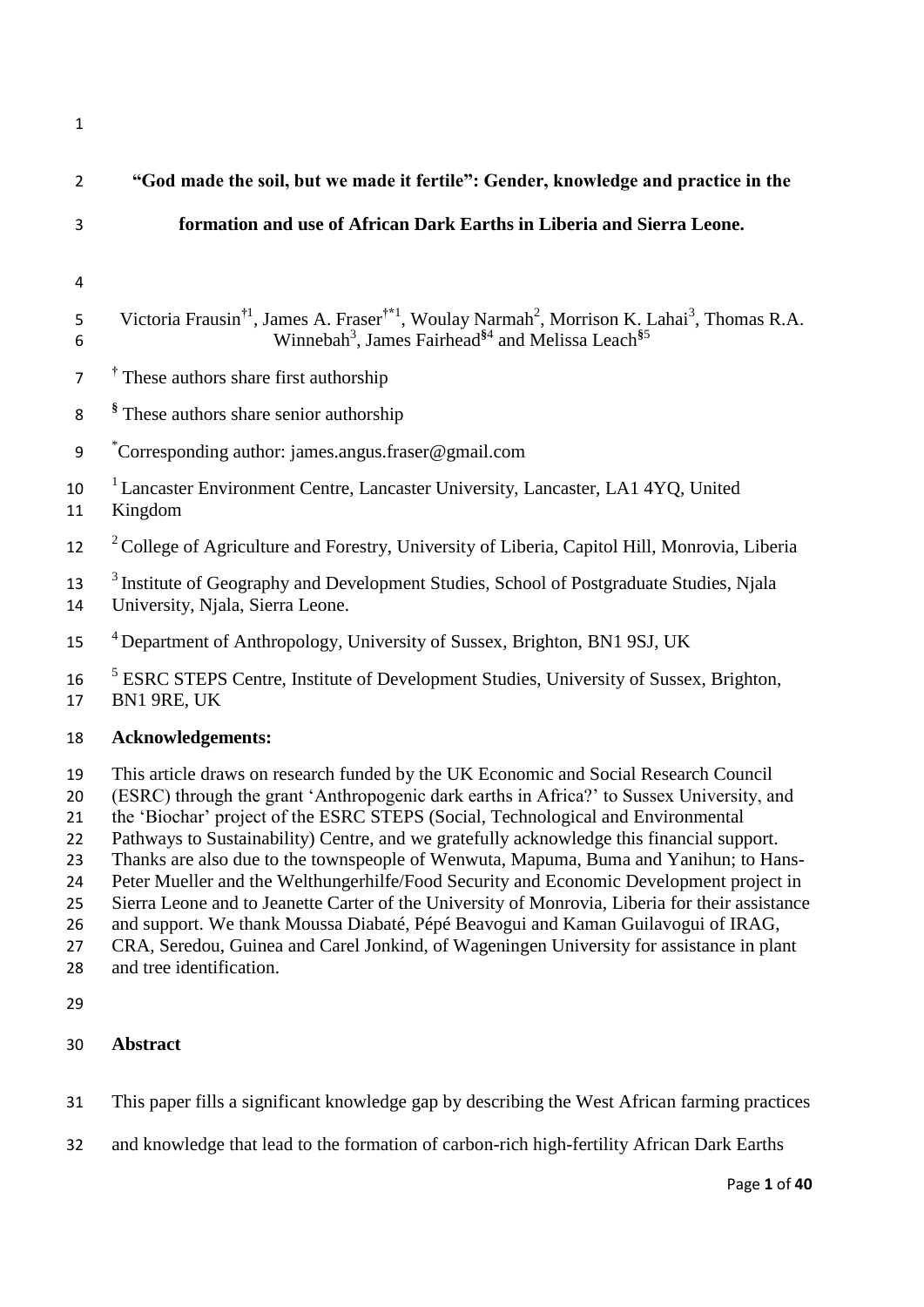| $\overline{2}$                                                 | "God made the soil, but we made it fertile": Gender, knowledge and practice in the                                                                                                                                                                                                                                                                                                                                                                                                                                                                                                                                                                                                                                                                                                                                                                                     |
|----------------------------------------------------------------|------------------------------------------------------------------------------------------------------------------------------------------------------------------------------------------------------------------------------------------------------------------------------------------------------------------------------------------------------------------------------------------------------------------------------------------------------------------------------------------------------------------------------------------------------------------------------------------------------------------------------------------------------------------------------------------------------------------------------------------------------------------------------------------------------------------------------------------------------------------------|
| 3                                                              | formation and use of African Dark Earths in Liberia and Sierra Leone.                                                                                                                                                                                                                                                                                                                                                                                                                                                                                                                                                                                                                                                                                                                                                                                                  |
|                                                                |                                                                                                                                                                                                                                                                                                                                                                                                                                                                                                                                                                                                                                                                                                                                                                                                                                                                        |
| 4<br>5<br>6                                                    | Victoria Frausin <sup>†1</sup> , James A. Fraser <sup>†*1</sup> , Woulay Narmah <sup>2</sup> , Morrison K. Lahai <sup>3</sup> , Thomas R.A.<br>Winnebah <sup>3</sup> , James Fairhead <sup>§4</sup> and Melissa Leach <sup>§5</sup>                                                                                                                                                                                                                                                                                                                                                                                                                                                                                                                                                                                                                                    |
| $\overline{7}$                                                 | <sup>†</sup> These authors share first authorship                                                                                                                                                                                                                                                                                                                                                                                                                                                                                                                                                                                                                                                                                                                                                                                                                      |
| 8                                                              | <sup>§</sup> These authors share senior authorship                                                                                                                                                                                                                                                                                                                                                                                                                                                                                                                                                                                                                                                                                                                                                                                                                     |
| 9                                                              | *Corresponding author: james.angus.fraser@gmail.com                                                                                                                                                                                                                                                                                                                                                                                                                                                                                                                                                                                                                                                                                                                                                                                                                    |
| 10<br>11                                                       | <sup>1</sup> Lancaster Environment Centre, Lancaster University, Lancaster, LA1 4YQ, United<br>Kingdom                                                                                                                                                                                                                                                                                                                                                                                                                                                                                                                                                                                                                                                                                                                                                                 |
| 12                                                             | <sup>2</sup> College of Agriculture and Forestry, University of Liberia, Capitol Hill, Monrovia, Liberia                                                                                                                                                                                                                                                                                                                                                                                                                                                                                                                                                                                                                                                                                                                                                               |
| 13<br>14                                                       | <sup>3</sup> Institute of Geography and Development Studies, School of Postgraduate Studies, Njala<br>University, Njala, Sierra Leone.                                                                                                                                                                                                                                                                                                                                                                                                                                                                                                                                                                                                                                                                                                                                 |
| 15                                                             | <sup>4</sup> Department of Anthropology, University of Sussex, Brighton, BN1 9SJ, UK                                                                                                                                                                                                                                                                                                                                                                                                                                                                                                                                                                                                                                                                                                                                                                                   |
| 16<br>17                                                       | <sup>5</sup> ESRC STEPS Centre, Institute of Development Studies, University of Sussex, Brighton,<br>BN1 9RE, UK                                                                                                                                                                                                                                                                                                                                                                                                                                                                                                                                                                                                                                                                                                                                                       |
| 18                                                             | <b>Acknowledgements:</b>                                                                                                                                                                                                                                                                                                                                                                                                                                                                                                                                                                                                                                                                                                                                                                                                                                               |
| 19<br>20<br>21<br>22<br>23<br>24<br>25<br>26<br>27<br>28<br>29 | This article draws on research funded by the UK Economic and Social Research Council<br>(ESRC) through the grant 'Anthropogenic dark earths in Africa?' to Sussex University, and<br>the 'Biochar' project of the ESRC STEPS (Social, Technological and Environmental<br>Pathways to Sustainability) Centre, and we gratefully acknowledge this financial support.<br>Thanks are also due to the townspeople of Wenwuta, Mapuma, Buma and Yanihun; to Hans-<br>Peter Mueller and the Welthungerhilfe/Food Security and Economic Development project in<br>Sierra Leone and to Jeanette Carter of the University of Monrovia, Liberia for their assistance<br>and support. We thank Moussa Diabaté, Pépé Beavogui and Kaman Guilavogui of IRAG,<br>CRA, Seredou, Guinea and Carel Jonkind, of Wageningen University for assistance in plant<br>and tree identification. |
| 30                                                             | <b>Abstract</b>                                                                                                                                                                                                                                                                                                                                                                                                                                                                                                                                                                                                                                                                                                                                                                                                                                                        |

- 31 This paper fills a significant knowledge gap by describing the West African farming practices
- 32 and knowledge that lead to the formation of carbon-rich high-fertility African Dark Earths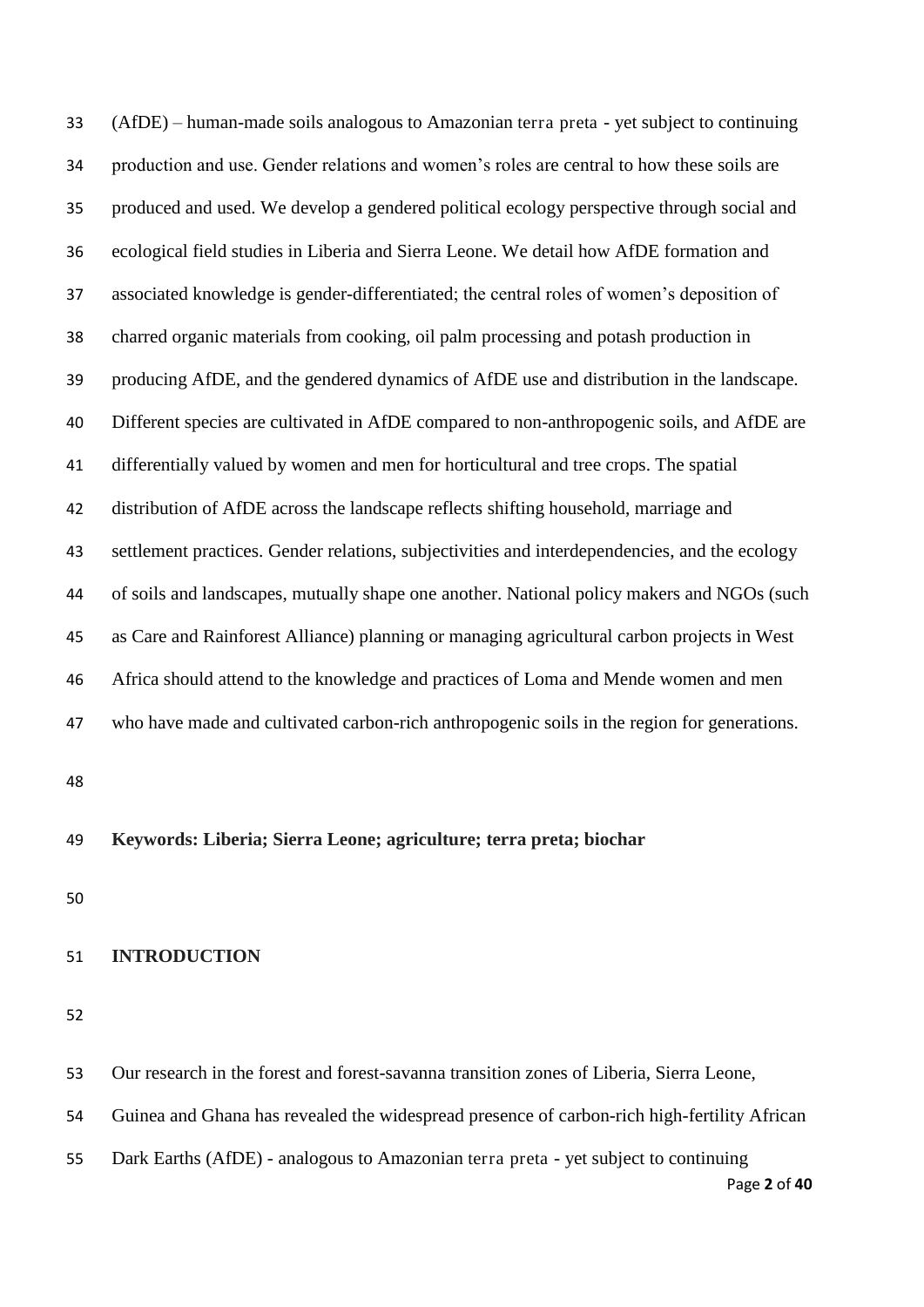(AfDE) – human-made soils analogous to Amazonian terra preta - yet subject to continuing production and use. Gender relations and women's roles are central to how these soils are produced and used. We develop a gendered political ecology perspective through social and ecological field studies in Liberia and Sierra Leone. We detail how AfDE formation and associated knowledge is gender-differentiated; the central roles of women's deposition of charred organic materials from cooking, oil palm processing and potash production in producing AfDE, and the gendered dynamics of AfDE use and distribution in the landscape. Different species are cultivated in AfDE compared to non-anthropogenic soils, and AfDE are differentially valued by women and men for horticultural and tree crops. The spatial distribution of AfDE across the landscape reflects shifting household, marriage and settlement practices. Gender relations, subjectivities and interdependencies, and the ecology of soils and landscapes, mutually shape one another. National policy makers and NGOs (such as Care and Rainforest Alliance) planning or managing agricultural carbon projects in West Africa should attend to the knowledge and practices of Loma and Mende women and men who have made and cultivated carbon-rich anthropogenic soils in the region for generations. **Keywords: Liberia; Sierra Leone; agriculture; terra preta; biochar INTRODUCTION** 

Page **2** of **40** Our research in the forest and forest-savanna transition zones of Liberia, Sierra Leone, Guinea and Ghana has revealed the widespread presence of carbon-rich high-fertility African Dark Earths (AfDE) - analogous to Amazonian terra preta - yet subject to continuing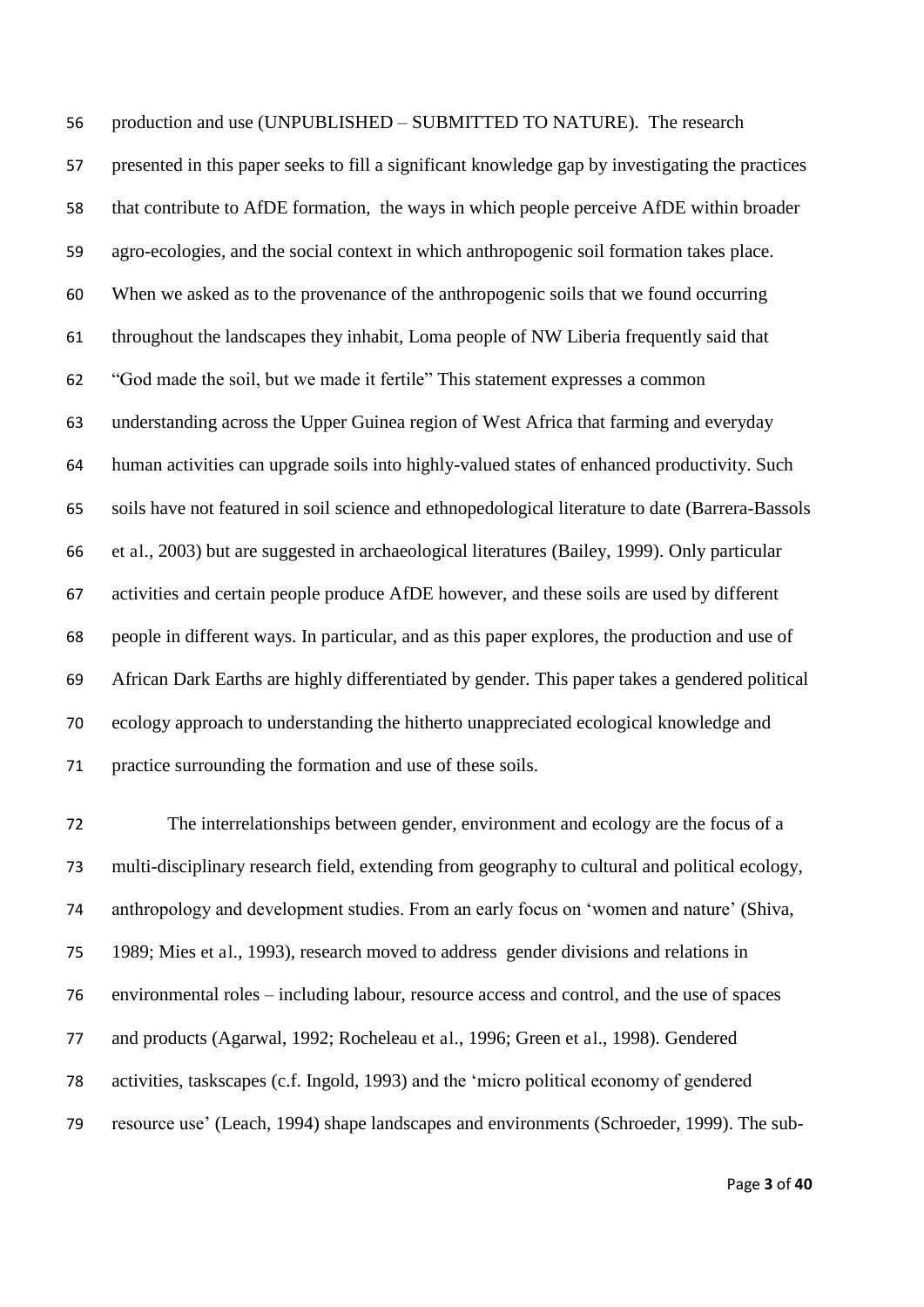production and use (UNPUBLISHED – SUBMITTED TO NATURE). The research presented in this paper seeks to fill a significant knowledge gap by investigating the practices that contribute to AfDE formation, the ways in which people perceive AfDE within broader agro-ecologies, and the social context in which anthropogenic soil formation takes place. When we asked as to the provenance of the anthropogenic soils that we found occurring throughout the landscapes they inhabit, Loma people of NW Liberia frequently said that "God made the soil, but we made it fertile" This statement expresses a common understanding across the Upper Guinea region of West Africa that farming and everyday human activities can upgrade soils into highly-valued states of enhanced productivity. Such soils have not featured in soil science and ethnopedological literature to date [\(Barrera-Bassols](#page-31-0) et al.[, 2003\)](#page-31-0) but are suggested in archaeological literatures [\(Bailey, 1999\)](#page-31-1). Only particular activities and certain people produce AfDE however, and these soils are used by different people in different ways. In particular, and as this paper explores, the production and use of African Dark Earths are highly differentiated by gender. This paper takes a gendered political ecology approach to understanding the hitherto unappreciated ecological knowledge and practice surrounding the formation and use of these soils.

 The interrelationships between gender, environment and ecology are the focus of a multi-disciplinary research field, extending from geography to cultural and political ecology, anthropology and development studies. From an early focus on 'women and nature' [\(Shiva,](#page-32-0)  [1989;](#page-32-0) Mies et al.[, 1993\)](#page-32-1), research moved to address gender divisions and relations in environmental roles – including labour, resource access and control, and the use of spaces and products [\(Agarwal, 1992;](#page-31-2) [Rocheleau](#page-32-2) et al., 1996; Green et al.[, 1998\)](#page-31-3). Gendered activities, taskscapes [\(c.f. Ingold, 1993\)](#page-31-4) and the 'micro political economy of gendered resource use' [\(Leach, 1994\)](#page-32-3) shape landscapes and environments [\(Schroeder, 1999\)](#page-32-4). The sub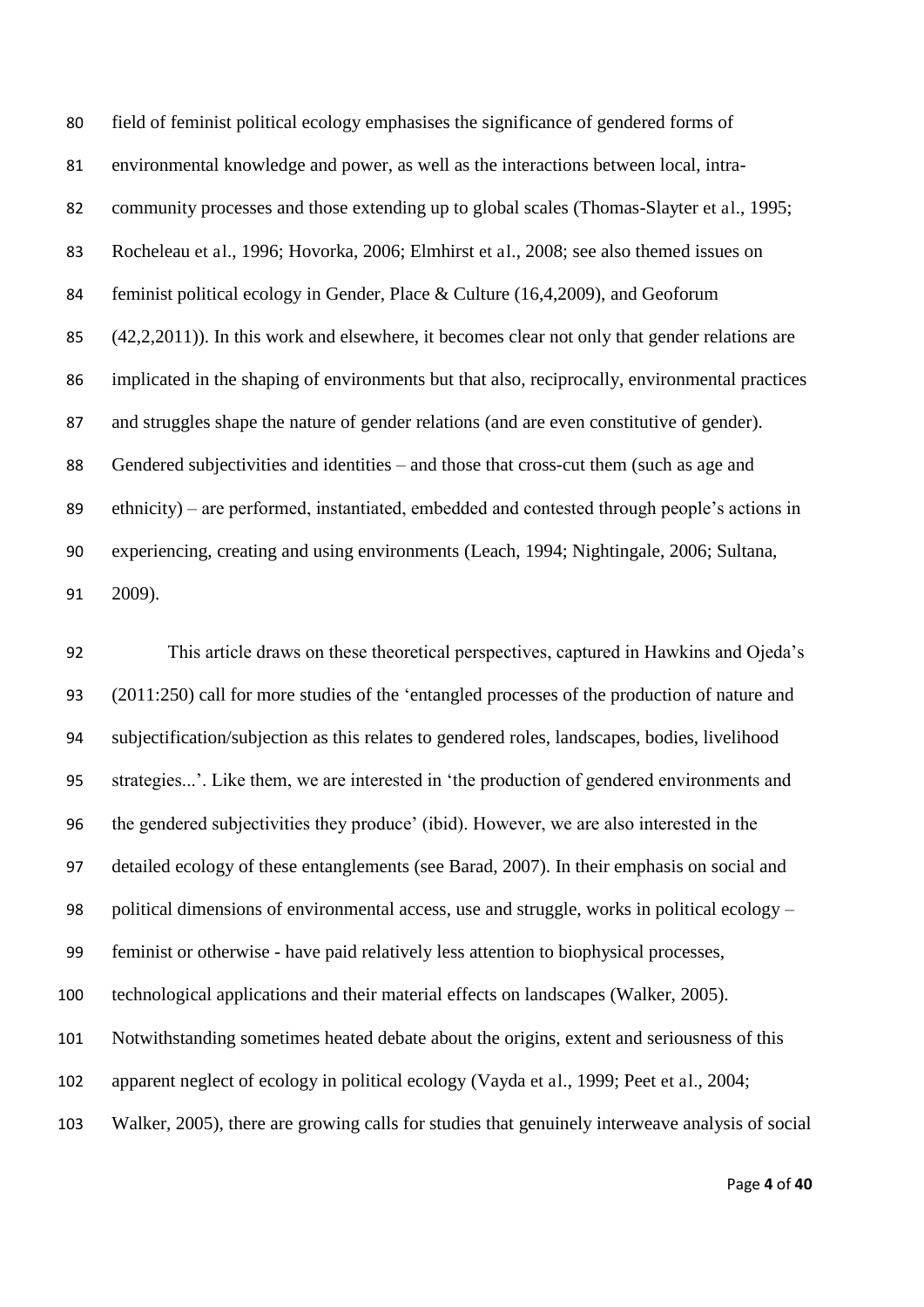field of feminist political ecology emphasises the significance of gendered forms of environmental knowledge and power, as well as the interactions between local, intra- community processes and those extending up to global scales [\(Thomas-Slayter](#page-32-5) et al., 1995; [Rocheleau](#page-32-2) et al., 1996; [Hovorka, 2006;](#page-31-5) Elmhirst et al.[, 2008; see also themed issues on](#page-31-6)  [feminist political ecology in Gender, Place & Culture \(16,4,2009\), and Geoforum](#page-31-6)  [\(42,2,2011\)\)](#page-31-6). In this work and elsewhere, it becomes clear not only that gender relations are implicated in the shaping of environments but that also, reciprocally, environmental practices and struggles shape the nature of gender relations (and are even constitutive of gender). Gendered subjectivities and identities – and those that cross-cut them (such as age and ethnicity) – are performed, instantiated, embedded and contested through people's actions in experiencing, creating and using environments [\(Leach, 1994;](#page-32-3) [Nightingale, 2006;](#page-32-6) [Sultana,](#page-32-7)  [2009\)](#page-32-7).

 This article draws on these theoretical perspectives, captured in Hawkins and Ojeda's [\(2011:250\)](#page-31-7) call for more studies of the 'entangled processes of the production of nature and subjectification/subjection as this relates to gendered roles, landscapes, bodies, livelihood strategies...'. Like them, we are interested in 'the production of gendered environments and the gendered subjectivities they produce' (ibid). However, we are also interested in the detailed ecology of these entanglements [\(see Barad, 2007\)](#page-31-8). In their emphasis on social and political dimensions of environmental access, use and struggle, works in political ecology – feminist or otherwise - have paid relatively less attention to biophysical processes, technological applications and their material effects on landscapes [\(Walker, 2005\)](#page-32-8). Notwithstanding sometimes heated debate about the origins, extent and seriousness of this apparent neglect of ecology in political ecology [\(Vayda](#page-32-9) et al., 1999; Peet et al.[, 2004;](#page-32-10) [Walker, 2005\)](#page-32-8), there are growing calls for studies that genuinely interweave analysis of social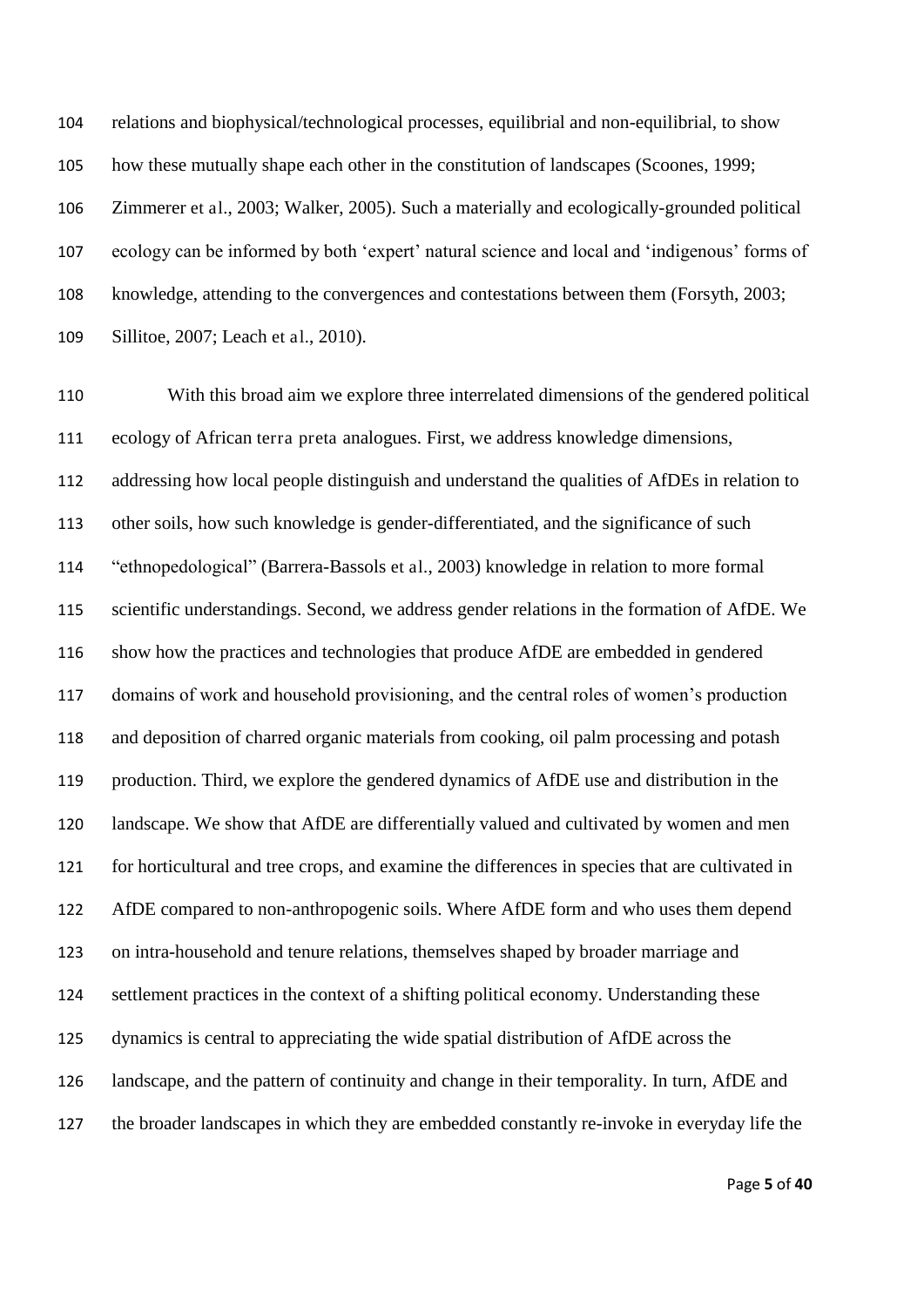relations and biophysical/technological processes, equilibrial and non-equilibrial, to show how these mutually shape each other in the constitution of landscapes [\(Scoones, 1999;](#page-32-11) [Zimmerer](#page-33-0) et al., 2003; [Walker, 2005\)](#page-32-8). Such a materially and ecologically-grounded political ecology can be informed by both 'expert' natural science and local and 'indigenous' forms of knowledge, attending to the convergences and contestations between them [\(Forsyth, 2003;](#page-31-9) [Sillitoe, 2007;](#page-32-12) Leach et al.[, 2010\)](#page-32-13).

 With this broad aim we explore three interrelated dimensions of the gendered political ecology of African terra preta analogues. First, we address knowledge dimensions, addressing how local people distinguish and understand the qualities of AfDEs in relation to other soils, how such knowledge is gender-differentiated, and the significance of such "ethnopedological" [\(Barrera-Bassols](#page-31-0) et al., 2003) knowledge in relation to more formal scientific understandings. Second, we address gender relations in the formation of AfDE. We show how the practices and technologies that produce AfDE are embedded in gendered domains of work and household provisioning, and the central roles of women's production and deposition of charred organic materials from cooking, oil palm processing and potash production. Third, we explore the gendered dynamics of AfDE use and distribution in the landscape. We show that AfDE are differentially valued and cultivated by women and men for horticultural and tree crops, and examine the differences in species that are cultivated in AfDE compared to non-anthropogenic soils. Where AfDE form and who uses them depend on intra-household and tenure relations, themselves shaped by broader marriage and settlement practices in the context of a shifting political economy. Understanding these dynamics is central to appreciating the wide spatial distribution of AfDE across the landscape, and the pattern of continuity and change in their temporality. In turn, AfDE and the broader landscapes in which they are embedded constantly re-invoke in everyday life the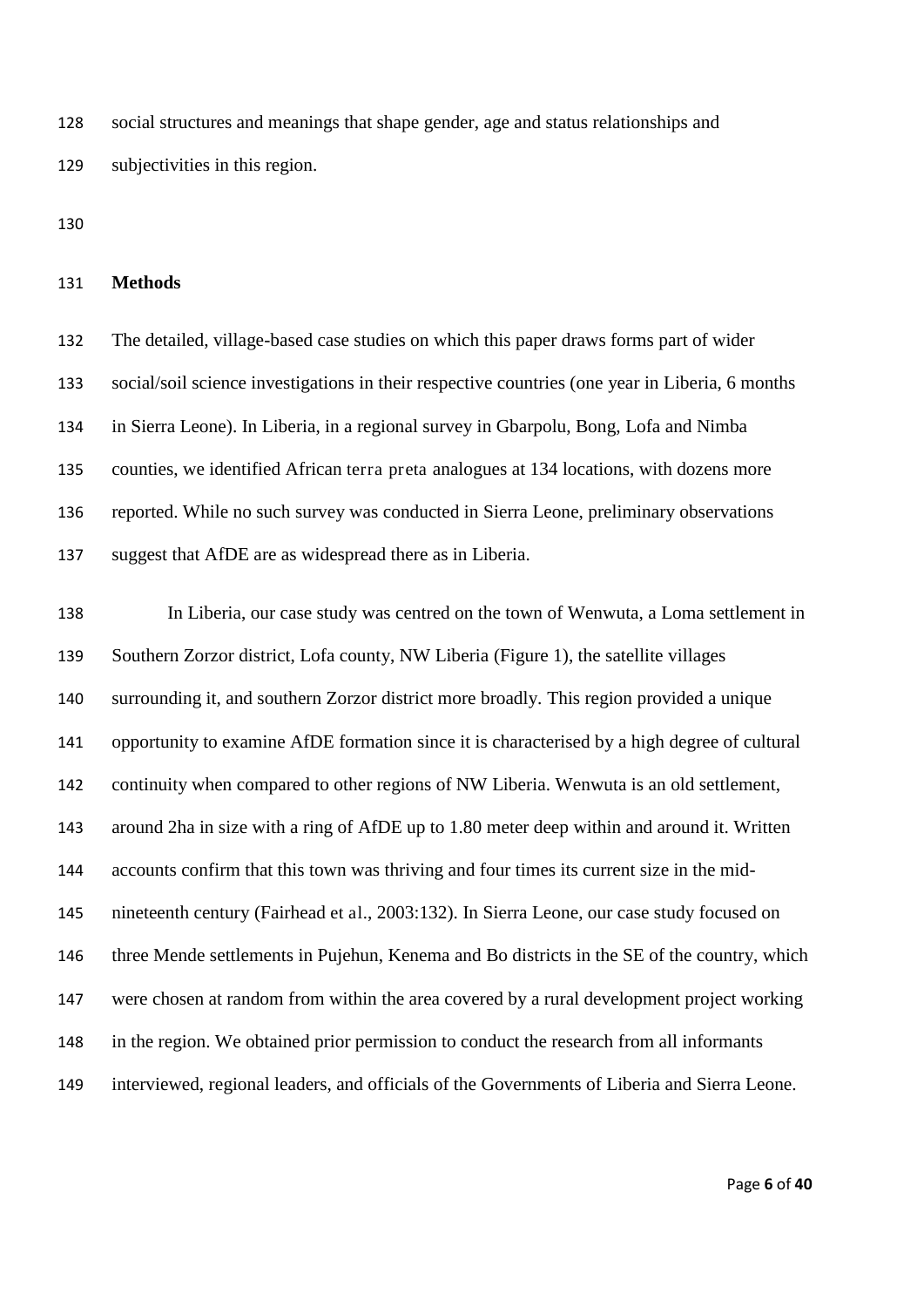social structures and meanings that shape gender, age and status relationships and subjectivities in this region.

#### **Methods**

 The detailed, village-based case studies on which this paper draws forms part of wider social/soil science investigations in their respective countries (one year in Liberia, 6 months in Sierra Leone). In Liberia, in a regional survey in Gbarpolu, Bong, Lofa and Nimba counties, we identified African terra preta analogues at 134 locations, with dozens more reported. While no such survey was conducted in Sierra Leone, preliminary observations suggest that AfDE are as widespread there as in Liberia.

 In Liberia, our case study was centred on the town of Wenwuta, a Loma settlement in Southern Zorzor district, Lofa county, NW Liberia (Figure 1), the satellite villages surrounding it, and southern Zorzor district more broadly. This region provided a unique opportunity to examine AfDE formation since it is characterised by a high degree of cultural continuity when compared to other regions of NW Liberia. Wenwuta is an old settlement, around 2ha in size with a ring of AfDE up to 1.80 meter deep within and around it. Written accounts confirm that this town was thriving and four times its current size in the mid- nineteenth century (Fairhead et al.[, 2003:132\)](#page-31-10). In Sierra Leone, our case study focused on three Mende settlements in Pujehun, Kenema and Bo districts in the SE of the country, which were chosen at random from within the area covered by a rural development project working in the region. We obtained prior permission to conduct the research from all informants interviewed, regional leaders, and officials of the Governments of Liberia and Sierra Leone.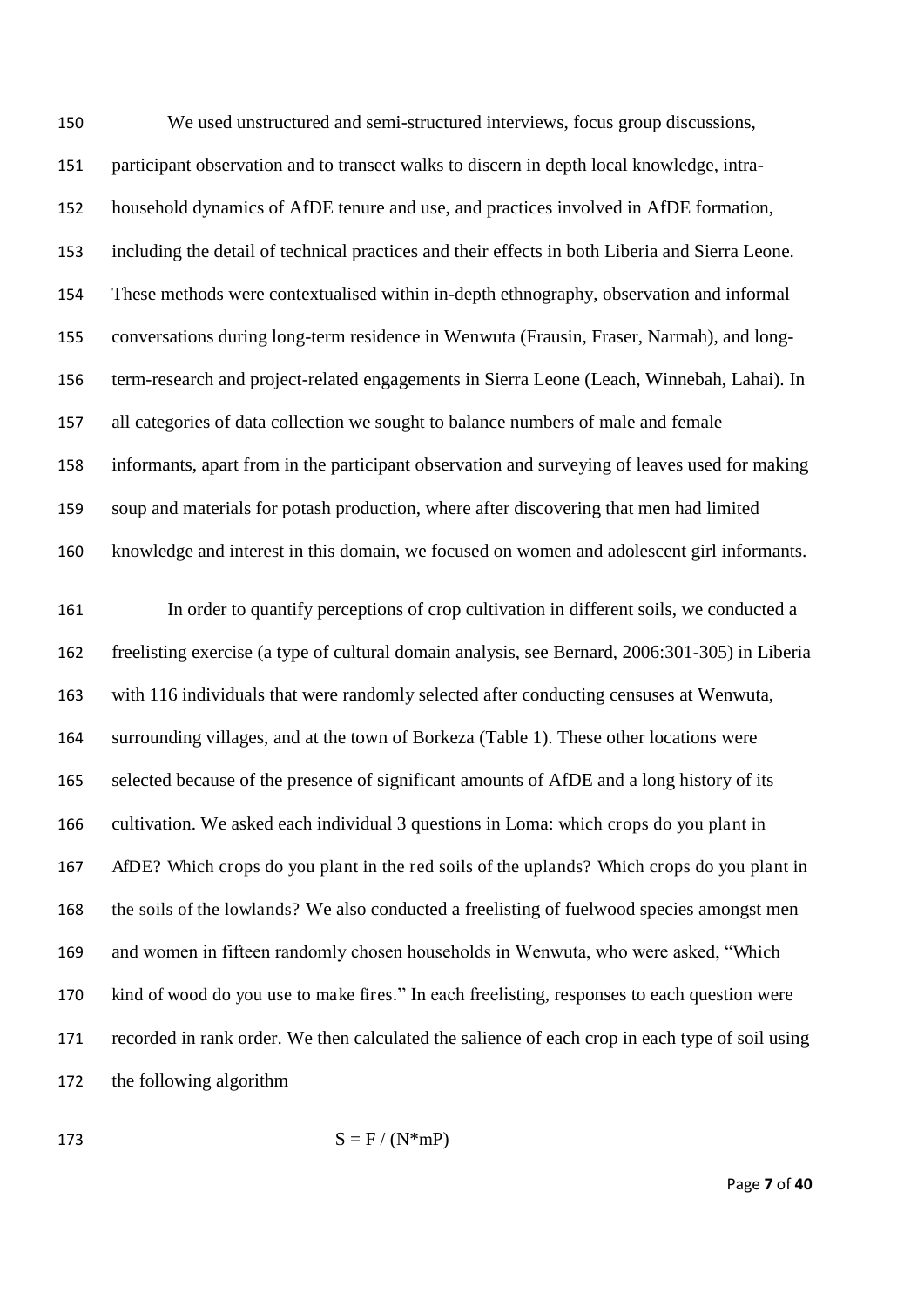We used unstructured and semi-structured interviews, focus group discussions, participant observation and to transect walks to discern in depth local knowledge, intra- household dynamics of AfDE tenure and use, and practices involved in AfDE formation, including the detail of technical practices and their effects in both Liberia and Sierra Leone. These methods were contextualised within in-depth ethnography, observation and informal conversations during long-term residence in Wenwuta (Frausin, Fraser, Narmah), and long- term-research and project-related engagements in Sierra Leone (Leach, Winnebah, Lahai). In all categories of data collection we sought to balance numbers of male and female informants, apart from in the participant observation and surveying of leaves used for making soup and materials for potash production, where after discovering that men had limited knowledge and interest in this domain, we focused on women and adolescent girl informants.

 In order to quantify perceptions of crop cultivation in different soils, we conducted a freelisting exercise [\(a type of cultural domain analysis, see Bernard, 2006:301-305\)](#page-31-11) in Liberia with 116 individuals that were randomly selected after conducting censuses at Wenwuta, surrounding villages, and at the town of Borkeza (Table 1). These other locations were selected because of the presence of significant amounts of AfDE and a long history of its cultivation. We asked each individual 3 questions in Loma: which crops do you plant in AfDE? Which crops do you plant in the red soils of the uplands? Which crops do you plant in the soils of the lowlands? We also conducted a freelisting of fuelwood species amongst men and women in fifteen randomly chosen households in Wenwuta, who were asked, "Which kind of wood do you use to make fires." In each freelisting, responses to each question were recorded in rank order. We then calculated the salience of each crop in each type of soil using the following algorithm

173  $S = F / (N * mP)$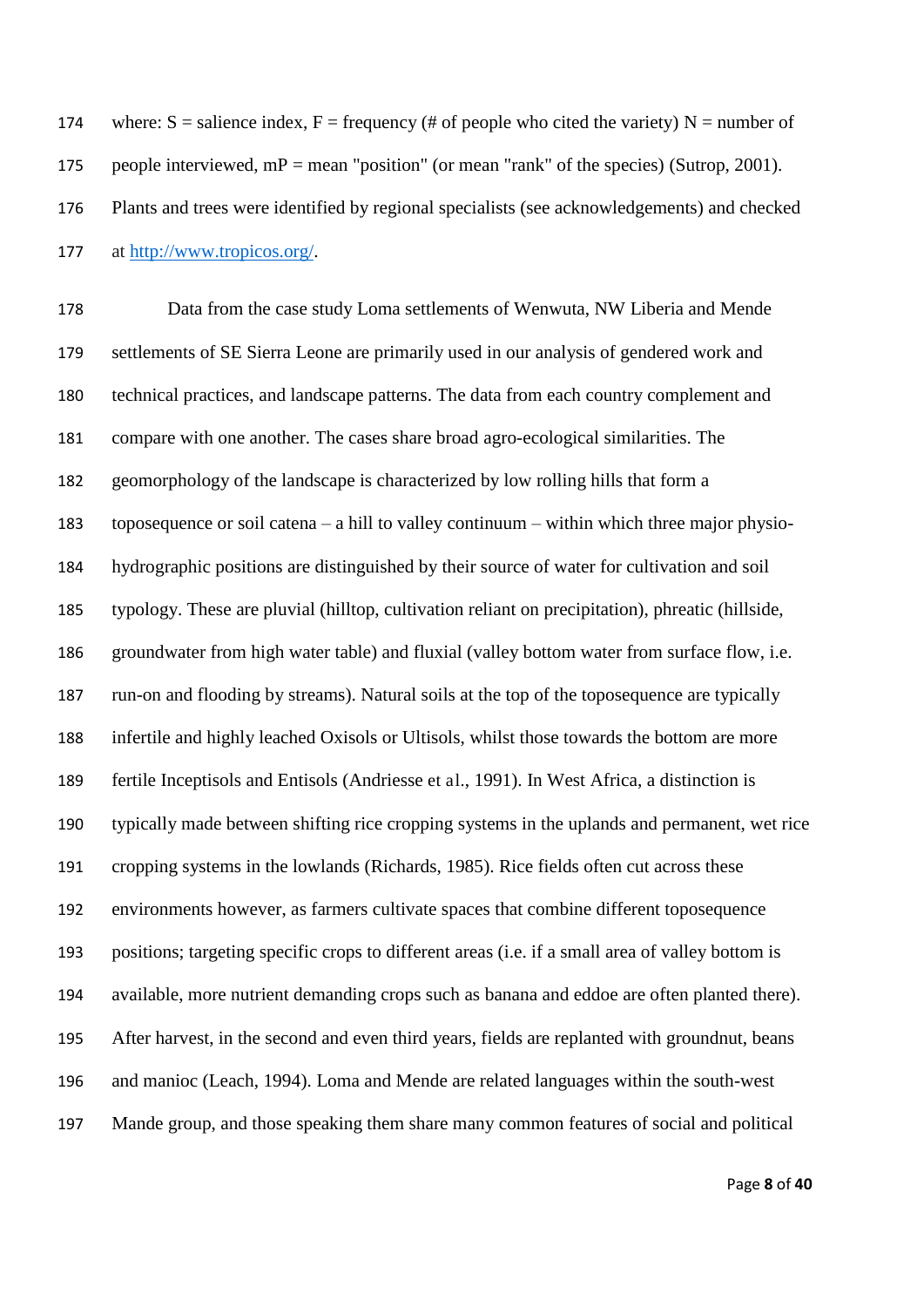174 where:  $S =$  salience index,  $F =$  frequency (# of people who cited the variety) N = number of 175 people interviewed,  $mP = \text{mean}$  "position" (or mean "rank" of the species) [\(Sutrop, 2001\)](#page-32-14). Plants and trees were identified by regional specialists (see acknowledgements) and checked at [http://www.tropicos.org/.](http://www.tropicos.org/)

 Data from the case study Loma settlements of Wenwuta, NW Liberia and Mende settlements of SE Sierra Leone are primarily used in our analysis of gendered work and technical practices, and landscape patterns. The data from each country complement and compare with one another. The cases share broad agro-ecological similarities. The geomorphology of the landscape is characterized by low rolling hills that form a toposequence or soil catena – a hill to valley continuum – within which three major physio- hydrographic positions are distinguished by their source of water for cultivation and soil typology. These are pluvial (hilltop, cultivation reliant on precipitation), phreatic (hillside, groundwater from high water table) and fluxial (valley bottom water from surface flow, i.e. run-on and flooding by streams). Natural soils at the top of the toposequence are typically infertile and highly leached Oxisols or Ultisols, whilst those towards the bottom are more fertile Inceptisols and Entisols [\(Andriesse](#page-31-12) et al., 1991). In West Africa, a distinction is typically made between shifting rice cropping systems in the uplands and permanent, wet rice cropping systems in the lowlands [\(Richards, 1985\)](#page-32-15). Rice fields often cut across these environments however, as farmers cultivate spaces that combine different toposequence positions; targeting specific crops to different areas (i.e. if a small area of valley bottom is available, more nutrient demanding crops such as banana and eddoe are often planted there). After harvest, in the second and even third years, fields are replanted with groundnut, beans and manioc [\(Leach, 1994\)](#page-32-3). Loma and Mende are related languages within the south-west Mande group, and those speaking them share many common features of social and political

Page **8** of **40**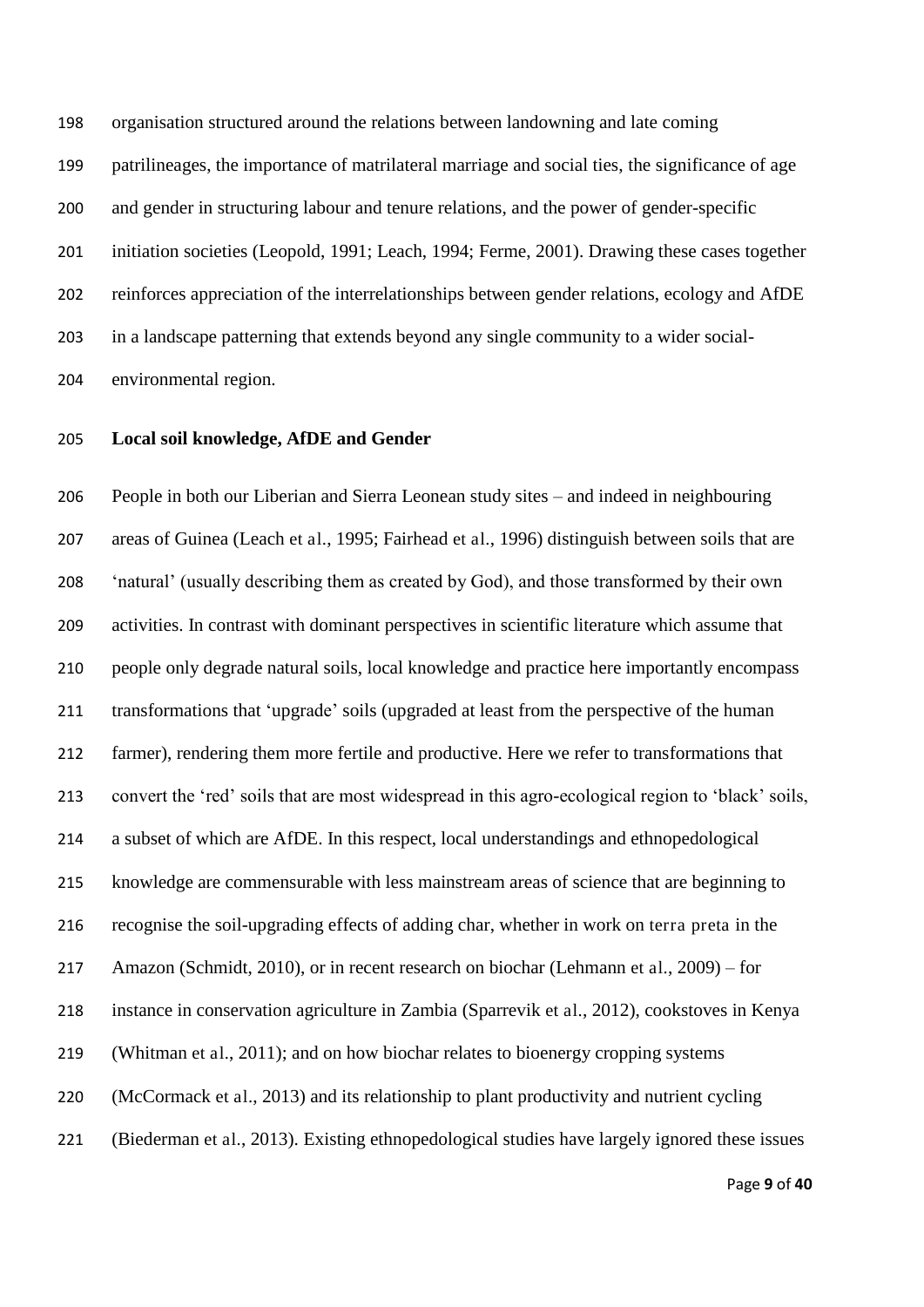organisation structured around the relations between landowning and late coming patrilineages, the importance of matrilateral marriage and social ties, the significance of age and gender in structuring labour and tenure relations, and the power of gender-specific initiation societies [\(Leopold, 1991;](#page-32-16) [Leach, 1994;](#page-32-3) [Ferme, 2001\)](#page-31-13). Drawing these cases together reinforces appreciation of the interrelationships between gender relations, ecology and AfDE in a landscape patterning that extends beyond any single community to a wider social-environmental region.

### **Local soil knowledge, AfDE and Gender**

 People in both our Liberian and Sierra Leonean study sites – and indeed in neighbouring areas of Guinea (Leach et al.[, 1995;](#page-32-17) [Fairhead](#page-31-14) et al., 1996) distinguish between soils that are 'natural' (usually describing them as created by God), and those transformed by their own activities. In contrast with dominant perspectives in scientific literature which assume that people only degrade natural soils, local knowledge and practice here importantly encompass transformations that 'upgrade' soils (upgraded at least from the perspective of the human farmer), rendering them more fertile and productive. Here we refer to transformations that convert the 'red' soils that are most widespread in this agro-ecological region to 'black' soils, a subset of which are AfDE. In this respect, local understandings and ethnopedological knowledge are commensurable with less mainstream areas of science that are beginning to recognise the soil-upgrading effects of adding char, whether in work on terra preta in the Amazon [\(Schmidt, 2010\)](#page-32-18), or in recent research on biochar [\(Lehmann](#page-32-19) et al., 2009) – for instance in conservation agriculture in Zambia [\(Sparrevik](#page-32-20) et al., 2012), cookstoves in Kenya [\(Whitman](#page-33-1) et al., 2011); and on how biochar relates to bioenergy cropping systems [\(McCormack](#page-32-21) et al., 2013) and its relationship to plant productivity and nutrient cycling [\(Biederman](#page-31-15) et al., 2013). Existing ethnopedological studies have largely ignored these issues

Page **9** of **40**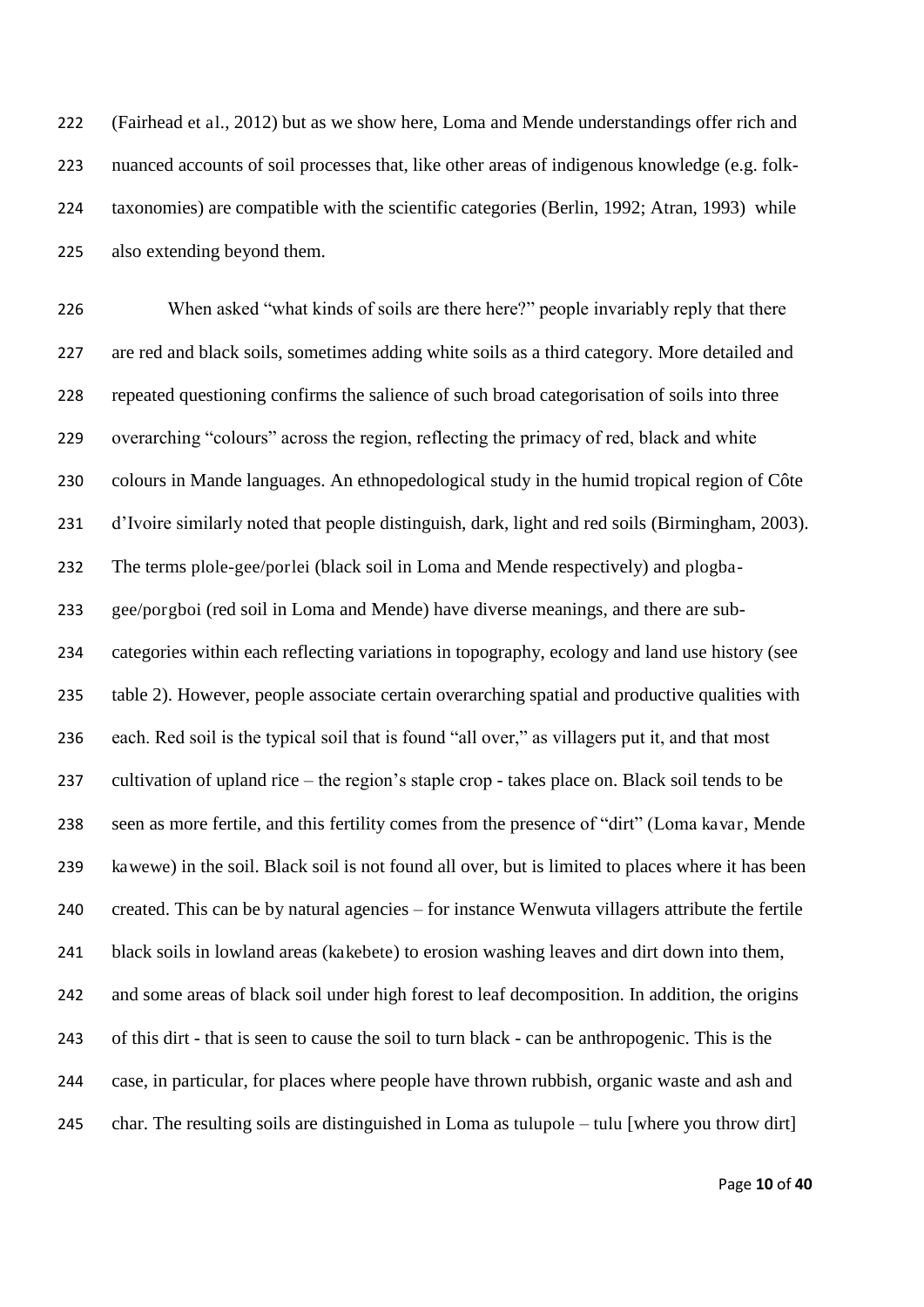[\(Fairhead](#page-31-16) et al., 2012) but as we show here, Loma and Mende understandings offer rich and nuanced accounts of soil processes that, like other areas of indigenous knowledge (e.g. folk- taxonomies) are compatible with the scientific categories [\(Berlin, 1992;](#page-31-17) [Atran, 1993\)](#page-31-18) while also extending beyond them.

 When asked "what kinds of soils are there here?" people invariably reply that there are red and black soils, sometimes adding white soils as a third category. More detailed and repeated questioning confirms the salience of such broad categorisation of soils into three overarching "colours" across the region, reflecting the primacy of red, black and white colours in Mande languages. An ethnopedological study in the humid tropical region of Côte d'Ivoire similarly noted that people distinguish, dark, light and red soils [\(Birmingham, 2003\)](#page-31-19). The terms plole-gee/porlei (black soil in Loma and Mende respectively) and plogba- gee/porgboi (red soil in Loma and Mende) have diverse meanings, and there are sub- categories within each reflecting variations in topography, ecology and land use history (see table 2). However, people associate certain overarching spatial and productive qualities with each. Red soil is the typical soil that is found "all over," as villagers put it, and that most cultivation of upland rice – the region's staple crop - takes place on. Black soil tends to be seen as more fertile, and this fertility comes from the presence of "dirt" (Loma kavar, Mende kawewe) in the soil. Black soil is not found all over, but is limited to places where it has been created. This can be by natural agencies – for instance Wenwuta villagers attribute the fertile black soils in lowland areas (kakebete) to erosion washing leaves and dirt down into them, and some areas of black soil under high forest to leaf decomposition. In addition, the origins of this dirt - that is seen to cause the soil to turn black - can be anthropogenic. This is the case, in particular, for places where people have thrown rubbish, organic waste and ash and char. The resulting soils are distinguished in Loma as tulupole – tulu [where you throw dirt]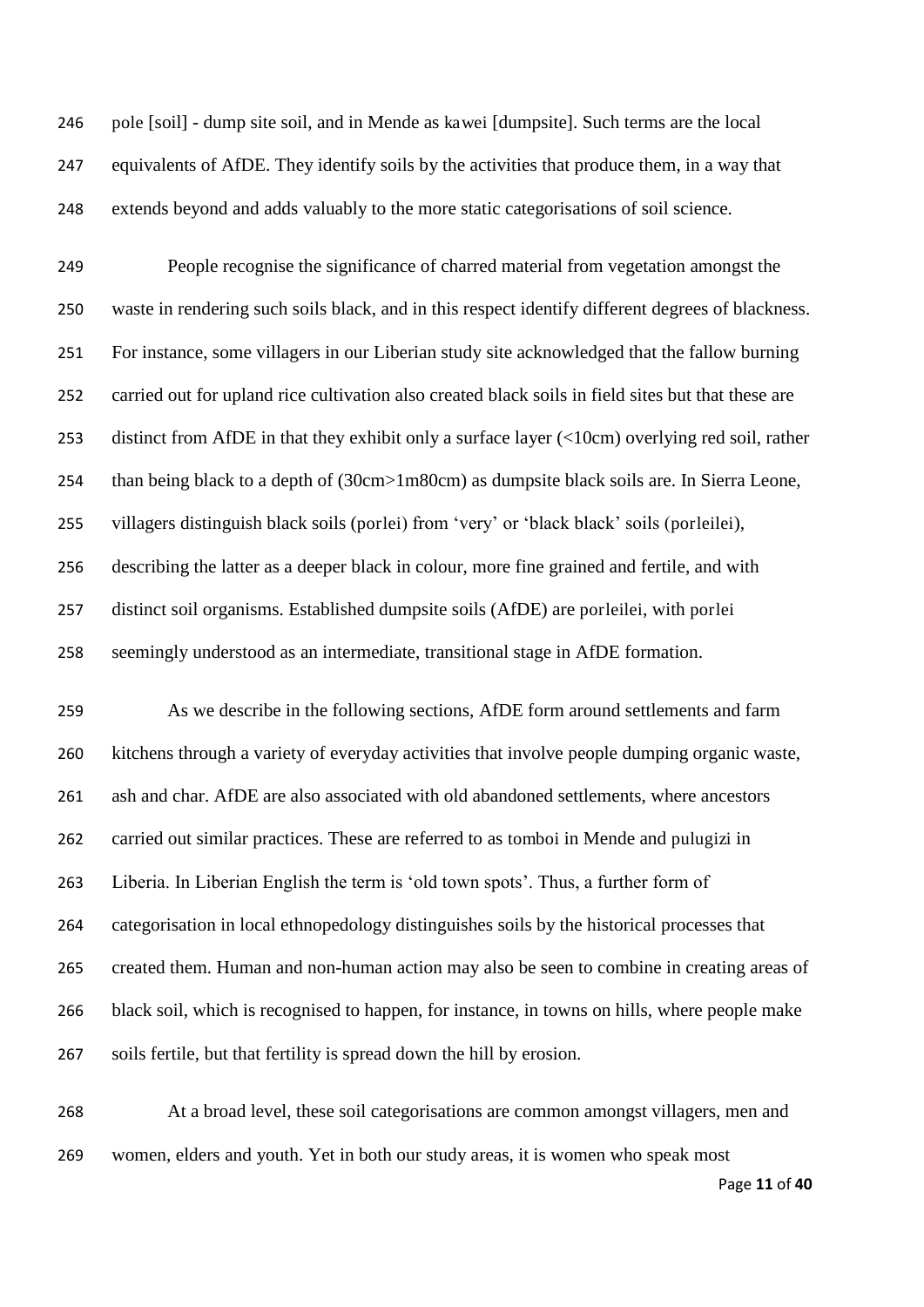pole [soil] - dump site soil, and in Mende as kawei [dumpsite]. Such terms are the local 247 equivalents of AfDE. They identify soils by the activities that produce them, in a way that extends beyond and adds valuably to the more static categorisations of soil science.

 People recognise the significance of charred material from vegetation amongst the waste in rendering such soils black, and in this respect identify different degrees of blackness. For instance, some villagers in our Liberian study site acknowledged that the fallow burning carried out for upland rice cultivation also created black soils in field sites but that these are distinct from AfDE in that they exhibit only a surface layer (<10cm) overlying red soil, rather than being black to a depth of (30cm>1m80cm) as dumpsite black soils are. In Sierra Leone, villagers distinguish black soils (porlei) from 'very' or 'black black' soils (porleilei), describing the latter as a deeper black in colour, more fine grained and fertile, and with distinct soil organisms. Established dumpsite soils (AfDE) are porleilei, with porlei seemingly understood as an intermediate, transitional stage in AfDE formation.

 As we describe in the following sections, AfDE form around settlements and farm kitchens through a variety of everyday activities that involve people dumping organic waste, ash and char. AfDE are also associated with old abandoned settlements, where ancestors carried out similar practices. These are referred to as tomboi in Mende and pulugizi in Liberia. In Liberian English the term is 'old town spots'. Thus, a further form of categorisation in local ethnopedology distinguishes soils by the historical processes that created them. Human and non-human action may also be seen to combine in creating areas of black soil, which is recognised to happen, for instance, in towns on hills, where people make soils fertile, but that fertility is spread down the hill by erosion.

 At a broad level, these soil categorisations are common amongst villagers, men and women, elders and youth. Yet in both our study areas, it is women who speak most

#### Page **11** of **40**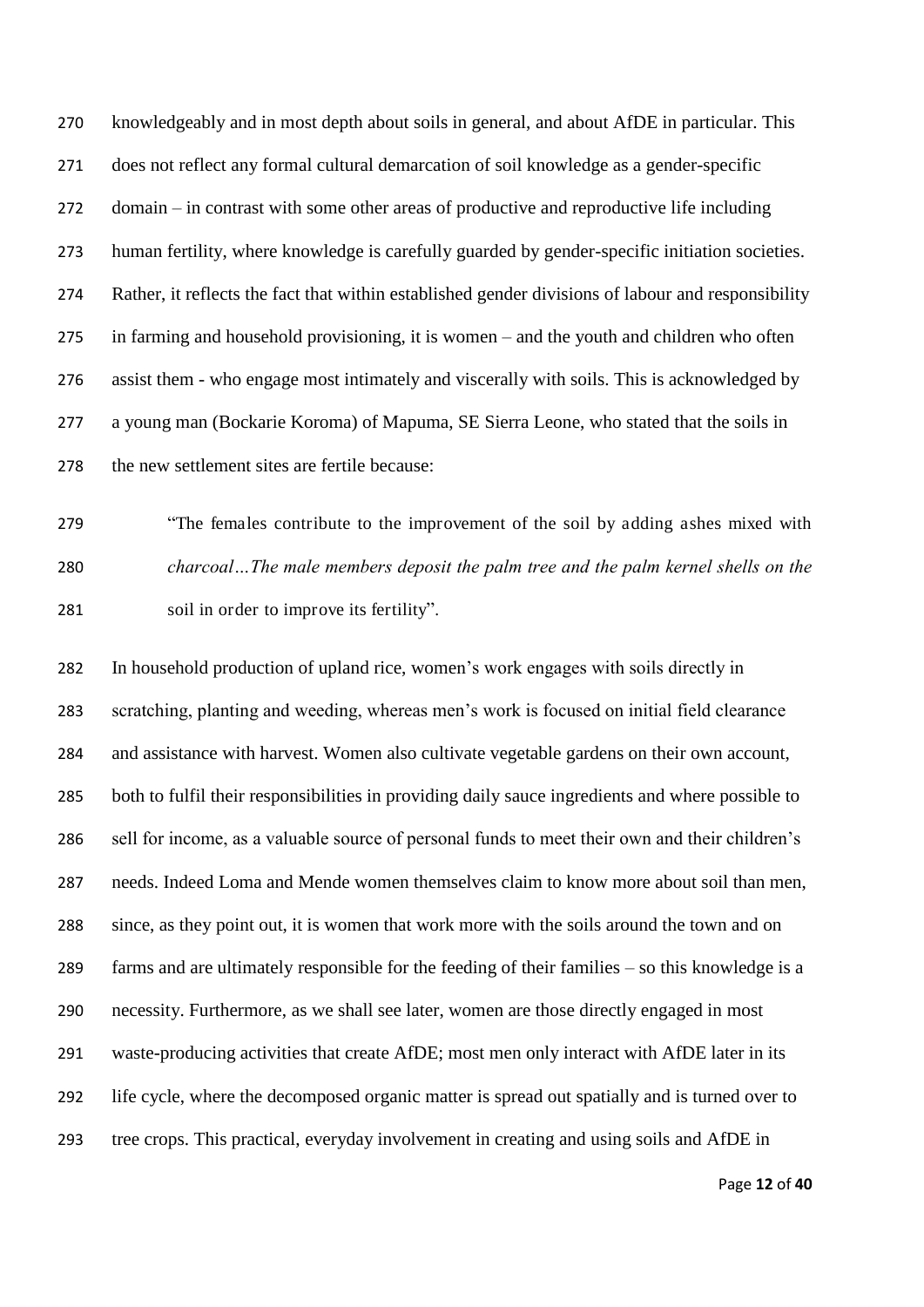knowledgeably and in most depth about soils in general, and about AfDE in particular. This does not reflect any formal cultural demarcation of soil knowledge as a gender-specific domain – in contrast with some other areas of productive and reproductive life including human fertility, where knowledge is carefully guarded by gender-specific initiation societies. Rather, it reflects the fact that within established gender divisions of labour and responsibility in farming and household provisioning, it is women – and the youth and children who often assist them - who engage most intimately and viscerally with soils. This is acknowledged by a young man (Bockarie Koroma) of Mapuma, SE Sierra Leone, who stated that the soils in the new settlement sites are fertile because:

 "The females contribute to the improvement of the soil by adding ashes mixed with *charcoal…The male members deposit the palm tree and the palm kernel shells on the*  281 soil in order to improve its fertility".

 In household production of upland rice, women's work engages with soils directly in scratching, planting and weeding, whereas men's work is focused on initial field clearance and assistance with harvest. Women also cultivate vegetable gardens on their own account, both to fulfil their responsibilities in providing daily sauce ingredients and where possible to sell for income, as a valuable source of personal funds to meet their own and their children's needs. Indeed Loma and Mende women themselves claim to know more about soil than men, since, as they point out, it is women that work more with the soils around the town and on farms and are ultimately responsible for the feeding of their families – so this knowledge is a necessity. Furthermore, as we shall see later, women are those directly engaged in most waste-producing activities that create AfDE; most men only interact with AfDE later in its life cycle, where the decomposed organic matter is spread out spatially and is turned over to tree crops. This practical, everyday involvement in creating and using soils and AfDE in

Page **12** of **40**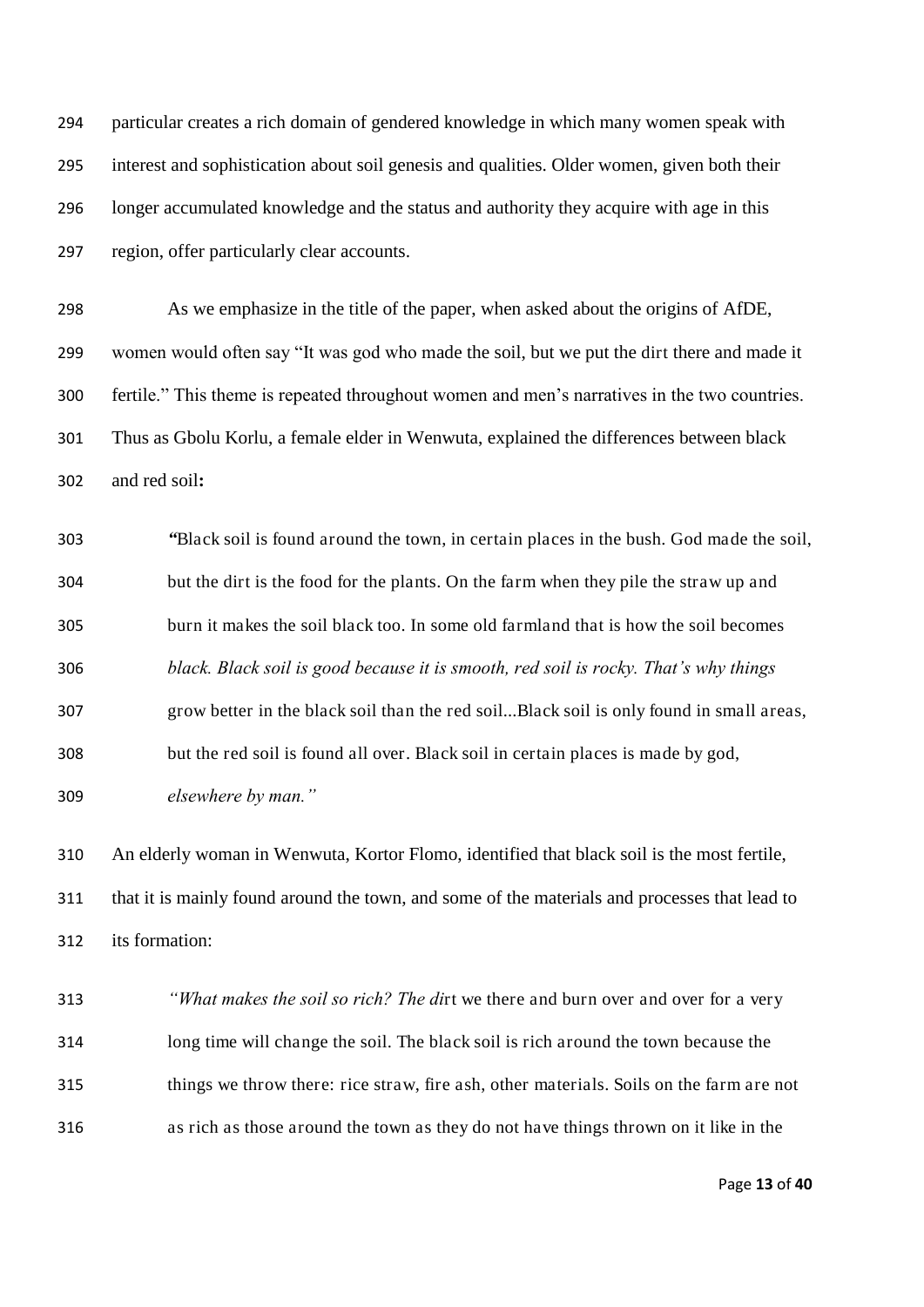particular creates a rich domain of gendered knowledge in which many women speak with interest and sophistication about soil genesis and qualities. Older women, given both their longer accumulated knowledge and the status and authority they acquire with age in this region, offer particularly clear accounts.

 As we emphasize in the title of the paper, when asked about the origins of AfDE, women would often say "It was god who made the soil, but we put the dirt there and made it fertile." This theme is repeated throughout women and men's narratives in the two countries. Thus as Gbolu Korlu, a female elder in Wenwuta, explained the differences between black and red soil**:** 

 *"*Black soil is found around the town, in certain places in the bush. God made the soil, but the dirt is the food for the plants. On the farm when they pile the straw up and burn it makes the soil black too. In some old farmland that is how the soil becomes *black. Black soil is good because it is smooth, red soil is rocky. That's why things*  grow better in the black soil than the red soil...Black soil is only found in small areas, but the red soil is found all over. Black soil in certain places is made by god, *elsewhere by man."*

 An elderly woman in Wenwuta, Kortor Flomo, identified that black soil is the most fertile, that it is mainly found around the town, and some of the materials and processes that lead to its formation:

 *"What makes the soil so rich? The di*rt we there and burn over and over for a very long time will change the soil. The black soil is rich around the town because the things we throw there: rice straw, fire ash, other materials. Soils on the farm are not as rich as those around the town as they do not have things thrown on it like in the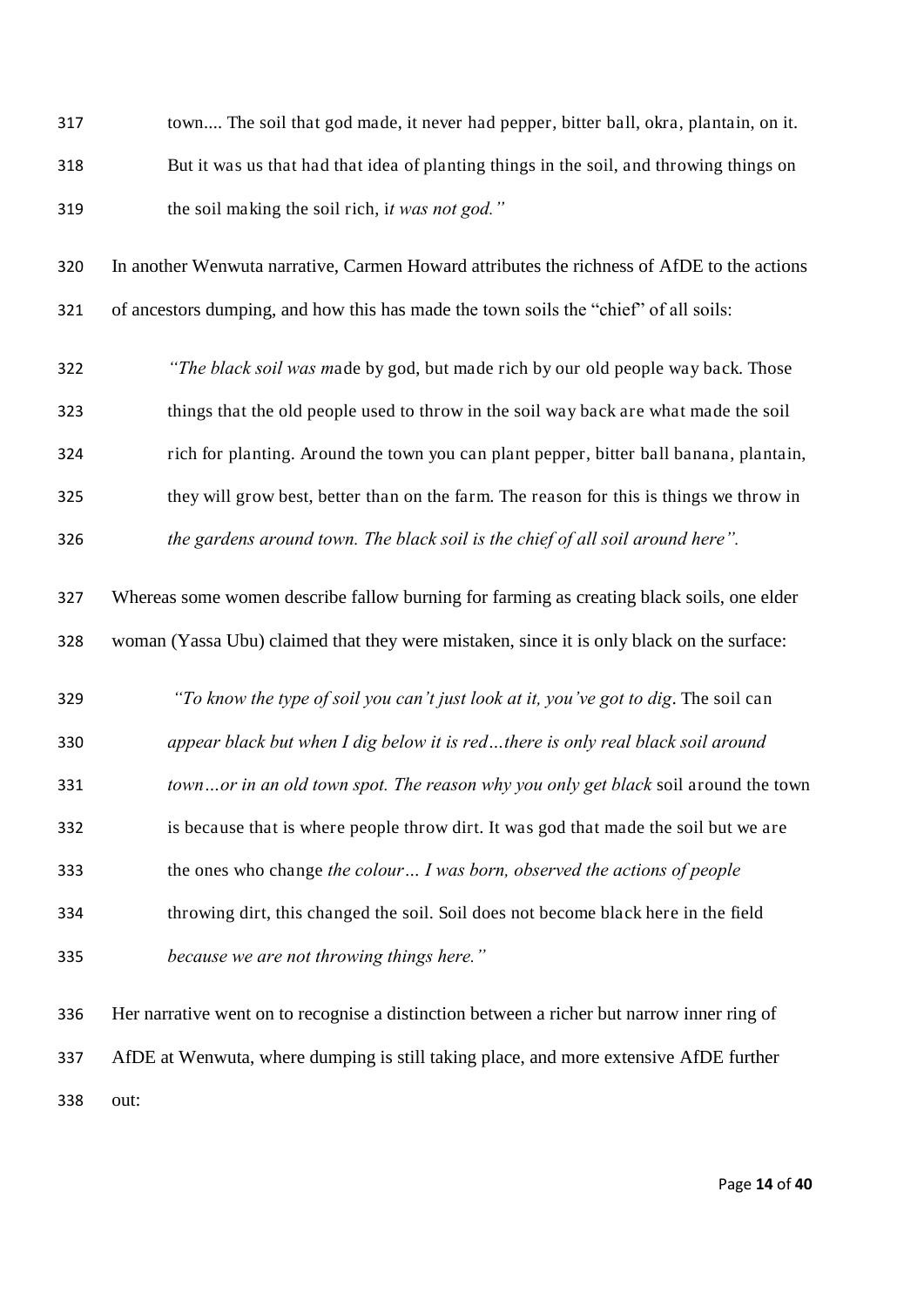town.... The soil that god made, it never had pepper, bitter ball, okra, plantain, on it. But it was us that had that idea of planting things in the soil, and throwing things on the soil making the soil rich, i*t was not god."*

 In another Wenwuta narrative, Carmen Howard attributes the richness of AfDE to the actions of ancestors dumping, and how this has made the town soils the "chief" of all soils:

 *"The black soil was m*ade by god, but made rich by our old people way back. Those things that the old people used to throw in the soil way back are what made the soil rich for planting. Around the town you can plant pepper, bitter ball banana, plantain, they will grow best, better than on the farm. The reason for this is things we throw in *the gardens around town. The black soil is the chief of all soil around here".* 

 Whereas some women describe fallow burning for farming as creating black soils, one elder woman (Yassa Ubu) claimed that they were mistaken, since it is only black on the surface:

*"To know the type of soil you can't just look at it, you've got to dig*. The soil can

*appear black but when I dig below it is red…there is only real black soil around* 

*town…or in an old town spot. The reason why you only get black* soil around the town

- is because that is where people throw dirt. It was god that made the soil but we are
- the ones who change *the colour… I was born, observed the actions of people*

 throwing dirt, this changed the soil. Soil does not become black here in the field *because we are not throwing things here."*

 Her narrative went on to recognise a distinction between a richer but narrow inner ring of AfDE at Wenwuta, where dumping is still taking place, and more extensive AfDE further out: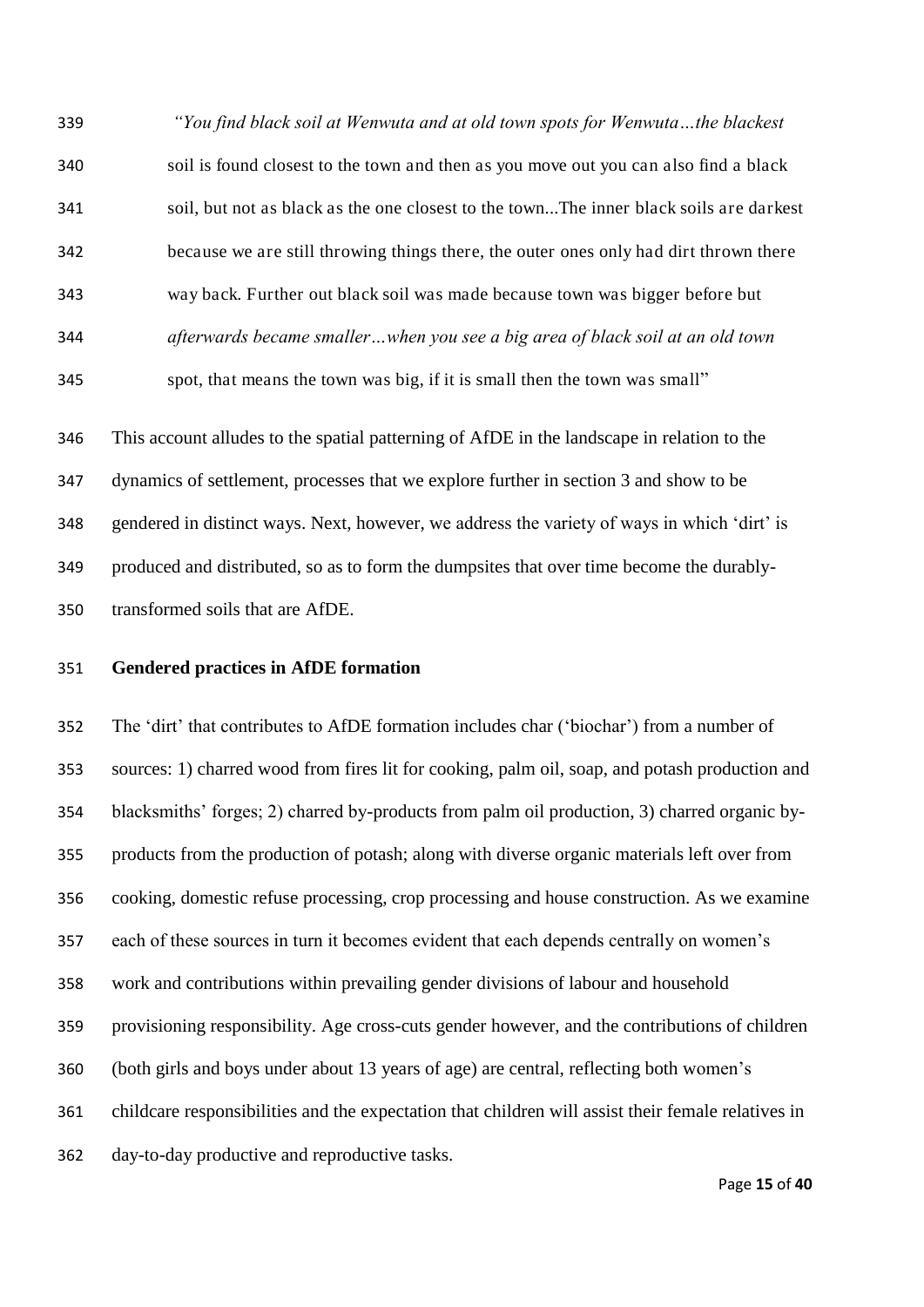*"You find black soil at Wenwuta and at old town spots for Wenwuta…the blackest*  soil is found closest to the town and then as you move out you can also find a black soil, but not as black as the one closest to the town...The inner black soils are darkest because we are still throwing things there, the outer ones only had dirt thrown there way back. Further out black soil was made because town was bigger before but *afterwards became smaller…when you see a big area of black soil at an old town*  spot, that means the town was big, if it is small then the town was small"

 This account alludes to the spatial patterning of AfDE in the landscape in relation to the dynamics of settlement, processes that we explore further in section 3 and show to be gendered in distinct ways. Next, however, we address the variety of ways in which 'dirt' is produced and distributed, so as to form the dumpsites that over time become the durably-transformed soils that are AfDE.

#### **Gendered practices in AfDE formation**

 The 'dirt' that contributes to AfDE formation includes char ('biochar') from a number of sources: 1) charred wood from fires lit for cooking, palm oil, soap, and potash production and blacksmiths' forges; 2) charred by-products from palm oil production, 3) charred organic by- products from the production of potash; along with diverse organic materials left over from cooking, domestic refuse processing, crop processing and house construction. As we examine each of these sources in turn it becomes evident that each depends centrally on women's work and contributions within prevailing gender divisions of labour and household provisioning responsibility. Age cross-cuts gender however, and the contributions of children (both girls and boys under about 13 years of age) are central, reflecting both women's childcare responsibilities and the expectation that children will assist their female relatives in day-to-day productive and reproductive tasks.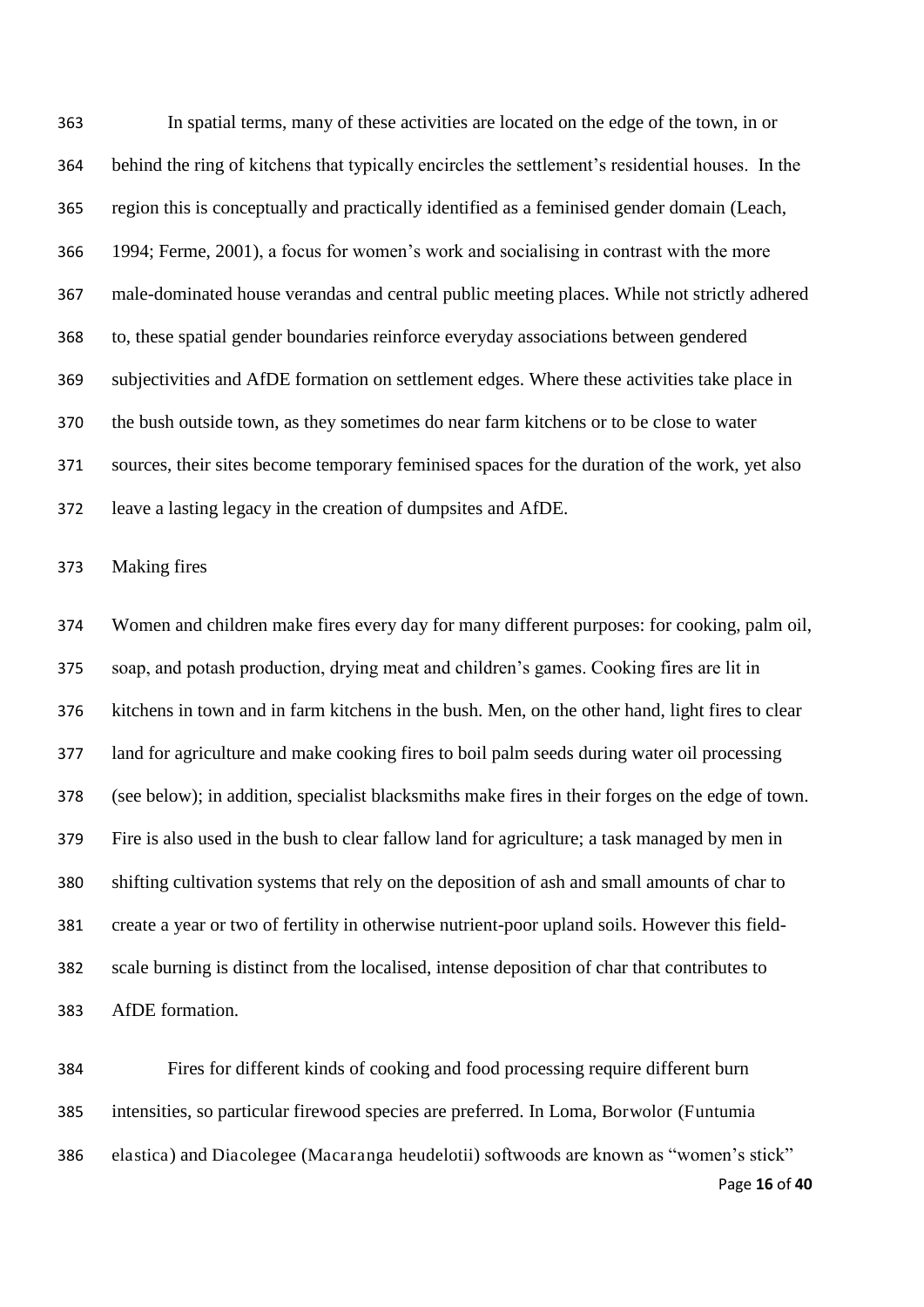In spatial terms, many of these activities are located on the edge of the town, in or behind the ring of kitchens that typically encircles the settlement's residential houses. In the region this is conceptually and practically identified as a feminised gender domain [\(Leach,](#page-32-3)  [1994;](#page-32-3) [Ferme, 2001\)](#page-31-13), a focus for women's work and socialising in contrast with the more male-dominated house verandas and central public meeting places. While not strictly adhered to, these spatial gender boundaries reinforce everyday associations between gendered subjectivities and AfDE formation on settlement edges. Where these activities take place in the bush outside town, as they sometimes do near farm kitchens or to be close to water sources, their sites become temporary feminised spaces for the duration of the work, yet also leave a lasting legacy in the creation of dumpsites and AfDE.

Making fires

 Women and children make fires every day for many different purposes: for cooking, palm oil, soap, and potash production, drying meat and children's games. Cooking fires are lit in kitchens in town and in farm kitchens in the bush. Men, on the other hand, light fires to clear land for agriculture and make cooking fires to boil palm seeds during water oil processing (see below); in addition, specialist blacksmiths make fires in their forges on the edge of town. Fire is also used in the bush to clear fallow land for agriculture; a task managed by men in shifting cultivation systems that rely on the deposition of ash and small amounts of char to create a year or two of fertility in otherwise nutrient-poor upland soils. However this field- scale burning is distinct from the localised, intense deposition of char that contributes to AfDE formation.

Page **16** of **40** Fires for different kinds of cooking and food processing require different burn intensities, so particular firewood species are preferred. In Loma, Borwolor (Funtumia elastica) and Diacolegee (Macaranga heudelotii) softwoods are known as "women's stick"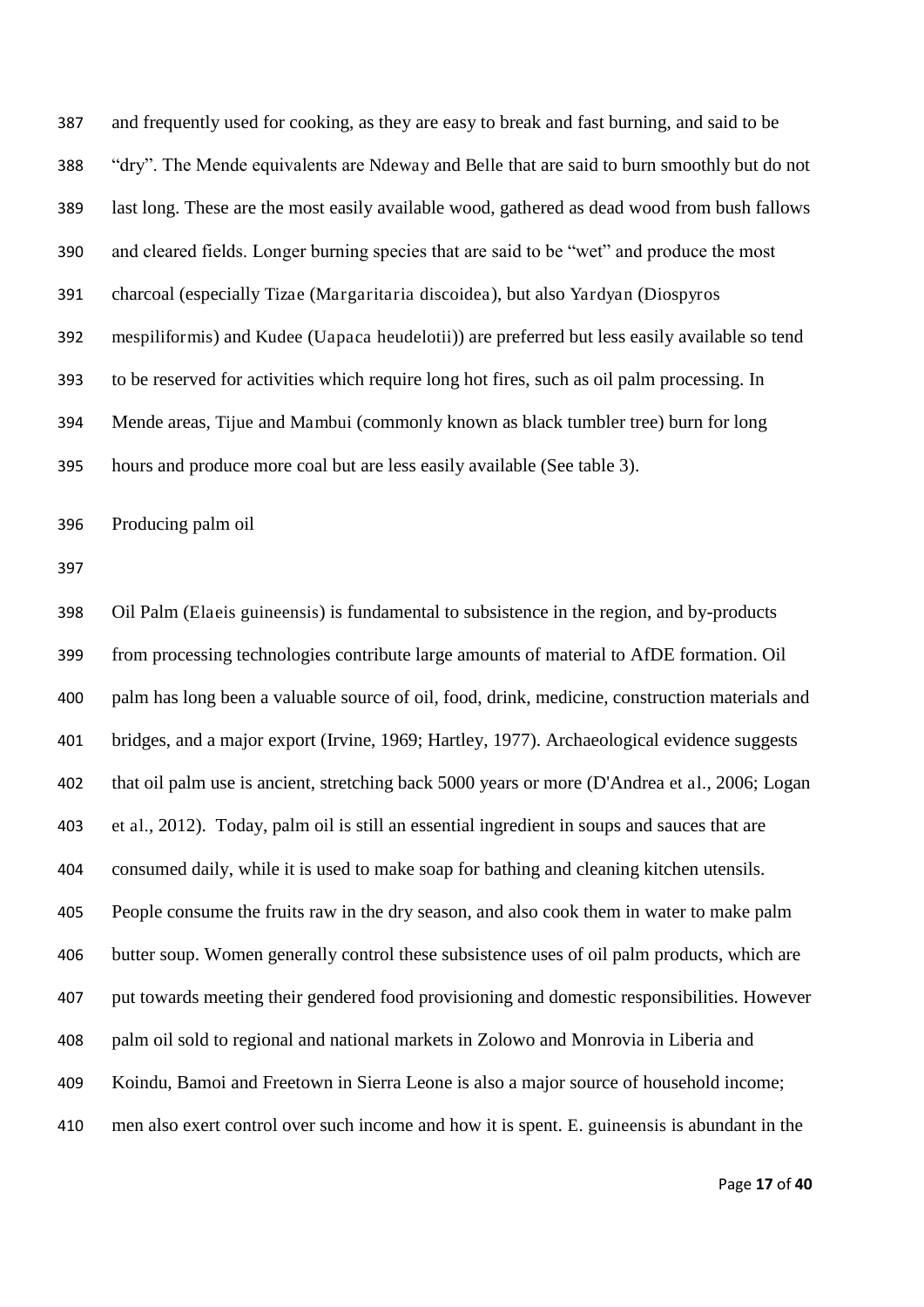and frequently used for cooking, as they are easy to break and fast burning, and said to be "dry". The Mende equivalents are Ndeway and Belle that are said to burn smoothly but do not last long. These are the most easily available wood, gathered as dead wood from bush fallows and cleared fields. Longer burning species that are said to be "wet" and produce the most charcoal (especially Tizae (Margaritaria discoidea), but also Yardyan (Diospyros mespiliformis) and Kudee (Uapaca heudelotii)) are preferred but less easily available so tend to be reserved for activities which require long hot fires, such as oil palm processing. In Mende areas, Tijue and Mambui (commonly known as black tumbler tree) burn for long hours and produce more coal but are less easily available (See table 3).

Producing palm oil

 Oil Palm (Elaeis guineensis) is fundamental to subsistence in the region, and by-products from processing technologies contribute large amounts of material to AfDE formation. Oil palm has long been a valuable source of oil, food, drink, medicine, construction materials and bridges, and a major export [\(Irvine, 1969;](#page-31-20) [Hartley, 1977\)](#page-31-21). Archaeological evidence suggests that oil palm use is ancient, stretching back 5000 years or more [\(D'Andrea](#page-31-22) et al., 2006; [Logan](#page-32-22) et al.[, 2012\)](#page-32-22). Today, palm oil is still an essential ingredient in soups and sauces that are consumed daily, while it is used to make soap for bathing and cleaning kitchen utensils. People consume the fruits raw in the dry season, and also cook them in water to make palm butter soup. Women generally control these subsistence uses of oil palm products, which are put towards meeting their gendered food provisioning and domestic responsibilities. However palm oil sold to regional and national markets in Zolowo and Monrovia in Liberia and Koindu, Bamoi and Freetown in Sierra Leone is also a major source of household income; men also exert control over such income and how it is spent. E. guineensis is abundant in the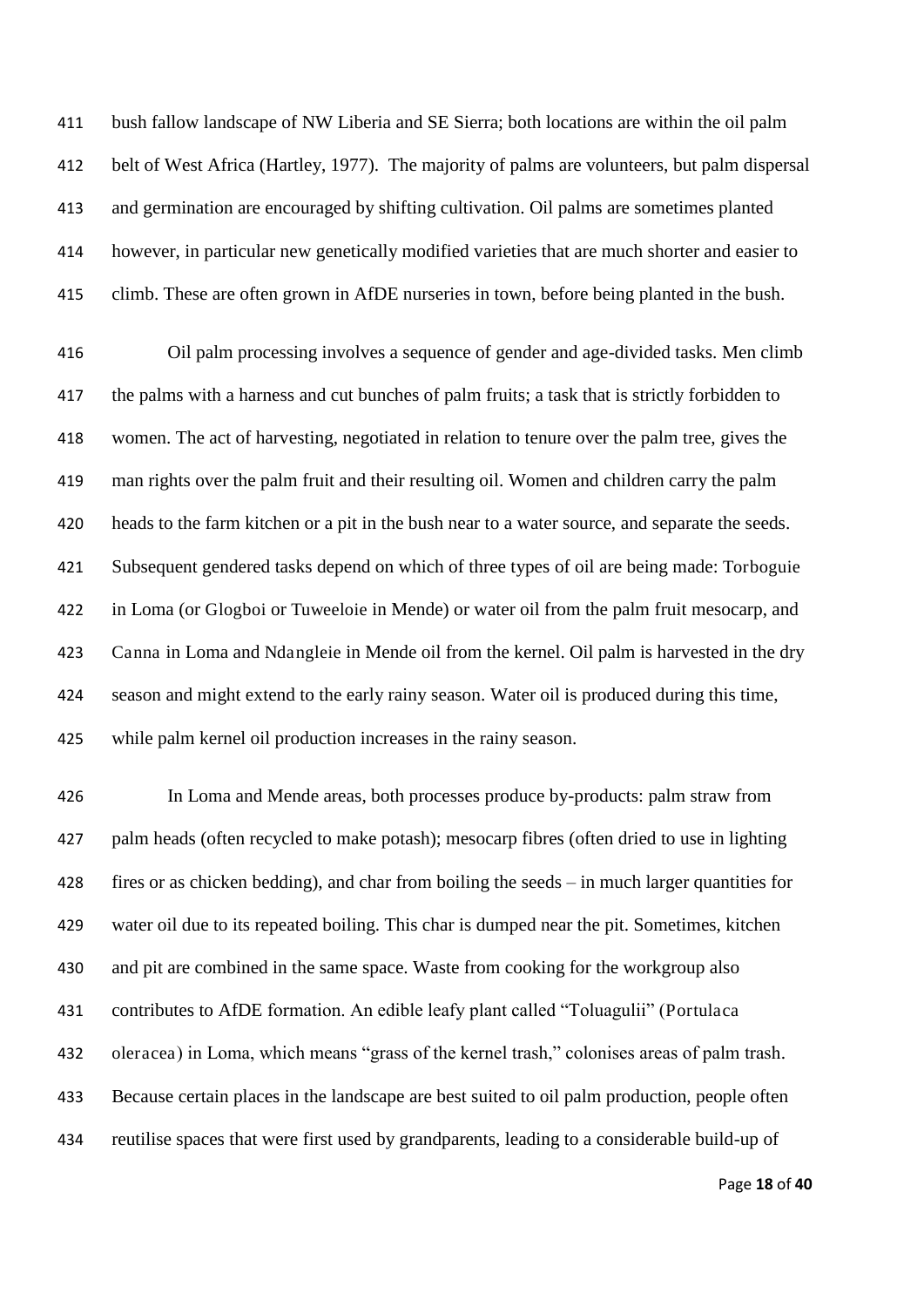bush fallow landscape of NW Liberia and SE Sierra; both locations are within the oil palm belt of West Africa [\(Hartley, 1977\)](#page-31-21). The majority of palms are volunteers, but palm dispersal and germination are encouraged by shifting cultivation. Oil palms are sometimes planted however, in particular new genetically modified varieties that are much shorter and easier to climb. These are often grown in AfDE nurseries in town, before being planted in the bush.

 Oil palm processing involves a sequence of gender and age-divided tasks. Men climb the palms with a harness and cut bunches of palm fruits; a task that is strictly forbidden to women. The act of harvesting, negotiated in relation to tenure over the palm tree, gives the man rights over the palm fruit and their resulting oil. Women and children carry the palm heads to the farm kitchen or a pit in the bush near to a water source, and separate the seeds. Subsequent gendered tasks depend on which of three types of oil are being made: Torboguie in Loma (or Glogboi or Tuweeloie in Mende) or water oil from the palm fruit mesocarp, and Canna in Loma and Ndangleie in Mende oil from the kernel. Oil palm is harvested in the dry season and might extend to the early rainy season. Water oil is produced during this time, while palm kernel oil production increases in the rainy season.

 In Loma and Mende areas, both processes produce by-products: palm straw from palm heads (often recycled to make potash); mesocarp fibres (often dried to use in lighting fires or as chicken bedding), and char from boiling the seeds – in much larger quantities for water oil due to its repeated boiling. This char is dumped near the pit. Sometimes, kitchen and pit are combined in the same space. Waste from cooking for the workgroup also contributes to AfDE formation. An edible leafy plant called "Toluagulii" (Portulaca oleracea) in Loma, which means "grass of the kernel trash," colonises areas of palm trash. Because certain places in the landscape are best suited to oil palm production, people often reutilise spaces that were first used by grandparents, leading to a considerable build-up of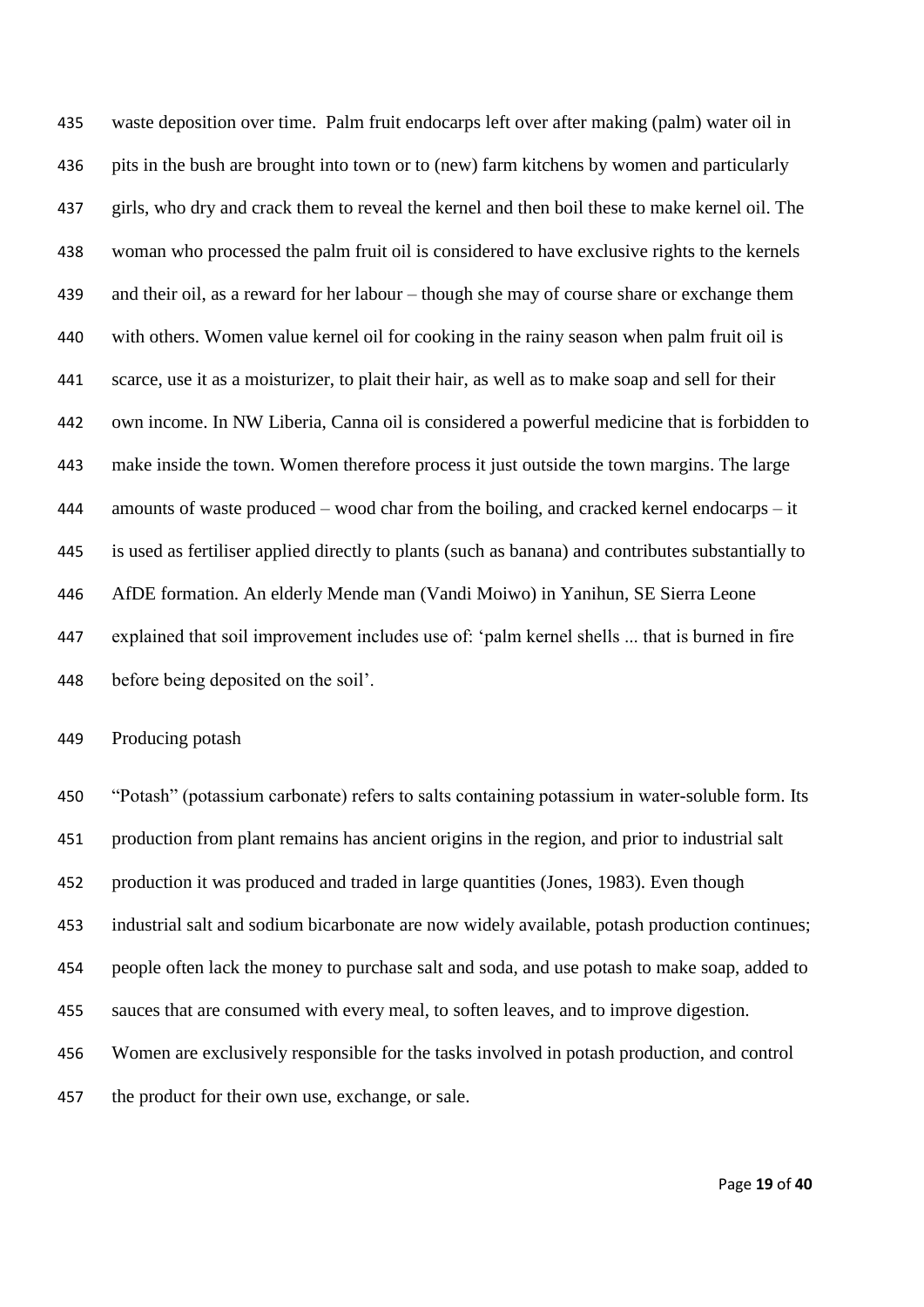waste deposition over time. Palm fruit endocarps left over after making (palm) water oil in 436 pits in the bush are brought into town or to (new) farm kitchens by women and particularly girls, who dry and crack them to reveal the kernel and then boil these to make kernel oil. The woman who processed the palm fruit oil is considered to have exclusive rights to the kernels and their oil, as a reward for her labour – though she may of course share or exchange them with others. Women value kernel oil for cooking in the rainy season when palm fruit oil is scarce, use it as a moisturizer, to plait their hair, as well as to make soap and sell for their own income. In NW Liberia, Canna oil is considered a powerful medicine that is forbidden to make inside the town. Women therefore process it just outside the town margins. The large amounts of waste produced – wood char from the boiling, and cracked kernel endocarps – it is used as fertiliser applied directly to plants (such as banana) and contributes substantially to AfDE formation. An elderly Mende man (Vandi Moiwo) in Yanihun, SE Sierra Leone explained that soil improvement includes use of: 'palm kernel shells ... that is burned in fire before being deposited on the soil'.

Producing potash

 "Potash" (potassium carbonate) refers to salts containing potassium in water-soluble form. Its production from plant remains has ancient origins in the region, and prior to industrial salt production it was produced and traded in large quantities [\(Jones, 1983\)](#page-31-23). Even though industrial salt and sodium bicarbonate are now widely available, potash production continues; people often lack the money to purchase salt and soda, and use potash to make soap, added to sauces that are consumed with every meal, to soften leaves, and to improve digestion. Women are exclusively responsible for the tasks involved in potash production, and control the product for their own use, exchange, or sale.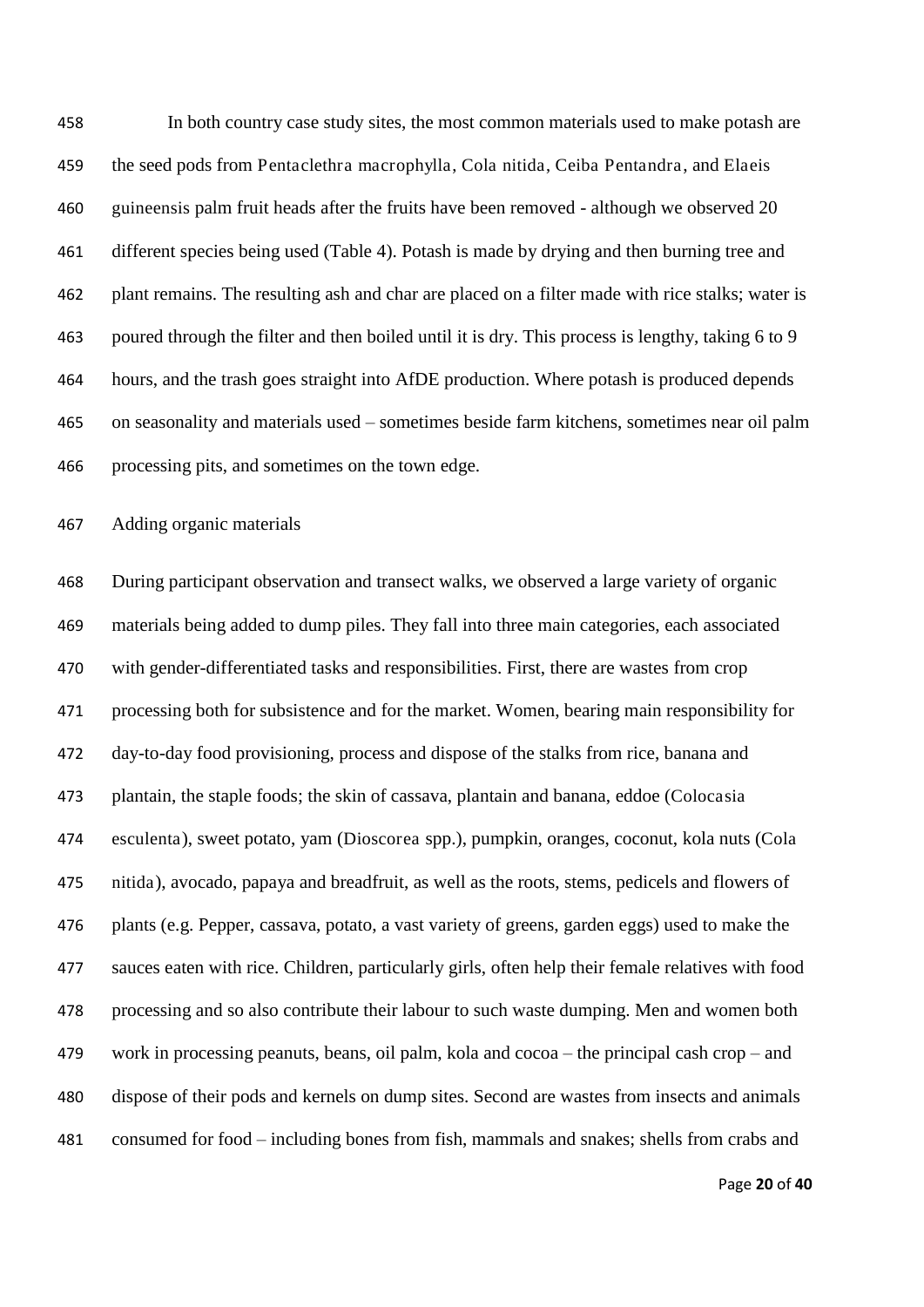In both country case study sites, the most common materials used to make potash are the seed pods from Pentaclethra macrophylla, Cola nitida, Ceiba Pentandra, and Elaeis guineensis palm fruit heads after the fruits have been removed - although we observed 20 different species being used (Table 4). Potash is made by drying and then burning tree and plant remains. The resulting ash and char are placed on a filter made with rice stalks; water is poured through the filter and then boiled until it is dry. This process is lengthy, taking 6 to 9 hours, and the trash goes straight into AfDE production. Where potash is produced depends on seasonality and materials used – sometimes beside farm kitchens, sometimes near oil palm processing pits, and sometimes on the town edge.

Adding organic materials

 During participant observation and transect walks, we observed a large variety of organic materials being added to dump piles. They fall into three main categories, each associated with gender-differentiated tasks and responsibilities. First, there are wastes from crop processing both for subsistence and for the market. Women, bearing main responsibility for day-to-day food provisioning, process and dispose of the stalks from rice, banana and plantain, the staple foods; the skin of cassava, plantain and banana, eddoe (Colocasia esculenta), sweet potato, yam (Dioscorea spp.), pumpkin, oranges, coconut, kola nuts (Cola nitida), avocado, papaya and breadfruit, as well as the roots, stems, pedicels and flowers of plants (e.g. Pepper, cassava, potato, a vast variety of greens, garden eggs) used to make the sauces eaten with rice. Children, particularly girls, often help their female relatives with food processing and so also contribute their labour to such waste dumping. Men and women both work in processing peanuts, beans, oil palm, kola and cocoa – the principal cash crop – and dispose of their pods and kernels on dump sites. Second are wastes from insects and animals consumed for food – including bones from fish, mammals and snakes; shells from crabs and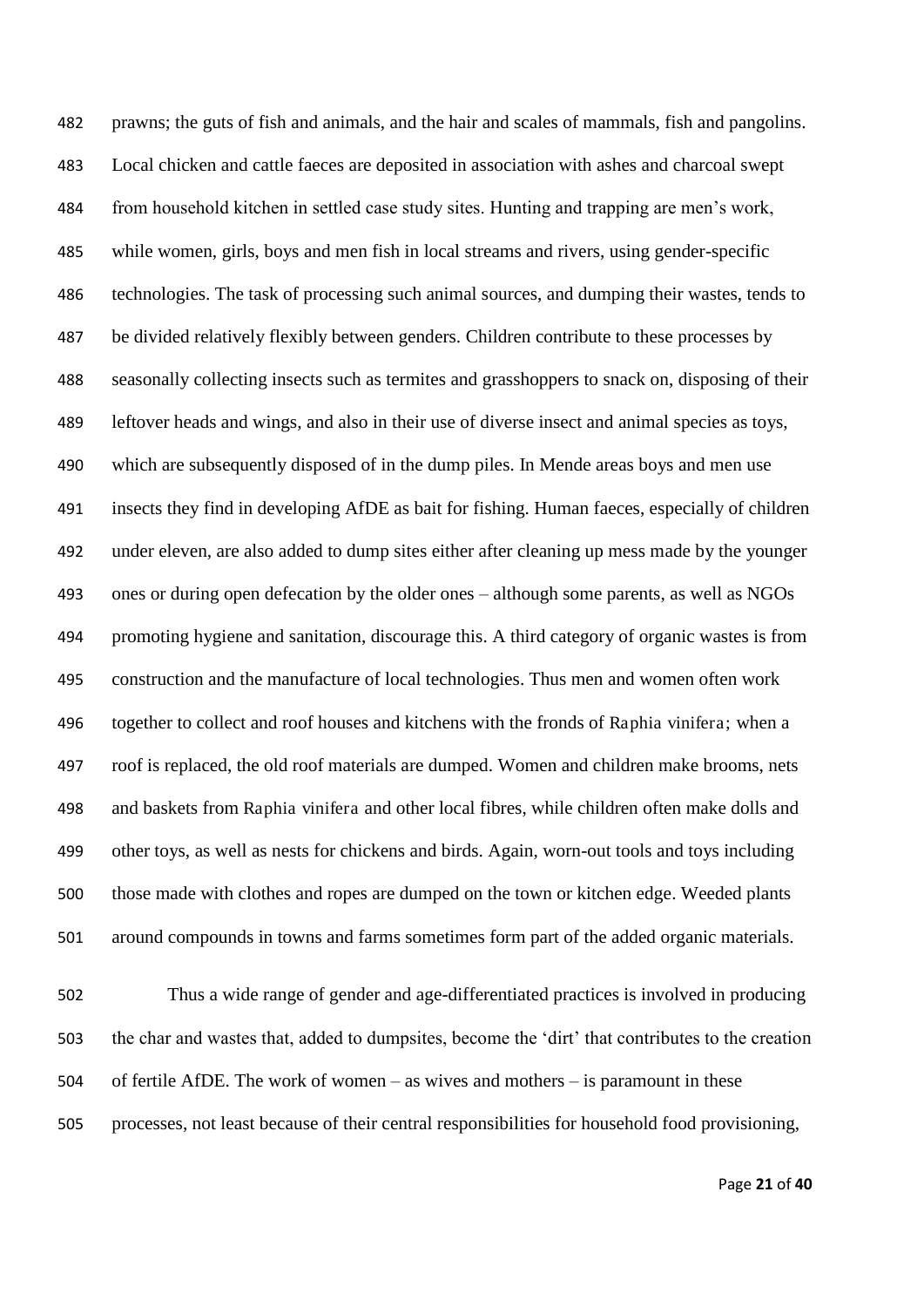prawns; the guts of fish and animals, and the hair and scales of mammals, fish and pangolins. Local chicken and cattle faeces are deposited in association with ashes and charcoal swept from household kitchen in settled case study sites. Hunting and trapping are men's work, while women, girls, boys and men fish in local streams and rivers, using gender-specific technologies. The task of processing such animal sources, and dumping their wastes, tends to be divided relatively flexibly between genders. Children contribute to these processes by seasonally collecting insects such as termites and grasshoppers to snack on, disposing of their leftover heads and wings, and also in their use of diverse insect and animal species as toys, which are subsequently disposed of in the dump piles. In Mende areas boys and men use insects they find in developing AfDE as bait for fishing. Human faeces, especially of children under eleven, are also added to dump sites either after cleaning up mess made by the younger ones or during open defecation by the older ones – although some parents, as well as NGOs promoting hygiene and sanitation, discourage this. A third category of organic wastes is from construction and the manufacture of local technologies. Thus men and women often work together to collect and roof houses and kitchens with the fronds of Raphia vinifera; when a roof is replaced, the old roof materials are dumped. Women and children make brooms, nets and baskets from Raphia vinifera and other local fibres, while children often make dolls and other toys, as well as nests for chickens and birds. Again, worn-out tools and toys including those made with clothes and ropes are dumped on the town or kitchen edge. Weeded plants around compounds in towns and farms sometimes form part of the added organic materials.

 Thus a wide range of gender and age-differentiated practices is involved in producing the char and wastes that, added to dumpsites, become the 'dirt' that contributes to the creation of fertile AfDE. The work of women – as wives and mothers – is paramount in these processes, not least because of their central responsibilities for household food provisioning,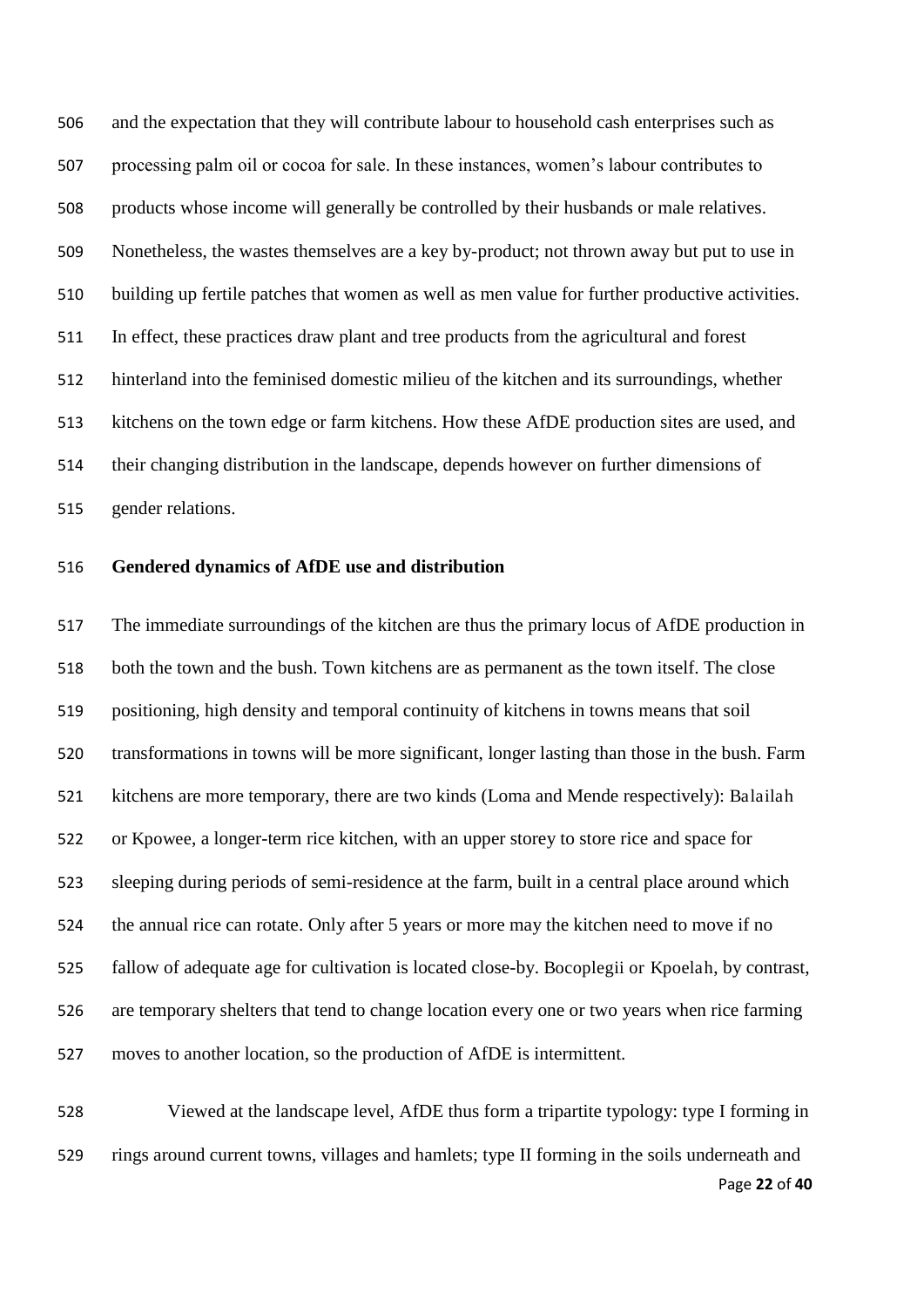and the expectation that they will contribute labour to household cash enterprises such as processing palm oil or cocoa for sale. In these instances, women's labour contributes to products whose income will generally be controlled by their husbands or male relatives. Nonetheless, the wastes themselves are a key by-product; not thrown away but put to use in building up fertile patches that women as well as men value for further productive activities. In effect, these practices draw plant and tree products from the agricultural and forest hinterland into the feminised domestic milieu of the kitchen and its surroundings, whether kitchens on the town edge or farm kitchens. How these AfDE production sites are used, and their changing distribution in the landscape, depends however on further dimensions of gender relations.

#### **Gendered dynamics of AfDE use and distribution**

 The immediate surroundings of the kitchen are thus the primary locus of AfDE production in both the town and the bush. Town kitchens are as permanent as the town itself. The close positioning, high density and temporal continuity of kitchens in towns means that soil transformations in towns will be more significant, longer lasting than those in the bush. Farm kitchens are more temporary, there are two kinds (Loma and Mende respectively): Balailah or Kpowee, a longer-term rice kitchen, with an upper storey to store rice and space for sleeping during periods of semi-residence at the farm, built in a central place around which the annual rice can rotate. Only after 5 years or more may the kitchen need to move if no fallow of adequate age for cultivation is located close-by. Bocoplegii or Kpoelah, by contrast, are temporary shelters that tend to change location every one or two years when rice farming moves to another location, so the production of AfDE is intermittent.

Page **22** of **40** Viewed at the landscape level, AfDE thus form a tripartite typology: type I forming in rings around current towns, villages and hamlets; type II forming in the soils underneath and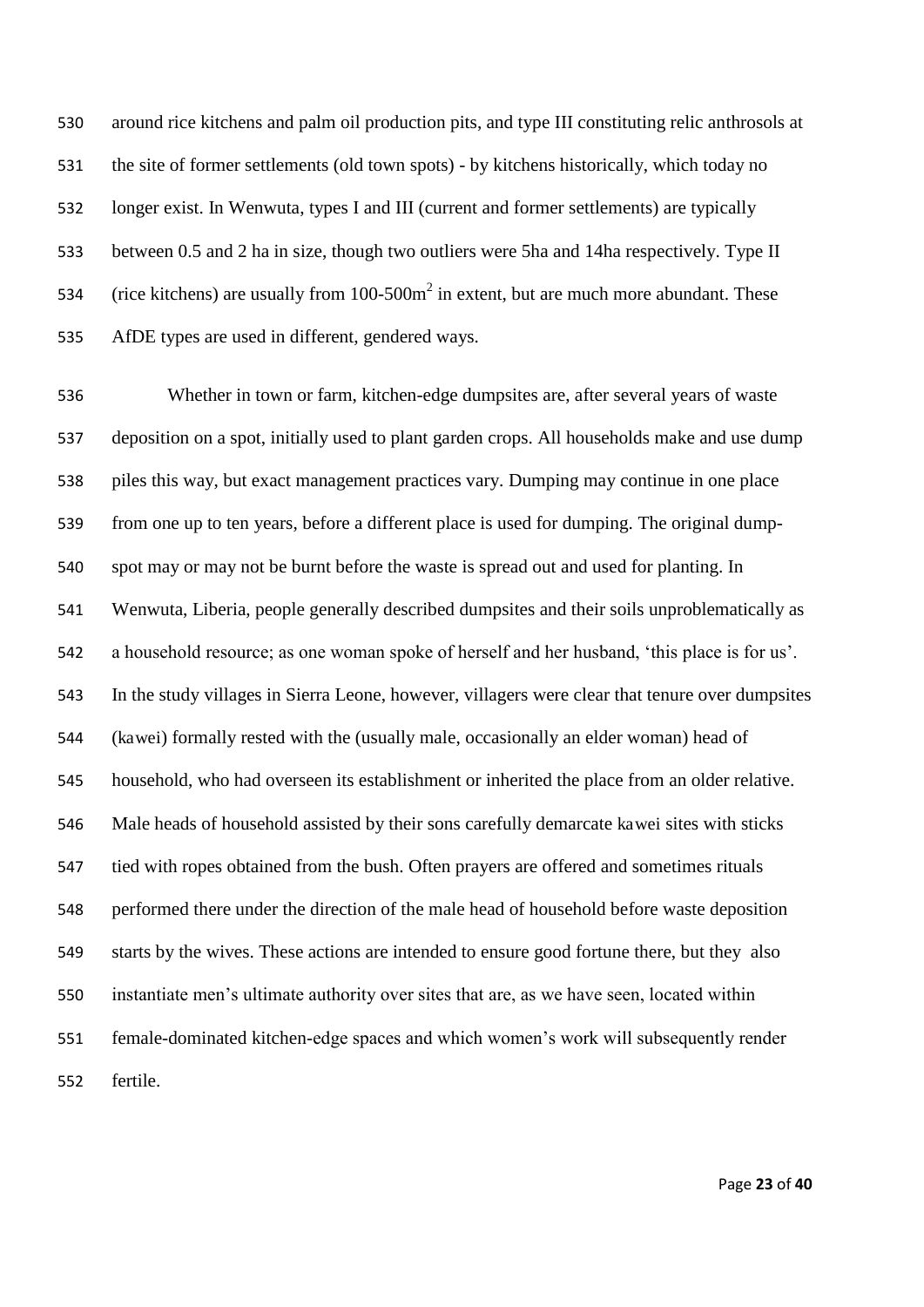around rice kitchens and palm oil production pits, and type III constituting relic anthrosols at the site of former settlements (old town spots) - by kitchens historically, which today no longer exist. In Wenwuta, types I and III (current and former settlements) are typically between 0.5 and 2 ha in size, though two outliers were 5ha and 14ha respectively. Type II 534 (rice kitchens) are usually from  $100-500m^2$  in extent, but are much more abundant. These AfDE types are used in different, gendered ways.

 Whether in town or farm, kitchen-edge dumpsites are, after several years of waste deposition on a spot, initially used to plant garden crops. All households make and use dump piles this way, but exact management practices vary. Dumping may continue in one place from one up to ten years, before a different place is used for dumping. The original dump- spot may or may not be burnt before the waste is spread out and used for planting. In Wenwuta, Liberia, people generally described dumpsites and their soils unproblematically as a household resource; as one woman spoke of herself and her husband, 'this place is for us'. In the study villages in Sierra Leone, however, villagers were clear that tenure over dumpsites (kawei) formally rested with the (usually male, occasionally an elder woman) head of household, who had overseen its establishment or inherited the place from an older relative. Male heads of household assisted by their sons carefully demarcate kawei sites with sticks tied with ropes obtained from the bush. Often prayers are offered and sometimes rituals performed there under the direction of the male head of household before waste deposition starts by the wives. These actions are intended to ensure good fortune there, but they also instantiate men's ultimate authority over sites that are, as we have seen, located within female-dominated kitchen-edge spaces and which women's work will subsequently render fertile.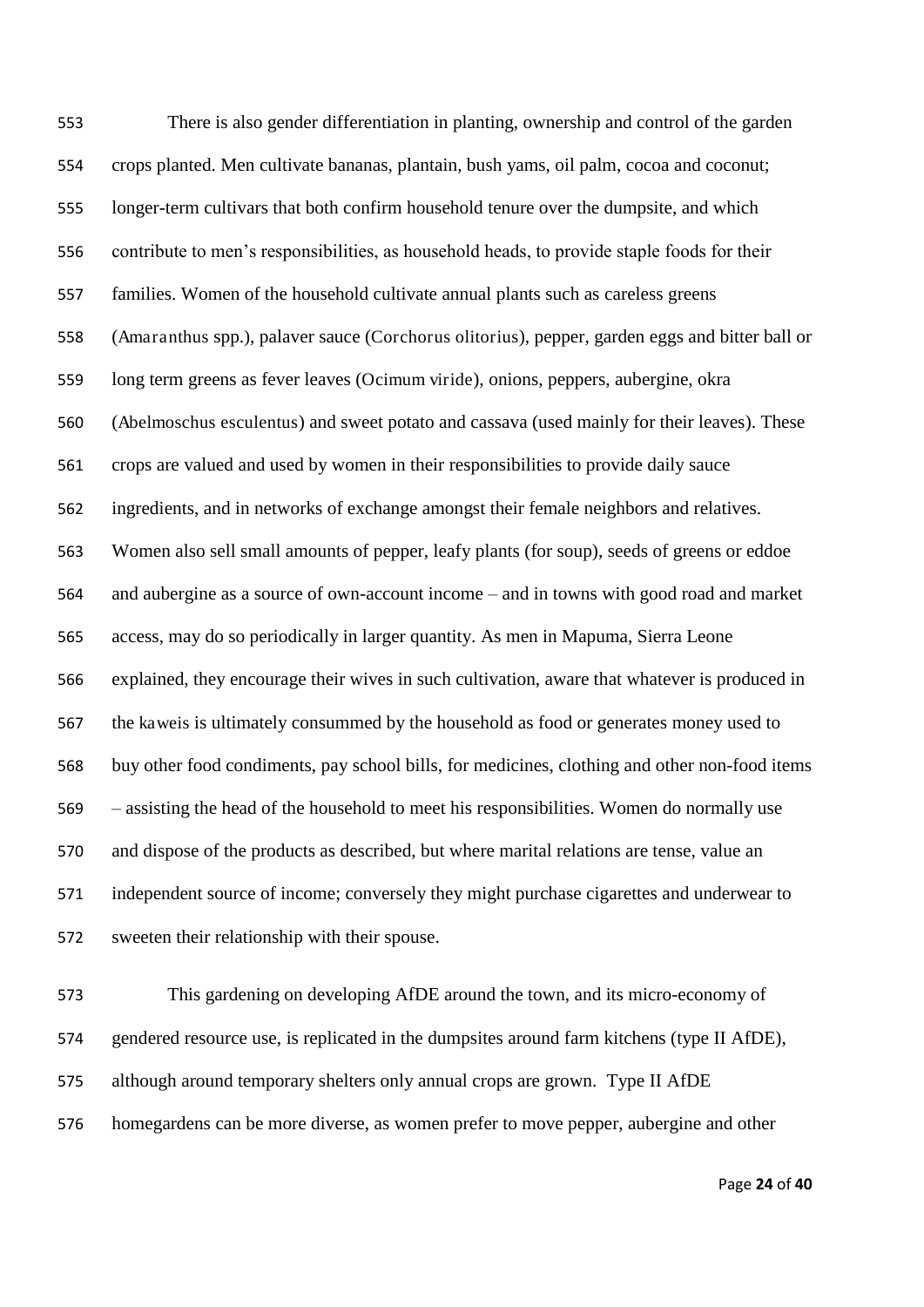There is also gender differentiation in planting, ownership and control of the garden crops planted. Men cultivate bananas, plantain, bush yams, oil palm, cocoa and coconut; longer-term cultivars that both confirm household tenure over the dumpsite, and which contribute to men's responsibilities, as household heads, to provide staple foods for their families. Women of the household cultivate annual plants such as careless greens (Amaranthus spp.), palaver sauce (Corchorus olitorius), pepper, garden eggs and bitter ball or long term greens as fever leaves (Ocimum viride), onions, peppers, aubergine, okra (Abelmoschus esculentus) and sweet potato and cassava (used mainly for their leaves). These crops are valued and used by women in their responsibilities to provide daily sauce ingredients, and in networks of exchange amongst their female neighbors and relatives. Women also sell small amounts of pepper, leafy plants (for soup), seeds of greens or eddoe and aubergine as a source of own-account income – and in towns with good road and market access, may do so periodically in larger quantity. As men in Mapuma, Sierra Leone explained, they encourage their wives in such cultivation, aware that whatever is produced in the kaweis is ultimately consummed by the household as food or generates money used to buy other food condiments, pay school bills, for medicines, clothing and other non-food items – assisting the head of the household to meet his responsibilities. Women do normally use and dispose of the products as described, but where marital relations are tense, value an independent source of income; conversely they might purchase cigarettes and underwear to sweeten their relationship with their spouse.

 This gardening on developing AfDE around the town, and its micro-economy of gendered resource use, is replicated in the dumpsites around farm kitchens (type II AfDE), although around temporary shelters only annual crops are grown. Type II AfDE homegardens can be more diverse, as women prefer to move pepper, aubergine and other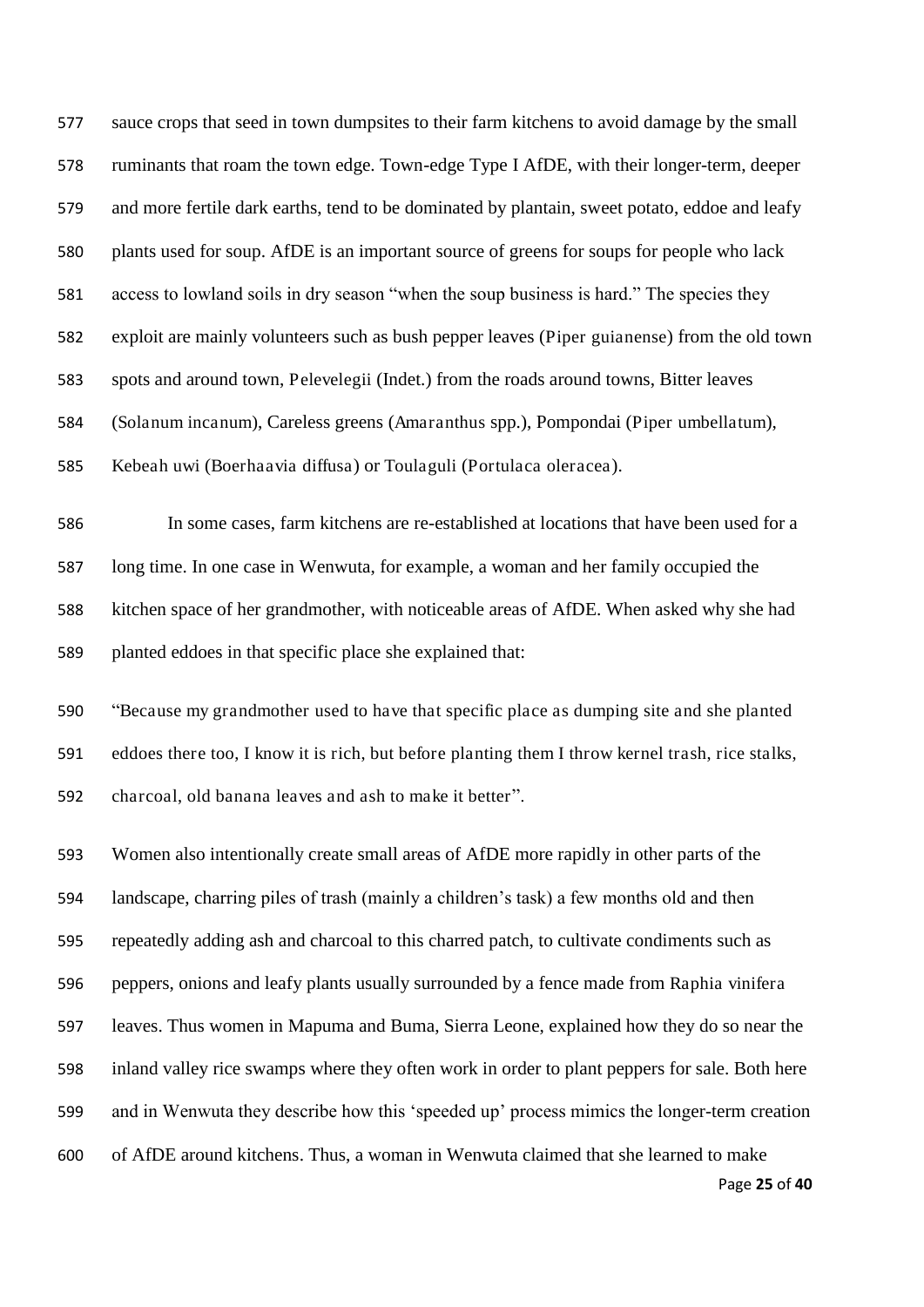sauce crops that seed in town dumpsites to their farm kitchens to avoid damage by the small ruminants that roam the town edge. Town-edge Type I AfDE, with their longer-term, deeper and more fertile dark earths, tend to be dominated by plantain, sweet potato, eddoe and leafy plants used for soup. AfDE is an important source of greens for soups for people who lack access to lowland soils in dry season "when the soup business is hard." The species they exploit are mainly volunteers such as bush pepper leaves (Piper guianense) from the old town spots and around town, Pelevelegii (Indet.) from the roads around towns, Bitter leaves (Solanum incanum), Careless greens (Amaranthus spp.), Pompondai (Piper umbellatum), Kebeah uwi (Boerhaavia diffusa) or Toulaguli (Portulaca oleracea).

 In some cases, farm kitchens are re-established at locations that have been used for a long time. In one case in Wenwuta, for example, a woman and her family occupied the kitchen space of her grandmother, with noticeable areas of AfDE. When asked why she had planted eddoes in that specific place she explained that:

 "Because my grandmother used to have that specific place as dumping site and she planted eddoes there too, I know it is rich, but before planting them I throw kernel trash, rice stalks, charcoal, old banana leaves and ash to make it better".

 Women also intentionally create small areas of AfDE more rapidly in other parts of the landscape, charring piles of trash (mainly a children's task) a few months old and then repeatedly adding ash and charcoal to this charred patch, to cultivate condiments such as peppers, onions and leafy plants usually surrounded by a fence made from Raphia vinifera leaves. Thus women in Mapuma and Buma, Sierra Leone, explained how they do so near the inland valley rice swamps where they often work in order to plant peppers for sale. Both here and in Wenwuta they describe how this 'speeded up' process mimics the longer-term creation of AfDE around kitchens. Thus, a woman in Wenwuta claimed that she learned to make

Page **25** of **40**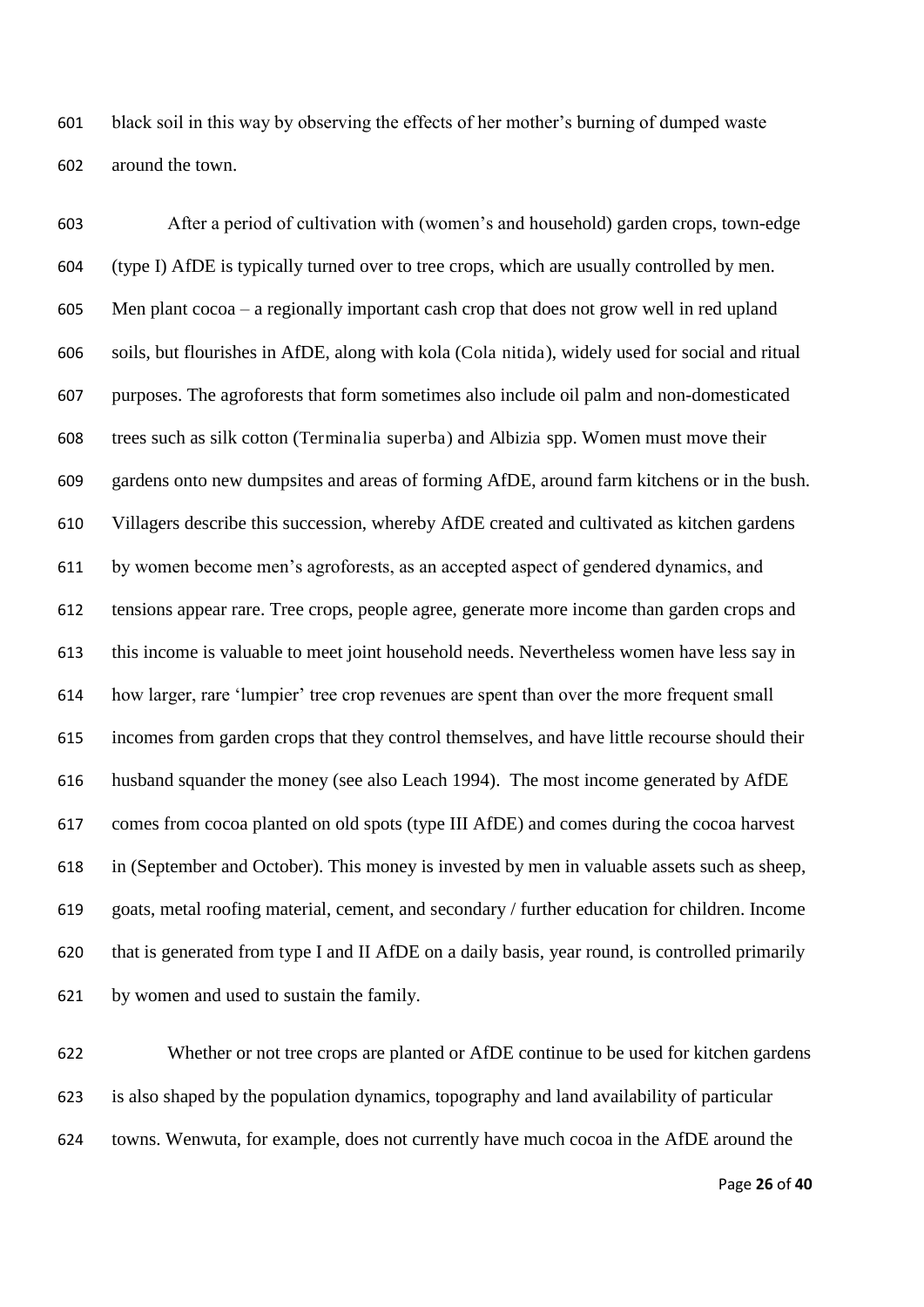black soil in this way by observing the effects of her mother's burning of dumped waste around the town.

 After a period of cultivation with (women's and household) garden crops, town-edge (type I) AfDE is typically turned over to tree crops, which are usually controlled by men. Men plant cocoa – a regionally important cash crop that does not grow well in red upland soils, but flourishes in AfDE, along with kola (Cola nitida), widely used for social and ritual purposes. The agroforests that form sometimes also include oil palm and non-domesticated trees such as silk cotton (Terminalia superba) and Albizia spp. Women must move their gardens onto new dumpsites and areas of forming AfDE, around farm kitchens or in the bush. Villagers describe this succession, whereby AfDE created and cultivated as kitchen gardens by women become men's agroforests, as an accepted aspect of gendered dynamics, and tensions appear rare. Tree crops, people agree, generate more income than garden crops and this income is valuable to meet joint household needs. Nevertheless women have less say in how larger, rare 'lumpier' tree crop revenues are spent than over the more frequent small incomes from garden crops that they control themselves, and have little recourse should their husband squander the money (see also Leach 1994). The most income generated by AfDE comes from cocoa planted on old spots (type III AfDE) and comes during the cocoa harvest in (September and October). This money is invested by men in valuable assets such as sheep, goats, metal roofing material, cement, and secondary / further education for children. Income that is generated from type I and II AfDE on a daily basis, year round, is controlled primarily by women and used to sustain the family.

 Whether or not tree crops are planted or AfDE continue to be used for kitchen gardens is also shaped by the population dynamics, topography and land availability of particular towns. Wenwuta, for example, does not currently have much cocoa in the AfDE around the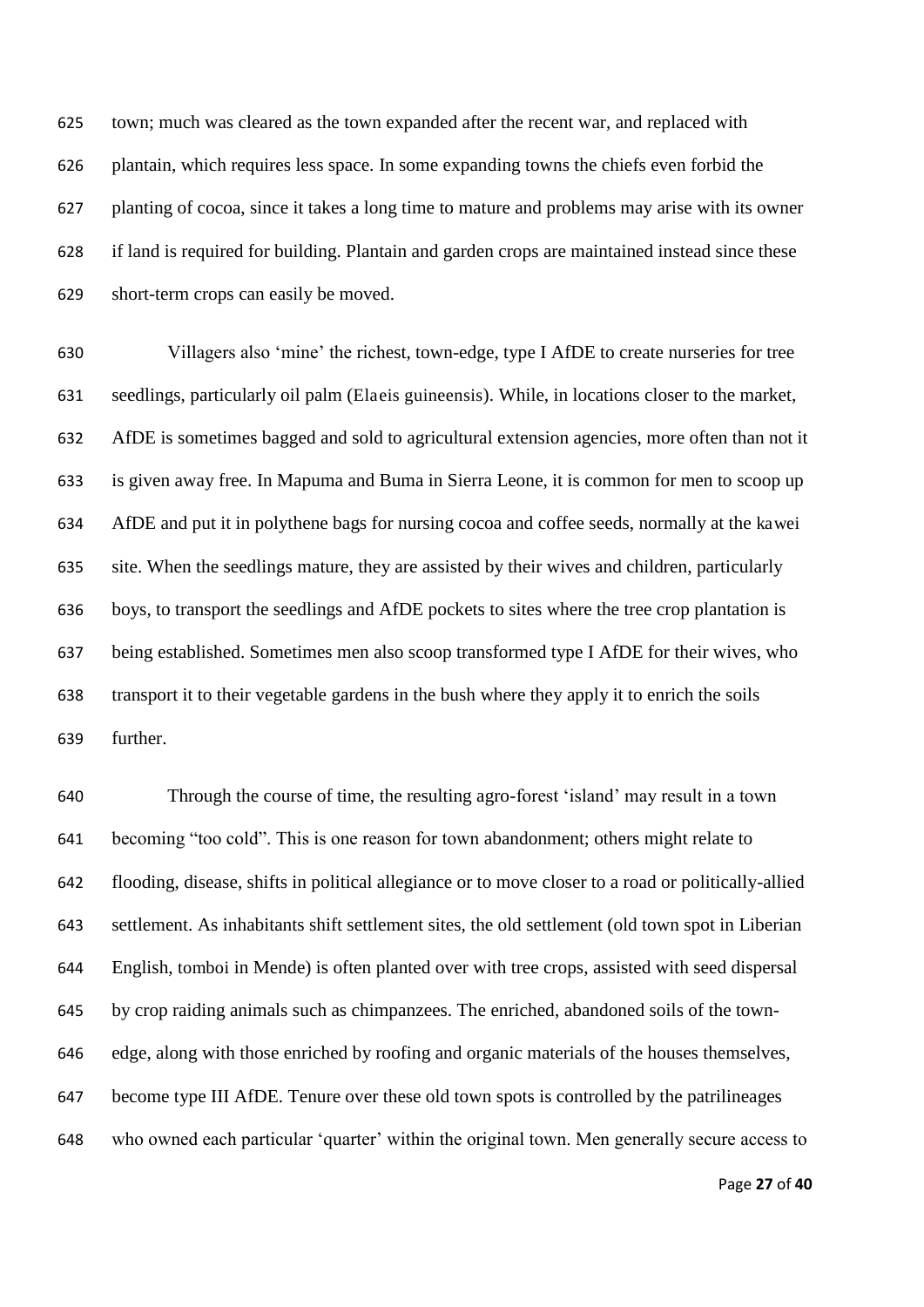town; much was cleared as the town expanded after the recent war, and replaced with plantain, which requires less space. In some expanding towns the chiefs even forbid the planting of cocoa, since it takes a long time to mature and problems may arise with its owner if land is required for building. Plantain and garden crops are maintained instead since these short-term crops can easily be moved.

 Villagers also 'mine' the richest, town-edge, type I AfDE to create nurseries for tree seedlings, particularly oil palm (Elaeis guineensis). While, in locations closer to the market, AfDE is sometimes bagged and sold to agricultural extension agencies, more often than not it is given away free. In Mapuma and Buma in Sierra Leone, it is common for men to scoop up AfDE and put it in polythene bags for nursing cocoa and coffee seeds, normally at the kawei site. When the seedlings mature, they are assisted by their wives and children, particularly boys, to transport the seedlings and AfDE pockets to sites where the tree crop plantation is being established. Sometimes men also scoop transformed type I AfDE for their wives, who transport it to their vegetable gardens in the bush where they apply it to enrich the soils further.

 Through the course of time, the resulting agro-forest 'island' may result in a town becoming "too cold". This is one reason for town abandonment; others might relate to flooding, disease, shifts in political allegiance or to move closer to a road or politically-allied settlement. As inhabitants shift settlement sites, the old settlement (old town spot in Liberian English, tomboi in Mende) is often planted over with tree crops, assisted with seed dispersal by crop raiding animals such as chimpanzees. The enriched, abandoned soils of the town- edge, along with those enriched by roofing and organic materials of the houses themselves, become type III AfDE. Tenure over these old town spots is controlled by the patrilineages who owned each particular 'quarter' within the original town. Men generally secure access to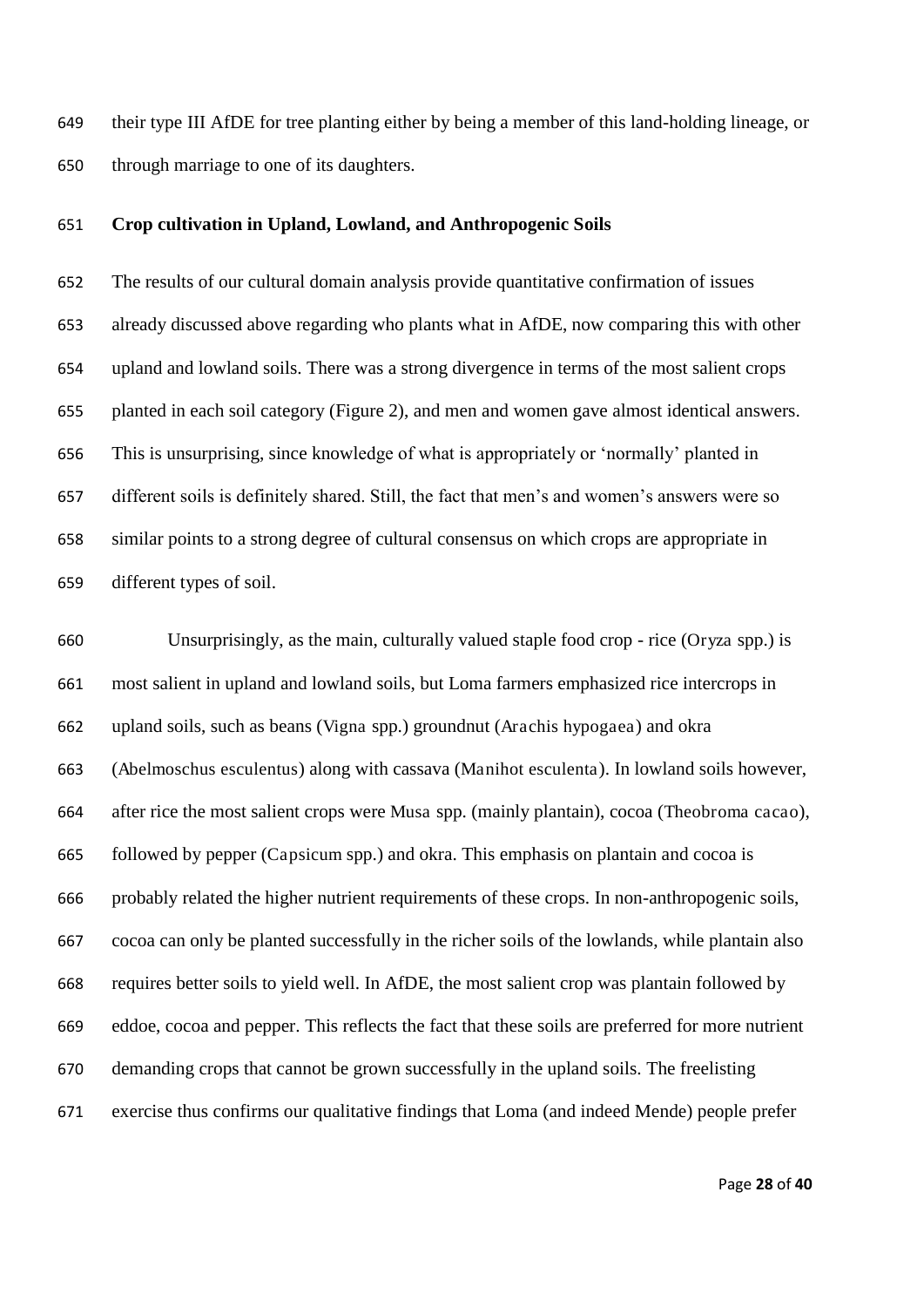their type III AfDE for tree planting either by being a member of this land-holding lineage, or through marriage to one of its daughters.

## **Crop cultivation in Upland, Lowland, and Anthropogenic Soils**

 The results of our cultural domain analysis provide quantitative confirmation of issues already discussed above regarding who plants what in AfDE, now comparing this with other upland and lowland soils. There was a strong divergence in terms of the most salient crops planted in each soil category (Figure 2), and men and women gave almost identical answers. This is unsurprising, since knowledge of what is appropriately or 'normally' planted in different soils is definitely shared. Still, the fact that men's and women's answers were so similar points to a strong degree of cultural consensus on which crops are appropriate in different types of soil.

 Unsurprisingly, as the main, culturally valued staple food crop - rice (Oryza spp.) is most salient in upland and lowland soils, but Loma farmers emphasized rice intercrops in upland soils, such as beans (Vigna spp.) groundnut (Arachis hypogaea) and okra (Abelmoschus esculentus) along with cassava (Manihot esculenta). In lowland soils however, after rice the most salient crops were Musa spp. (mainly plantain), cocoa (Theobroma cacao), followed by pepper (Capsicum spp.) and okra. This emphasis on plantain and cocoa is probably related the higher nutrient requirements of these crops. In non-anthropogenic soils, cocoa can only be planted successfully in the richer soils of the lowlands, while plantain also requires better soils to yield well. In AfDE, the most salient crop was plantain followed by eddoe, cocoa and pepper. This reflects the fact that these soils are preferred for more nutrient demanding crops that cannot be grown successfully in the upland soils. The freelisting exercise thus confirms our qualitative findings that Loma (and indeed Mende) people prefer

Page **28** of **40**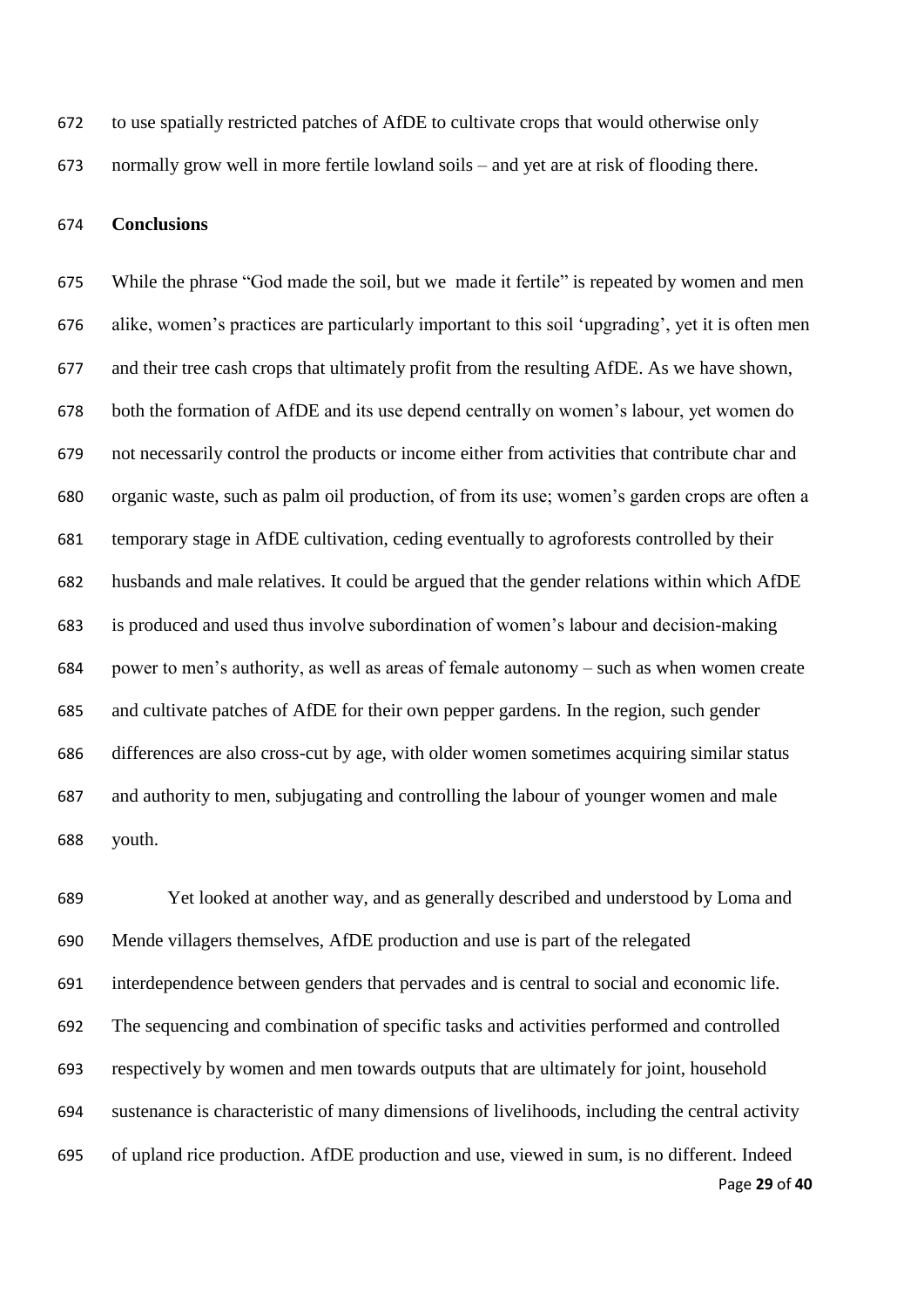to use spatially restricted patches of AfDE to cultivate crops that would otherwise only normally grow well in more fertile lowland soils – and yet are at risk of flooding there.

#### **Conclusions**

 While the phrase "God made the soil, but we made it fertile" is repeated by women and men alike, women's practices are particularly important to this soil 'upgrading', yet it is often men and their tree cash crops that ultimately profit from the resulting AfDE. As we have shown, both the formation of AfDE and its use depend centrally on women's labour, yet women do not necessarily control the products or income either from activities that contribute char and organic waste, such as palm oil production, of from its use; women's garden crops are often a temporary stage in AfDE cultivation, ceding eventually to agroforests controlled by their husbands and male relatives. It could be argued that the gender relations within which AfDE is produced and used thus involve subordination of women's labour and decision-making power to men's authority, as well as areas of female autonomy – such as when women create and cultivate patches of AfDE for their own pepper gardens. In the region, such gender differences are also cross-cut by age, with older women sometimes acquiring similar status and authority to men, subjugating and controlling the labour of younger women and male youth.

 Yet looked at another way, and as generally described and understood by Loma and Mende villagers themselves, AfDE production and use is part of the relegated interdependence between genders that pervades and is central to social and economic life. The sequencing and combination of specific tasks and activities performed and controlled respectively by women and men towards outputs that are ultimately for joint, household sustenance is characteristic of many dimensions of livelihoods, including the central activity of upland rice production. AfDE production and use, viewed in sum, is no different. Indeed

#### Page **29** of **40**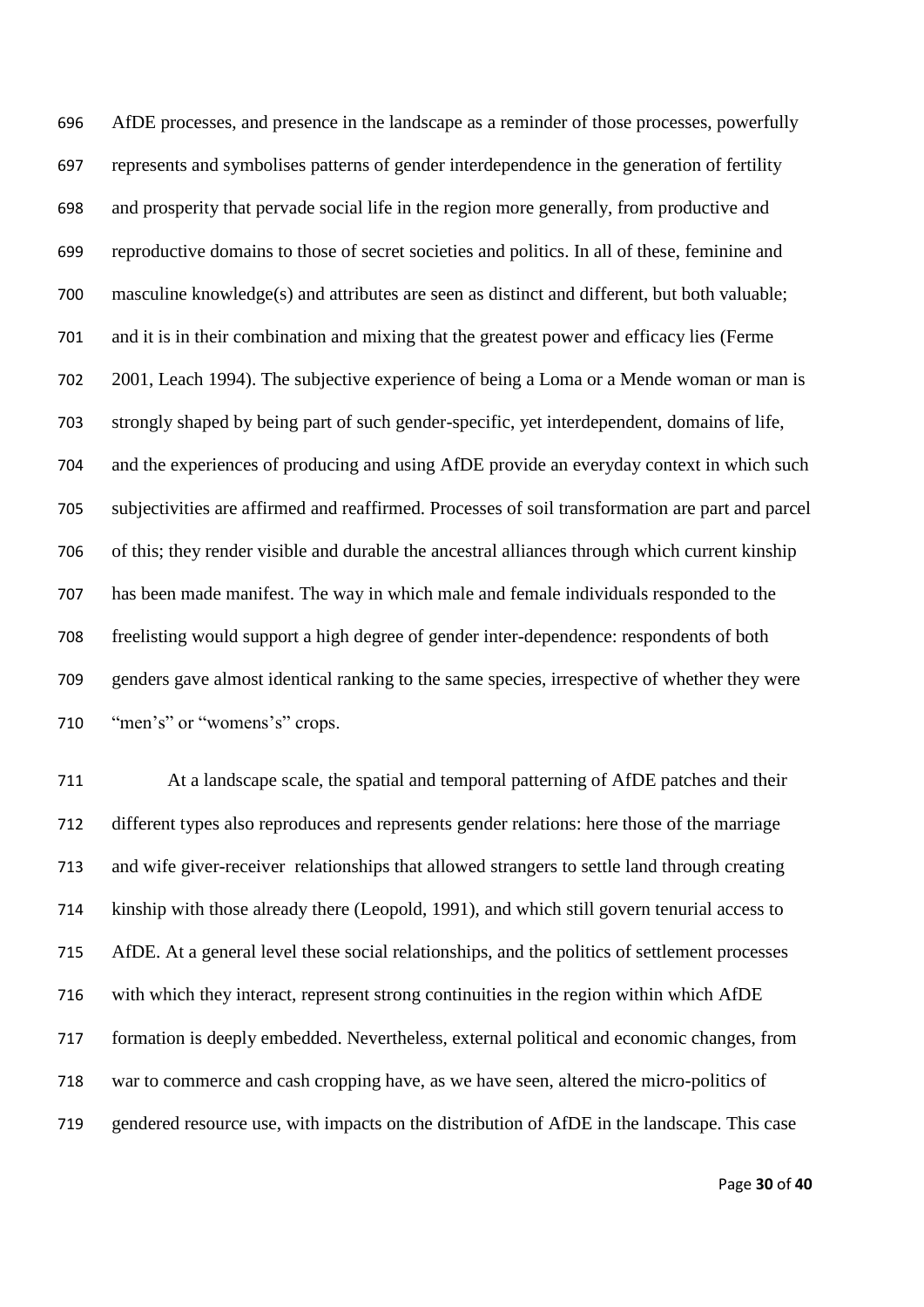AfDE processes, and presence in the landscape as a reminder of those processes, powerfully represents and symbolises patterns of gender interdependence in the generation of fertility and prosperity that pervade social life in the region more generally, from productive and reproductive domains to those of secret societies and politics. In all of these, feminine and masculine knowledge(s) and attributes are seen as distinct and different, but both valuable; and it is in their combination and mixing that the greatest power and efficacy lies (Ferme 2001, Leach 1994). The subjective experience of being a Loma or a Mende woman or man is strongly shaped by being part of such gender-specific, yet interdependent, domains of life, and the experiences of producing and using AfDE provide an everyday context in which such subjectivities are affirmed and reaffirmed. Processes of soil transformation are part and parcel of this; they render visible and durable the ancestral alliances through which current kinship has been made manifest. The way in which male and female individuals responded to the freelisting would support a high degree of gender inter-dependence: respondents of both genders gave almost identical ranking to the same species, irrespective of whether they were 710 "men's" or "womens's" crops.

 At a landscape scale, the spatial and temporal patterning of AfDE patches and their different types also reproduces and represents gender relations: here those of the marriage and wife giver-receiver relationships that allowed strangers to settle land through creating kinship with those already there [\(Leopold, 1991\)](#page-32-16), and which still govern tenurial access to AfDE. At a general level these social relationships, and the politics of settlement processes with which they interact, represent strong continuities in the region within which AfDE formation is deeply embedded. Nevertheless, external political and economic changes, from war to commerce and cash cropping have, as we have seen, altered the micro-politics of gendered resource use, with impacts on the distribution of AfDE in the landscape. This case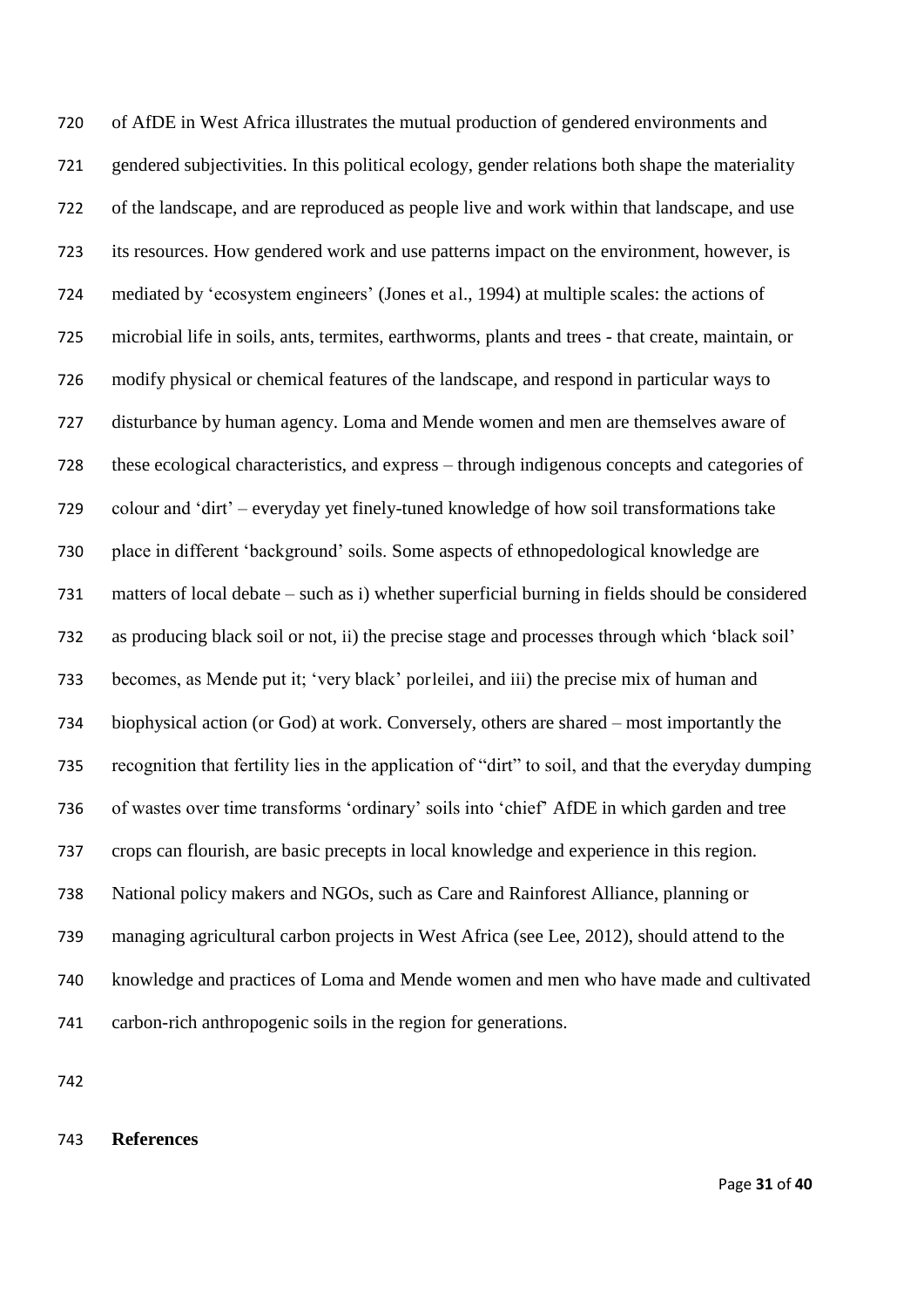<span id="page-31-22"></span><span id="page-31-19"></span><span id="page-31-18"></span><span id="page-31-17"></span><span id="page-31-15"></span><span id="page-31-12"></span><span id="page-31-11"></span><span id="page-31-8"></span><span id="page-31-2"></span><span id="page-31-1"></span><span id="page-31-0"></span> of AfDE in West Africa illustrates the mutual production of gendered environments and gendered subjectivities. In this political ecology, gender relations both shape the materiality of the landscape, and are reproduced as people live and work within that landscape, and use its resources. How gendered work and use patterns impact on the environment, however, is mediated by 'ecosystem engineers' (Jones et al.[, 1994\)](#page-31-24) at multiple scales: the actions of microbial life in soils, ants, termites, earthworms, plants and trees - that create, maintain, or modify physical or chemical features of the landscape, and respond in particular ways to disturbance by human agency. Loma and Mende women and men are themselves aware of these ecological characteristics, and express – through indigenous concepts and categories of colour and 'dirt' – everyday yet finely-tuned knowledge of how soil transformations take place in different 'background' soils. Some aspects of ethnopedological knowledge are matters of local debate – such as i) whether superficial burning in fields should be considered as producing black soil or not, ii) the precise stage and processes through which 'black soil' becomes, as Mende put it; 'very black' porleilei, and iii) the precise mix of human and biophysical action (or God) at work. Conversely, others are shared – most importantly the recognition that fertility lies in the application of "dirt" to soil, and that the everyday dumping of wastes over time transforms 'ordinary' soils into 'chief' AfDE in which garden and tree crops can flourish, are basic precepts in local knowledge and experience in this region. National policy makers and NGOs, such as Care and Rainforest Alliance, planning or managing agricultural carbon projects in West Africa [\(see Lee, 2012\)](#page-32-23), should attend to the knowledge and practices of Loma and Mende women and men who have made and cultivated carbon-rich anthropogenic soils in the region for generations.

<span id="page-31-23"></span><span id="page-31-21"></span><span id="page-31-20"></span><span id="page-31-16"></span><span id="page-31-14"></span><span id="page-31-13"></span><span id="page-31-10"></span><span id="page-31-9"></span><span id="page-31-7"></span><span id="page-31-6"></span><span id="page-31-5"></span><span id="page-31-4"></span><span id="page-31-3"></span>

<span id="page-31-24"></span>**References**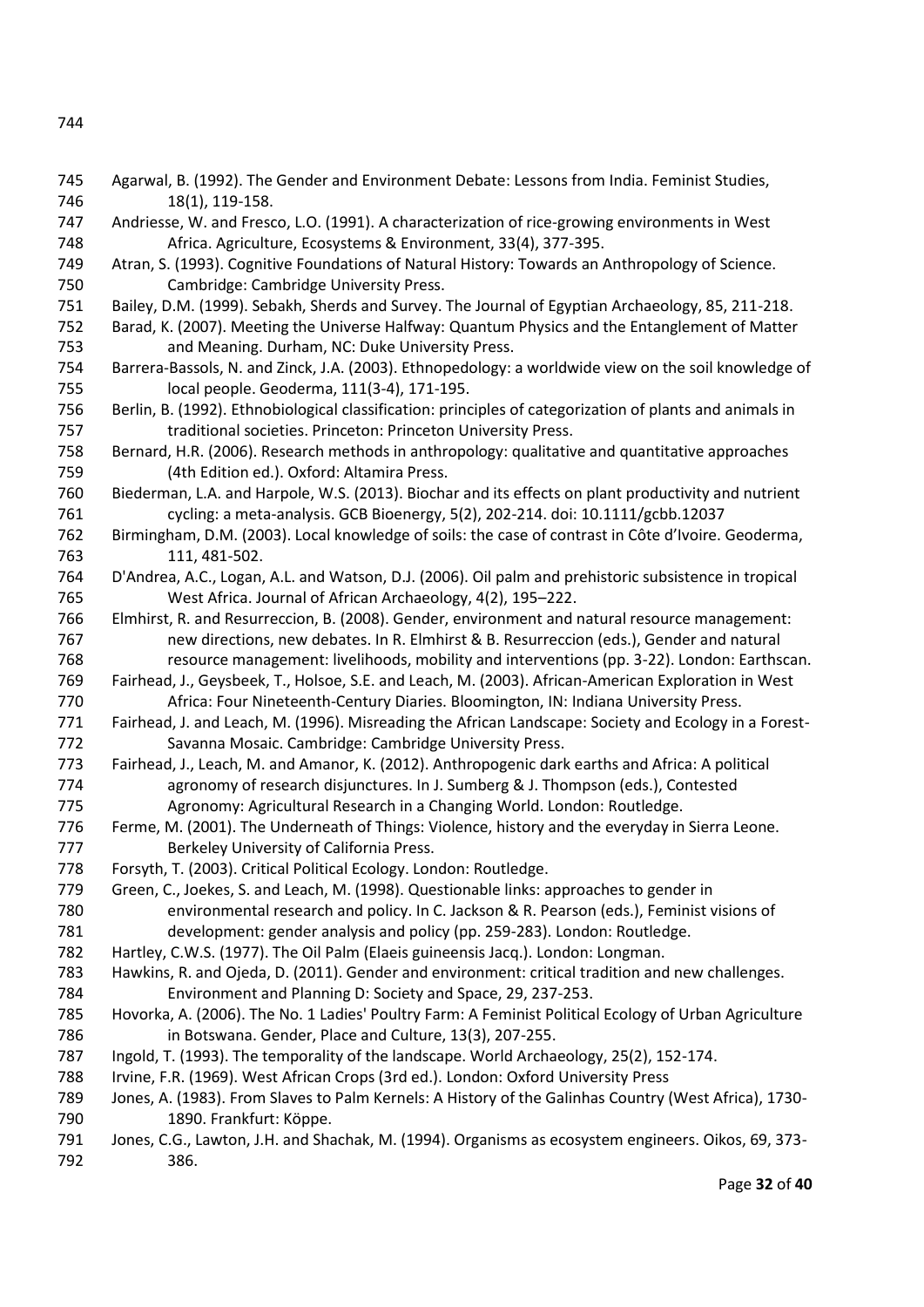<span id="page-32-13"></span>18(1), 119-158.

<span id="page-32-22"></span><span id="page-32-21"></span><span id="page-32-20"></span><span id="page-32-19"></span><span id="page-32-18"></span><span id="page-32-16"></span><span id="page-32-15"></span><span id="page-32-14"></span><span id="page-32-12"></span><span id="page-32-11"></span><span id="page-32-10"></span><span id="page-32-9"></span><span id="page-32-8"></span><span id="page-32-7"></span><span id="page-32-6"></span><span id="page-32-5"></span><span id="page-32-4"></span><span id="page-32-2"></span><span id="page-32-1"></span><span id="page-32-0"></span>Page **32** of **40** Bailey, D.M. (1999). Sebakh, Sherds and Survey. The Journal of Egyptian Archaeology, 85, 211-218. Barad, K. (2007). Meeting the Universe Halfway: Quantum Physics and the Entanglement of Matter and Meaning. Durham, NC: Duke University Press. Barrera-Bassols, N. and Zinck, J.A. (2003). Ethnopedology: a worldwide view on the soil knowledge of local people. Geoderma, 111(3-4), 171-195. Berlin, B. (1992). Ethnobiological classification: principles of categorization of plants and animals in traditional societies. Princeton: Princeton University Press. Bernard, H.R. (2006). Research methods in anthropology: qualitative and quantitative approaches (4th Edition ed.). Oxford: Altamira Press. Biederman, L.A. and Harpole, W.S. (2013). Biochar and its effects on plant productivity and nutrient cycling: a meta-analysis. GCB Bioenergy, 5(2), 202-214. doi: 10.1111/gcbb.12037 762 Birmingham, D.M. (2003). Local knowledge of soils: the case of contrast in Côte d'Ivoire. Geoderma, 111, 481-502. D'Andrea, A.C., Logan, A.L. and Watson, D.J. (2006). Oil palm and prehistoric subsistence in tropical West Africa. Journal of African Archaeology, 4(2), 195–222. Elmhirst, R. and Resurreccion, B. (2008). Gender, environment and natural resource management: new directions, new debates. In R. Elmhirst & B. Resurreccion (eds.), Gender and natural resource management: livelihoods, mobility and interventions (pp. 3-22). London: Earthscan. Fairhead, J., Geysbeek, T., Holsoe, S.E. and Leach, M. (2003). African-American Exploration in West Africa: Four Nineteenth-Century Diaries. Bloomington, IN: Indiana University Press. Fairhead, J. and Leach, M. (1996). Misreading the African Landscape: Society and Ecology in a Forest- Savanna Mosaic. Cambridge: Cambridge University Press. Fairhead, J., Leach, M. and Amanor, K. (2012). Anthropogenic dark earths and Africa: A political agronomy of research disjunctures. In J. Sumberg & J. Thompson (eds.), Contested Agronomy: Agricultural Research in a Changing World. London: Routledge. Ferme, M. (2001). The Underneath of Things: Violence, history and the everyday in Sierra Leone. Berkeley University of California Press. Forsyth, T. (2003). Critical Political Ecology. London: Routledge. Green, C., Joekes, S. and Leach, M. (1998). Questionable links: approaches to gender in environmental research and policy. In C. Jackson & R. Pearson (eds.), Feminist visions of development: gender analysis and policy (pp. 259-283). London: Routledge. Hartley, C.W.S. (1977). The Oil Palm (Elaeis guineensis Jacq.). London: Longman. Hawkins, R. and Ojeda, D. (2011). Gender and environment: critical tradition and new challenges. Environment and Planning D: Society and Space, 29, 237-253. Hovorka, A. (2006). The No. 1 Ladies' Poultry Farm: A Feminist Political Ecology of Urban Agriculture in Botswana. Gender, Place and Culture, 13(3), 207-255. Ingold, T. (1993). The temporality of the landscape. World Archaeology, 25(2), 152-174. Irvine, F.R. (1969). West African Crops (3rd ed.). London: Oxford University Press Jones, A. (1983). From Slaves to Palm Kernels: A History of the Galinhas Country (West Africa), 1730- 1890. Frankfurt: Köppe. Jones, C.G., Lawton, J.H. and Shachak, M. (1994). Organisms as ecosystem engineers. Oikos, 69, 373- 386.

<span id="page-32-17"></span><span id="page-32-3"></span>Agarwal, B. (1992). The Gender and Environment Debate: Lessons from India. Feminist Studies,

Andriesse, W. and Fresco, L.O. (1991). A characterization of rice-growing environments in West

Atran, S. (1993). Cognitive Foundations of Natural History: Towards an Anthropology of Science.

<span id="page-32-23"></span>748 Africa. Agriculture, Ecosystems & Environment, 33(4), 377-395.

Cambridge: Cambridge University Press.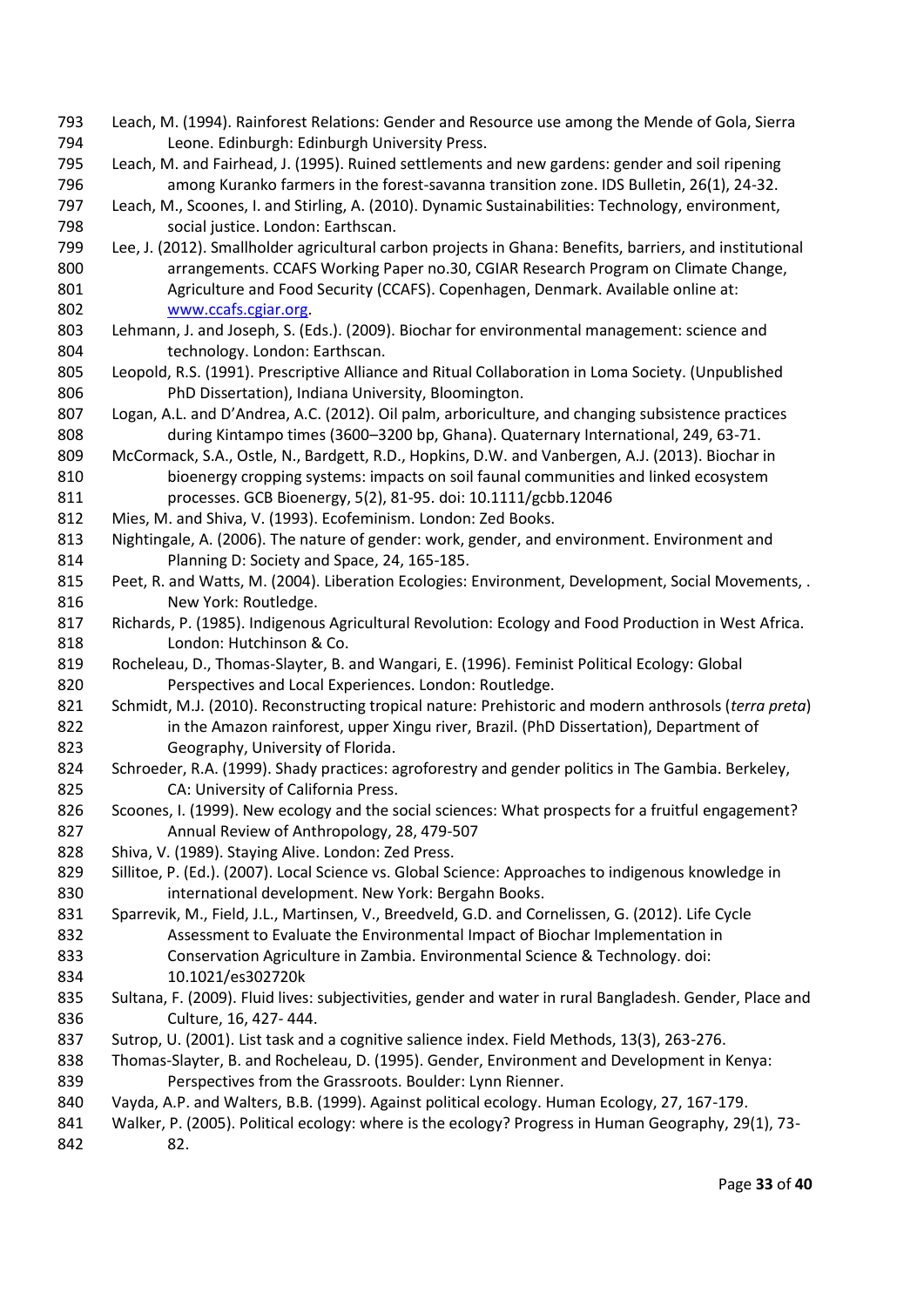- <span id="page-33-1"></span> Leach, M. (1994). Rainforest Relations: Gender and Resource use among the Mende of Gola, Sierra Leone. Edinburgh: Edinburgh University Press.
- <span id="page-33-0"></span> Leach, M. and Fairhead, J. (1995). Ruined settlements and new gardens: gender and soil ripening 796 among Kuranko farmers in the forest-savanna transition zone. IDS Bulletin, 26(1), 24-32.
- Leach, M., Scoones, I. and Stirling, A. (2010). Dynamic Sustainabilities: Technology, environment, social justice. London: Earthscan.
- Lee, J. (2012). Smallholder agricultural carbon projects in Ghana: Benefits, barriers, and institutional arrangements. CCAFS Working Paper no.30, CGIAR Research Program on Climate Change, 801 Agriculture and Food Security (CCAFS). Copenhagen, Denmark. Available online at: [www.ccafs.cgiar.org.](http://www.ccafs.cgiar.org/)
- Lehmann, J. and Joseph, S. (Eds.). (2009). Biochar for environmental management: science and technology. London: Earthscan.
- Leopold, R.S. (1991). Prescriptive Alliance and Ritual Collaboration in Loma Society. (Unpublished PhD Dissertation), Indiana University, Bloomington.
- 807 Logan, A.L. and D'Andrea, A.C. (2012). Oil palm, arboriculture, and changing subsistence practices during Kintampo times (3600–3200 bp, Ghana). Quaternary International, 249, 63-71.
- McCormack, S.A., Ostle, N., Bardgett, R.D., Hopkins, D.W. and Vanbergen, A.J. (2013). Biochar in bioenergy cropping systems: impacts on soil faunal communities and linked ecosystem processes. GCB Bioenergy, 5(2), 81-95. doi: 10.1111/gcbb.12046
- Mies, M. and Shiva, V. (1993). Ecofeminism. London: Zed Books.
- Nightingale, A. (2006). The nature of gender: work, gender, and environment. Environment and Planning D: Society and Space, 24, 165-185.
- Peet, R. and Watts, M. (2004). Liberation Ecologies: Environment, Development, Social Movements, . 816 New York: Routledge.
- Richards, P. (1985). Indigenous Agricultural Revolution: Ecology and Food Production in West Africa. London: Hutchinson & Co.
- Rocheleau, D., Thomas-Slayter, B. and Wangari, E. (1996). Feminist Political Ecology: Global Perspectives and Local Experiences. London: Routledge.
- Schmidt, M.J. (2010). Reconstructing tropical nature: Prehistoric and modern anthrosols (*terra preta*) 822 in the Amazon rainforest, upper Xingu river, Brazil. (PhD Dissertation), Department of Geography, University of Florida.
- Schroeder, R.A. (1999). Shady practices: agroforestry and gender politics in The Gambia. Berkeley, CA: University of California Press.
- Scoones, I. (1999). New ecology and the social sciences: What prospects for a fruitful engagement? Annual Review of Anthropology, 28, 479-507
- Shiva, V. (1989). Staying Alive. London: Zed Press.
- Sillitoe, P. (Ed.). (2007). Local Science vs. Global Science: Approaches to indigenous knowledge in international development. New York: Bergahn Books.
- Sparrevik, M., Field, J.L., Martinsen, V., Breedveld, G.D. and Cornelissen, G. (2012). Life Cycle Assessment to Evaluate the Environmental Impact of Biochar Implementation in Conservation Agriculture in Zambia. Environmental Science & Technology. doi: 10.1021/es302720k
- Sultana, F. (2009). Fluid lives: subjectivities, gender and water in rural Bangladesh. Gender, Place and Culture, 16, 427- 444.
- Sutrop, U. (2001). List task and a cognitive salience index. Field Methods, 13(3), 263-276.
- Thomas-Slayter, B. and Rocheleau, D. (1995). Gender, Environment and Development in Kenya: 839 Perspectives from the Grassroots. Boulder: Lynn Rienner.
- Vayda, A.P. and Walters, B.B. (1999). Against political ecology. Human Ecology, 27, 167-179.
- Walker, P. (2005). Political ecology: where is the ecology? Progress in Human Geography, 29(1), 73- 82.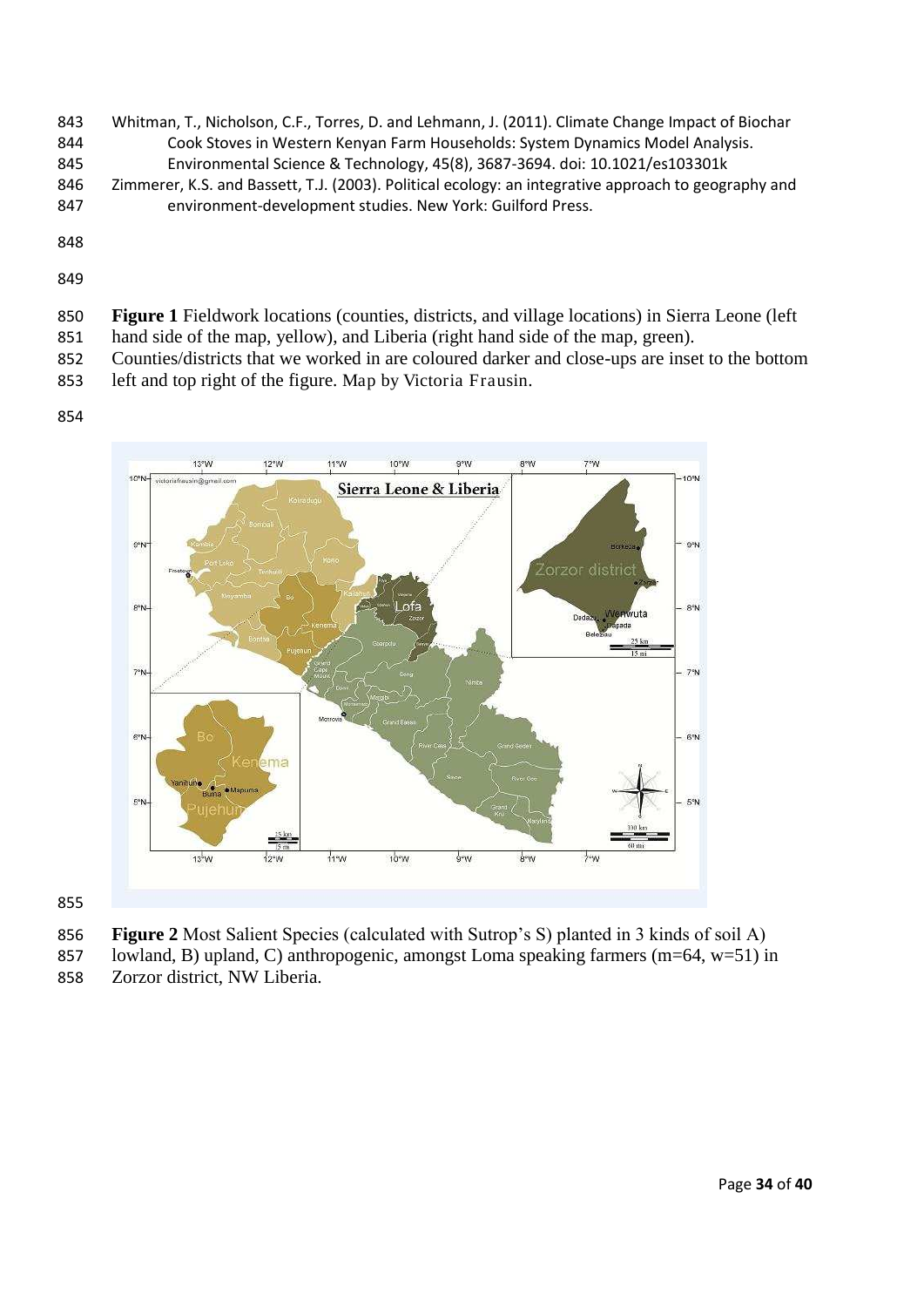- 843 Whitman, T., Nicholson, C.F., Torres, D. and Lehmann, J. (2011). Climate Change Impact of Biochar Cook Stoves in Western Kenyan Farm Households: System Dynamics Model Analysis.
- Environmental Science & Technology, 45(8), 3687-3694. doi: 10.1021/es103301k
- Zimmerer, K.S. and Bassett, T.J. (2003). Political ecology: an integrative approach to geography and environment-development studies. New York: Guilford Press.
- 
- 
- **Figure 1** Fieldwork locations (counties, districts, and village locations) in Sierra Leone (left
- hand side of the map, yellow), and Liberia (right hand side of the map, green).
- Counties/districts that we worked in are coloured darker and close-ups are inset to the bottom
- left and top right of the figure. Map by Victoria Frausin.
- 



- **Figure 2** Most Salient Species (calculated with Sutrop's S) planted in 3 kinds of soil A)
- lowland, B) upland, C) anthropogenic, amongst Loma speaking farmers (m=64, w=51) in Zorzor district, NW Liberia.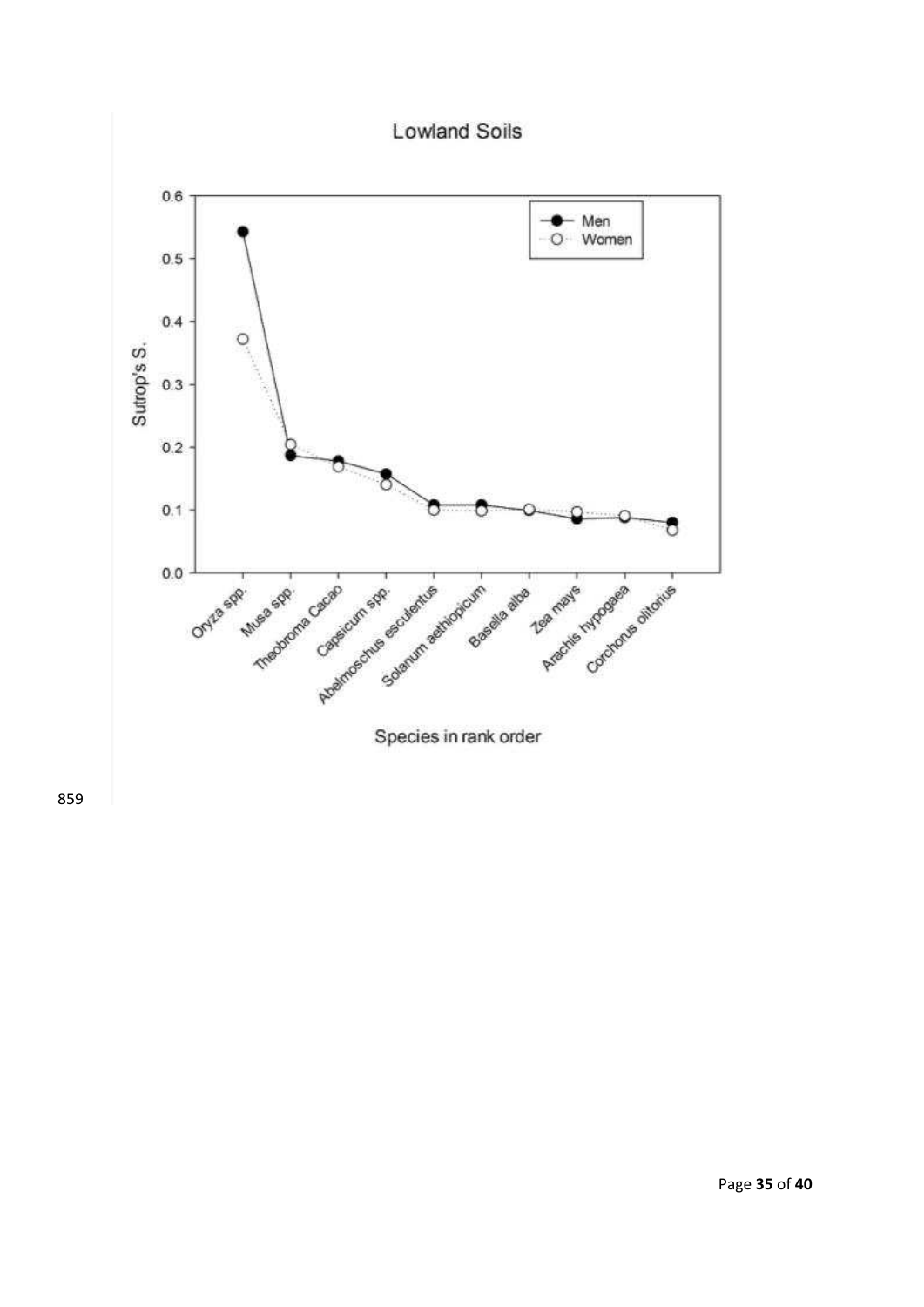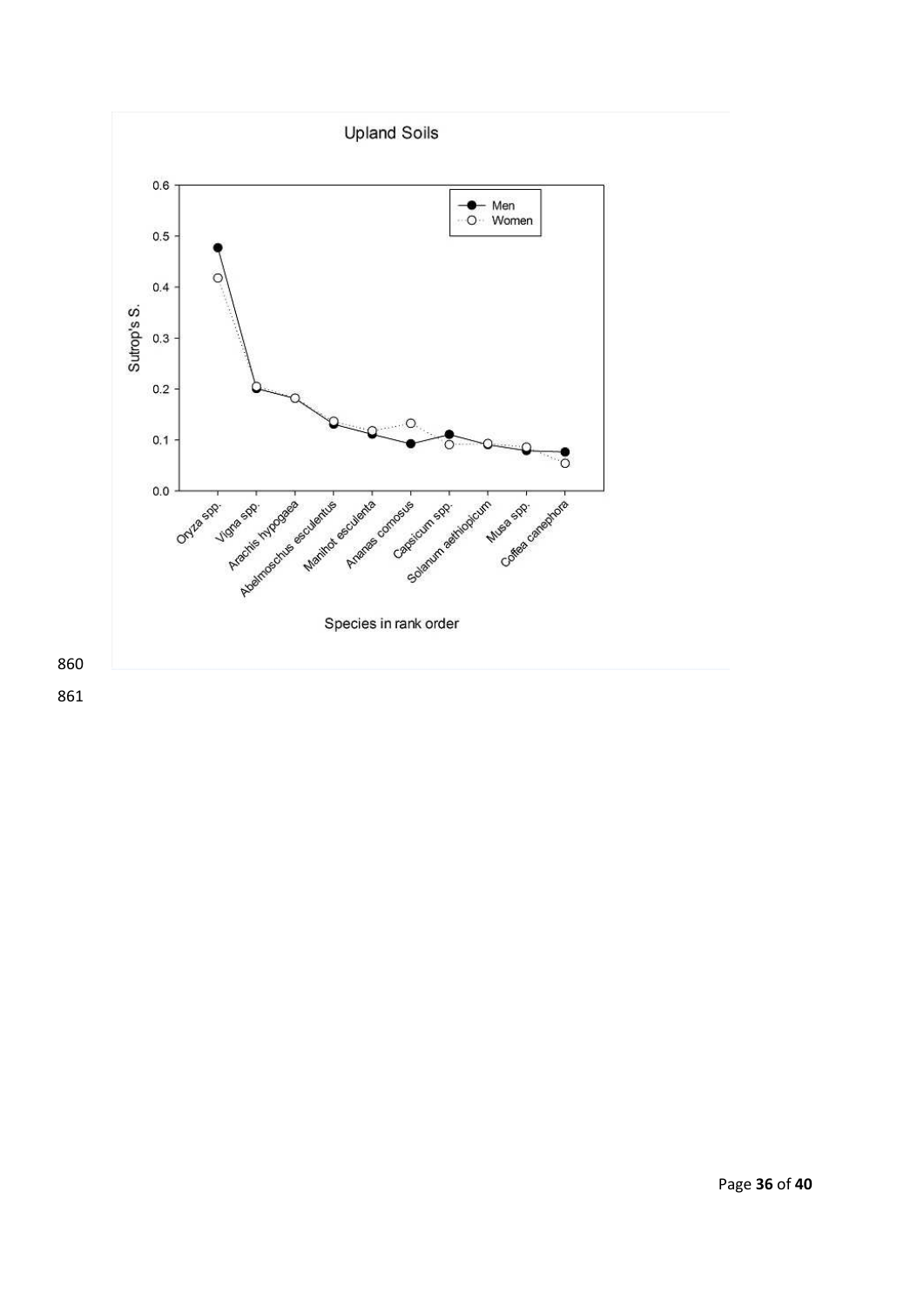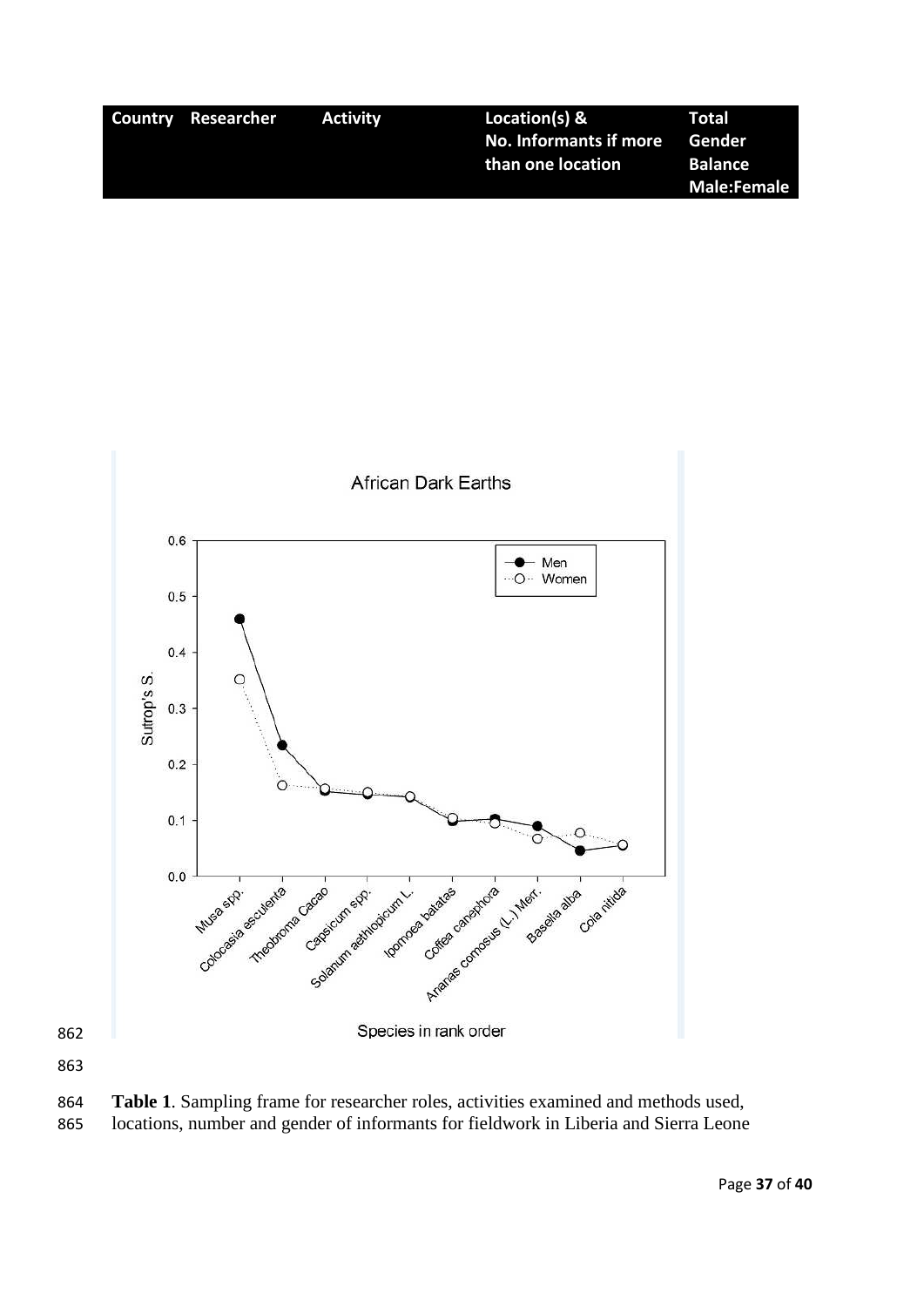| <b>Country Researcher</b> | <b>Activity</b> | Location(s) &<br><b>No. Informants if more</b><br>than one location | Total<br>Gender<br><b>Balance</b><br><b>Male:Female</b> |
|---------------------------|-----------------|---------------------------------------------------------------------|---------------------------------------------------------|
|                           |                 |                                                                     |                                                         |



864 **Table 1**. Sampling frame for researcher roles, activities examined and methods used, 865 locations, number and gender of informants for fieldwork in Liberia and Sierra Leone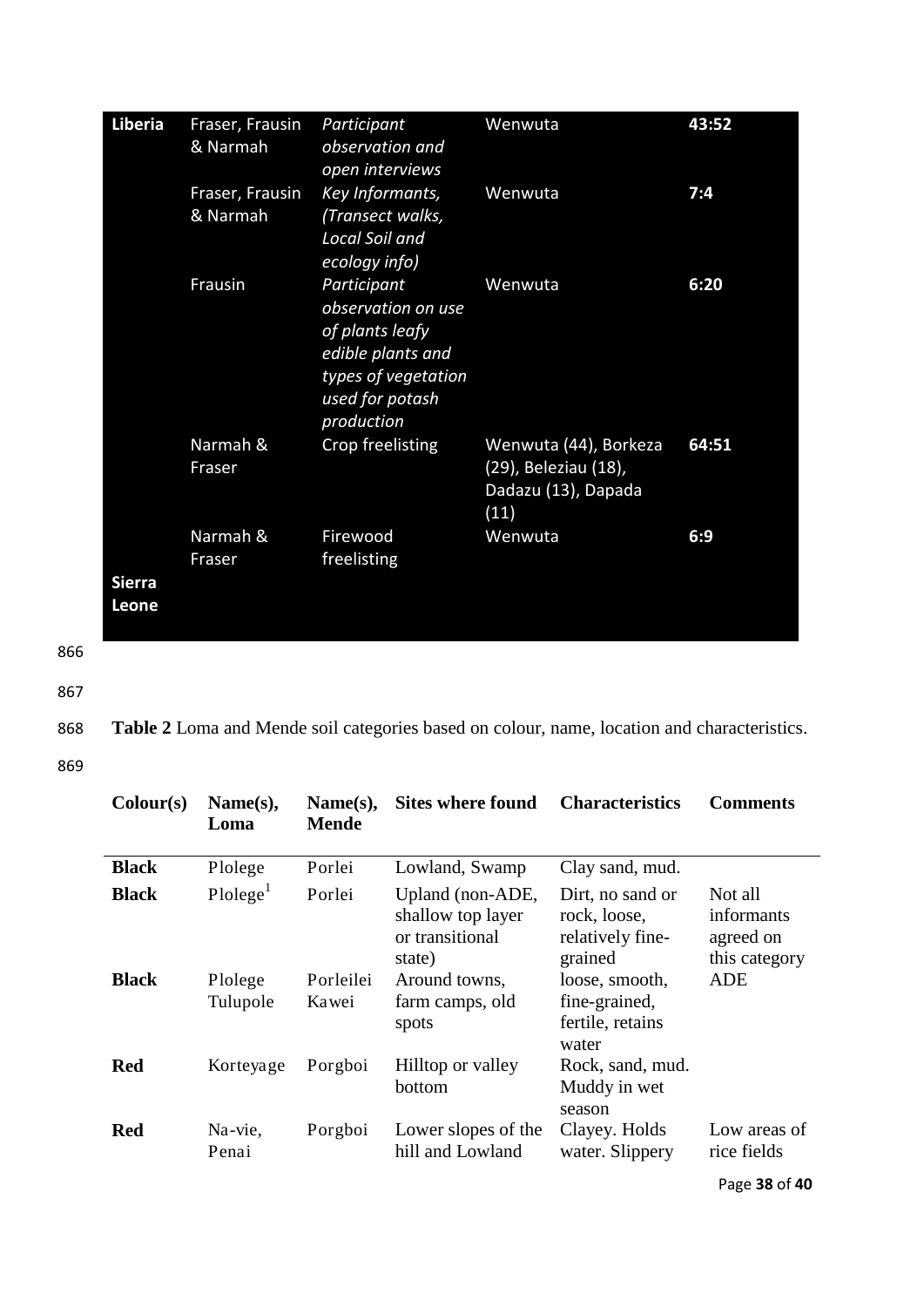| <b>Liberia</b>         | Fraser, Frausin<br>& Narmah | Participant<br>observation and<br>open interviews                                                                                 | Wenwuta                                                                      | 43:52 |
|------------------------|-----------------------------|-----------------------------------------------------------------------------------------------------------------------------------|------------------------------------------------------------------------------|-------|
|                        | Fraser, Frausin<br>& Narmah | Key Informants,<br>(Transect walks,<br>Local Soil and<br>ecology info)                                                            | Wenwuta                                                                      | 7:4   |
|                        | Frausin                     | Participant<br>observation on use<br>of plants leafy<br>edible plants and<br>types of vegetation<br>used for potash<br>production | Wenwuta                                                                      | 6:20  |
|                        | Narmah &<br>Fraser          | Crop freelisting                                                                                                                  | Wenwuta (44), Borkeza<br>(29), Beleziau (18),<br>Dadazu (13), Dapada<br>(11) | 64:51 |
|                        | Narmah &                    | Firewood                                                                                                                          | Wenwuta                                                                      | 6:9   |
| <b>Sierra</b><br>Leone | Fraser                      | freelisting                                                                                                                       |                                                                              |       |

867

868 **Table 2** Loma and Mende soil categories based on colour, name, location and characteristics.

| Color(s)     | $Name(s)$ ,<br>Loma  | $Name(s)$ ,<br><b>Mende</b> | <b>Sites where found</b>                                           | <b>Characteristics</b>                                          | <b>Comments</b>                                     |
|--------------|----------------------|-----------------------------|--------------------------------------------------------------------|-----------------------------------------------------------------|-----------------------------------------------------|
| <b>Black</b> | Plolege              | Porlei                      | Lowland, Swamp                                                     | Clay sand, mud.                                                 |                                                     |
| <b>Black</b> | Plolege <sup>1</sup> | Porlei                      | Upland (non-ADE,<br>shallow top layer<br>or transitional<br>state) | Dirt, no sand or<br>rock, loose,<br>relatively fine-<br>grained | Not all<br>informants<br>agreed on<br>this category |
| <b>Black</b> | Plolege<br>Tulupole  | Porleilei<br>Kawei          | Around towns,<br>farm camps, old<br>spots                          | loose, smooth,<br>fine-grained,<br>fertile, retains<br>water    | ADE                                                 |
| <b>Red</b>   | Korteyage            | Porgboi                     | Hilltop or valley<br>bottom                                        | Rock, sand, mud.<br>Muddy in wet<br>season                      |                                                     |
| <b>Red</b>   | Na-vie,<br>Penai     | Porgboi                     | Lower slopes of the<br>hill and Lowland                            | Clayey. Holds<br>water. Slippery                                | Low areas of<br>rice fields                         |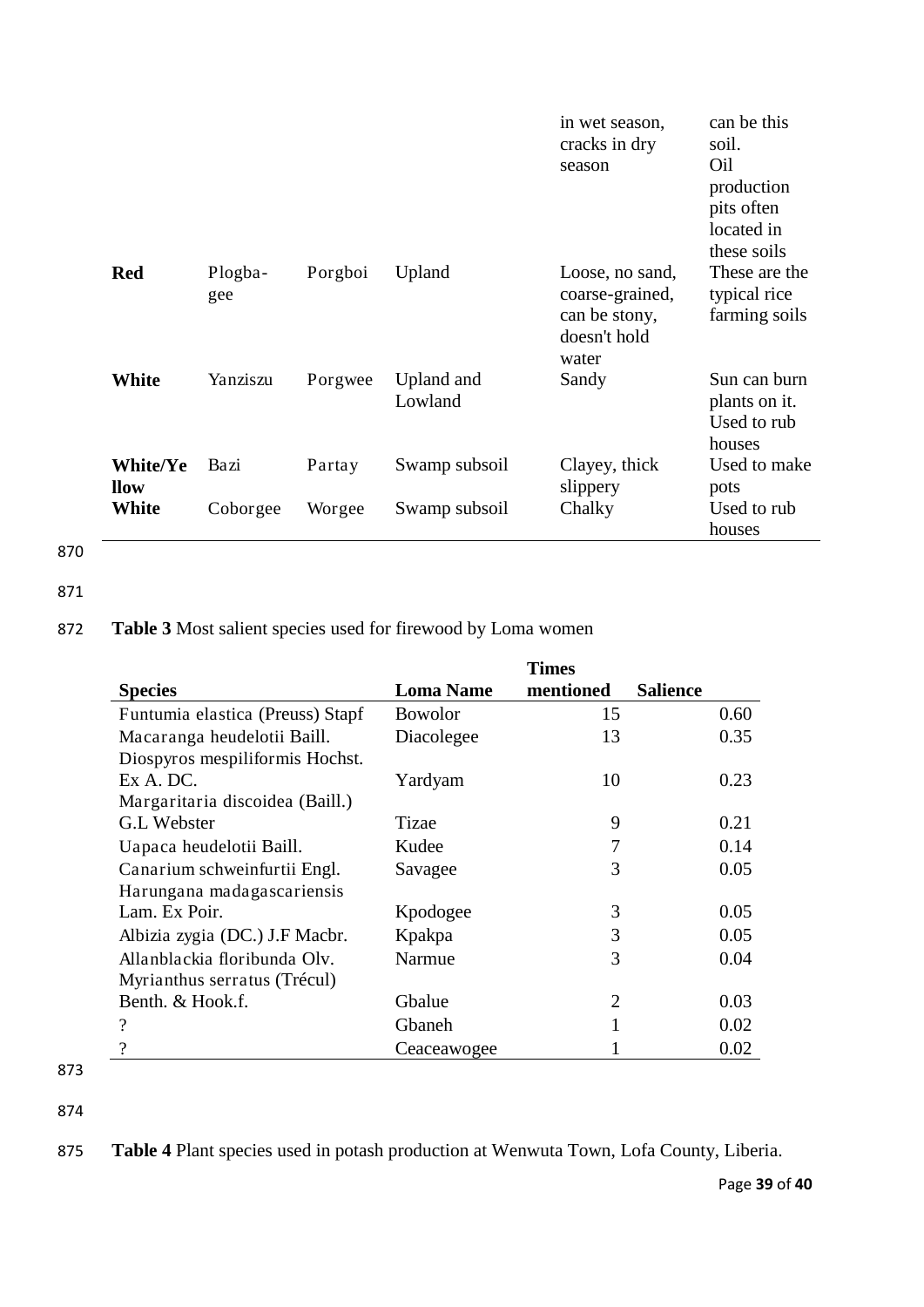|                         |                |         |                       | in wet season,<br>cracks in dry<br>season                                    | can be this<br>soil.<br>Oil<br>production<br>pits often<br>located in<br>these soils |
|-------------------------|----------------|---------|-----------------------|------------------------------------------------------------------------------|--------------------------------------------------------------------------------------|
| <b>Red</b>              | Plogba-<br>gee | Porgboi | Upland                | Loose, no sand,<br>coarse-grained,<br>can be stony,<br>doesn't hold<br>water | These are the<br>typical rice<br>farming soils                                       |
| White                   | Yanziszu       | Porgwee | Upland and<br>Lowland | Sandy                                                                        | Sun can burn<br>plants on it.<br>Used to rub<br>houses                               |
| White/Ye<br><b>llow</b> | Bazi           | Partay  | Swamp subsoil         | Clayey, thick<br>slippery                                                    | Used to make<br>pots                                                                 |
| White                   | Coborgee       | Worgee  | Swamp subsoil         | Chalky                                                                       | Used to rub<br>houses                                                                |

871

# 872 **Table 3** Most salient species used for firewood by Loma women

| <b>Species</b>                   | <b>Loma Name</b> | <b>Times</b><br>mentioned | <b>Salience</b> |      |
|----------------------------------|------------------|---------------------------|-----------------|------|
|                                  |                  |                           |                 |      |
| Funtumia elastica (Preuss) Stapf | Bowolor          | 15                        |                 | 0.60 |
| Macaranga heudelotii Baill.      | Diacolegee       | 13                        |                 | 0.35 |
| Diospyros mespiliformis Hochst.  |                  |                           |                 |      |
| Ex A. DC.                        | Yardyam          | 10                        |                 | 0.23 |
| Margaritaria discoidea (Baill.)  |                  |                           |                 |      |
| <b>G.L Webster</b>               | Tizae            | 9                         |                 | 0.21 |
| Uapaca heudelotii Baill.         | Kudee            | 7                         |                 | 0.14 |
| Canarium schweinfurtii Engl.     | Savagee          | 3                         |                 | 0.05 |
| Harungana madagascariensis       |                  |                           |                 |      |
| Lam. Ex Poir.                    | Kpodogee         | 3                         |                 | 0.05 |
| Albizia zygia (DC.) J.F Macbr.   | Kpakpa           | 3                         |                 | 0.05 |
| Allanblackia floribunda Olv.     | Narmue           | 3                         |                 | 0.04 |
| Myrianthus serratus (Trécul)     |                  |                           |                 |      |
| Benth. & Hook.f.                 | Gbalue           | $\overline{2}$            |                 | 0.03 |
| ?                                | Gbaneh           |                           |                 | 0.02 |
|                                  | Ceaceawogee      |                           |                 | 0.02 |

873

874

875 **Table 4** Plant species used in potash production at Wenwuta Town, Lofa County, Liberia.